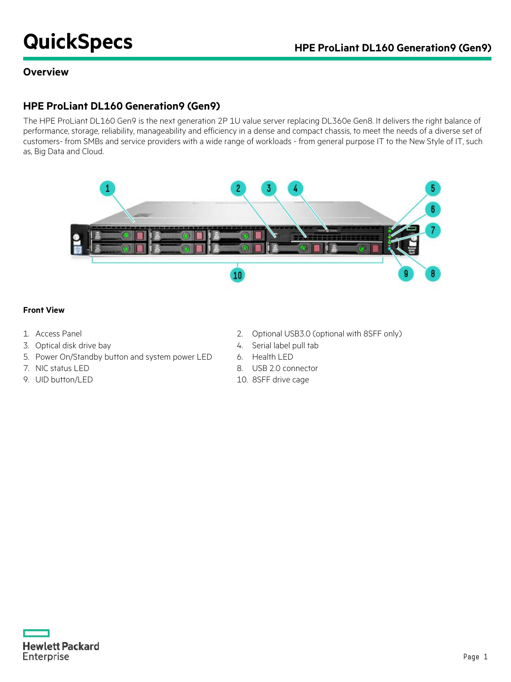# **QuickSpecs HPE ProLiant DL160 Generation9 (Gen9)**

### **Overview**

### **HPE ProLiant DL160 Generation9 (Gen9)**

The HPE ProLiant DL160 Gen9 is the next generation 2P 1U value server replacing DL360e Gen8. It delivers the right balance of performance, storage, reliability, manageability and efficiency in a dense and compact chassis, to meet the needs of a diverse set of customers- from SMBs and service providers with a wide range of workloads - from general purpose IT to the New Style of IT, such as, Big Data and Cloud.



#### **Front View**

- 
- 3. Optical disk drive bay 1. The same state of the Serial label pull table 3.
- 5. Power On/Standby button and system power LED 6. Health LED
- 
- 9. UID button/LED 10. 8SFF drive cage
- 1. Access Panel 2. Optional USB3.0 (optional with 8SFF only)
	-
	-
- 7. NIC status LED 8. USB 2.0 connector
	-

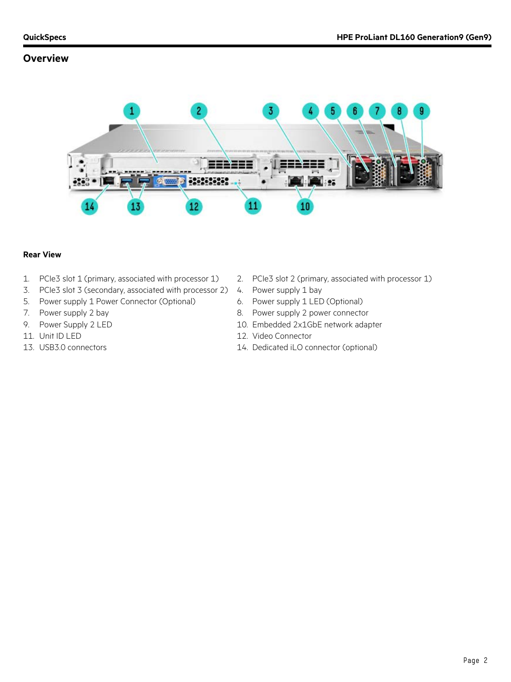#### **Overview**



#### **Rear View**

- 1. PCIe3 slot 1 (primary, associated with processor 1) 2. PCIe3 slot 2 (primary, associated with processor 1)
- 3. PCIe3 slot 3 (secondary, associated with processor 2) 4. Power supply 1 bay
- 5. Power supply 1 Power Connector (Optional) 6. Power supply 1 LED (Optional)
- 
- 
- 
- 
- 
- 
- 
- 7. Power supply 2 bay **8. Power supply 2 power connector**
- 9. Power Supply 2 LED 10. Embedded 2x1GbE network adapter
- 11. Unit ID LED 12. Video Connector
- 13. USB3.0 connectors 14. Dedicated iLO connector (optional)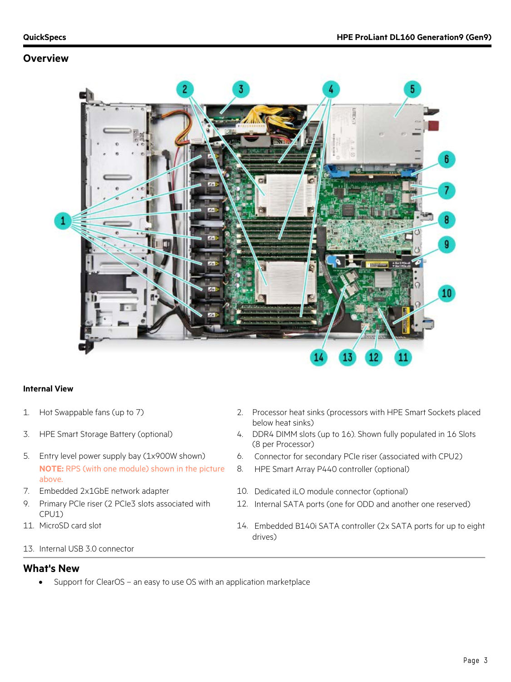#### **Overview**



#### **Internal View**

- 1. Hot Swappable fans (up to 7) 2. Processor heat sinks (processors with HPE Smart Sockets placed
- 
- **NOTE:** RPS (with one module) shown in the picture above.
- 
- 9. Primary PCIe riser (2 PCIe3 slots associated with CPU1)
- 
- below heat sinks) 3. HPE Smart Storage Battery (optional) 4. DDR4 DIMM slots (up to 16). Shown fully populated in 16 Slots (8 per Processor)
- 5. Entry level power supply bay (1x900W shown) 6. Connector for secondary PCIe riser (associated with CPU2)
	- 8. HPE Smart Array P440 controller (optional)
- 7. Embedded 2x1GbE network adapter 10. Dedicated iLO module connector (optional)
	- 12. Internal SATA ports (one for ODD and another one reserved)
- 11. MicroSD card slot 14. Embedded B140i SATA controller (2x SATA ports for up to eight drives)
- 13. Internal USB 3.0 connector

#### **What's New**

• Support for ClearOS – an easy to use OS with an application marketplace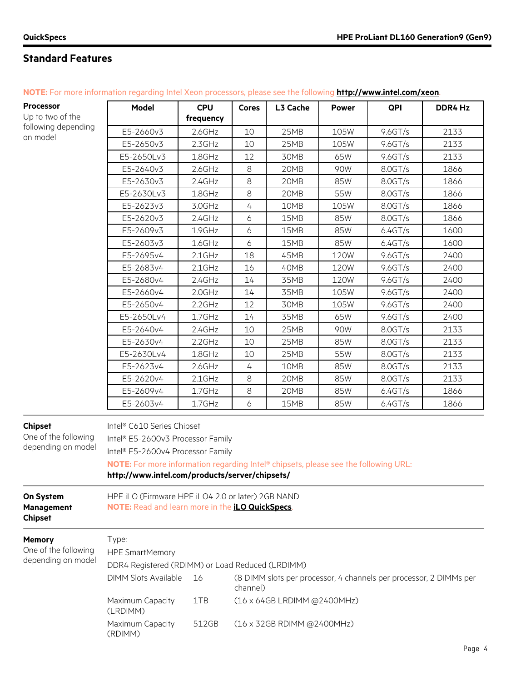$\mathbf{r}$ 

| <b>Processor</b><br>Up to two of the | Model     | <b>CPU</b>          | Cores | L3 Cache | <b>Power</b> | QPI        | <b>DDR4 Hz</b> |
|--------------------------------------|-----------|---------------------|-------|----------|--------------|------------|----------------|
| following depending<br>on model      | E5-2660v3 | treauency<br>2.6GHz | 10    | 25MB     | 105W         | $9.6$ GT/s | 2133           |
|                                      | E5-2650v3 | 2.3GHz              | 10    | 25MB     | 105W         | $9.6$ GT/s | 2133           |

E5-2650Lv3 1.8GHz 12 30MB 65W 9.6GT/s 2133 E5-2640v3 | 2.6GHz | 8 | 20MB | 90W | 8.0GT/s | 1866

**NOTE:** For more information regarding Intel Xeon processors, please see the following **<http://www.intel.com/xeon>**.

|                                                              | E5-2630v3                                                                                                                                                                                                                                     | 2.4GHz    | 8        | 20MB                        | 85W  | 8.0GT/s                                                            | 1866 |
|--------------------------------------------------------------|-----------------------------------------------------------------------------------------------------------------------------------------------------------------------------------------------------------------------------------------------|-----------|----------|-----------------------------|------|--------------------------------------------------------------------|------|
|                                                              | E5-2630Lv3                                                                                                                                                                                                                                    | 1.8GHz    | 8        | 20MB                        | 55W  | 8.0GT/s                                                            | 1866 |
|                                                              | E5-2623v3                                                                                                                                                                                                                                     | 3.0GHz    | 4        | 10MB                        | 105W | 8.0GT/s                                                            | 1866 |
|                                                              | E5-2620v3                                                                                                                                                                                                                                     | 2.4GHz    | 6        | 15MB                        | 85W  | 8.0GT/s                                                            | 1866 |
|                                                              | E5-2609v3                                                                                                                                                                                                                                     | 1.9GHz    | 6        | 15MB                        | 85W  | 6.4GT/s                                                            | 1600 |
|                                                              | E5-2603v3                                                                                                                                                                                                                                     | 1.6GHz    | 6        | 15MB                        | 85W  | 6.4GT/s                                                            | 1600 |
|                                                              | E5-2695v4                                                                                                                                                                                                                                     | $2.1$ GHz | 18       | 45MB                        | 120W | 9.6GT/s                                                            | 2400 |
|                                                              | E5-2683v4                                                                                                                                                                                                                                     | $2.1$ GHz | 16       | 40MB                        | 120W | $9.6$ GT/s                                                         | 2400 |
|                                                              | E5-2680v4                                                                                                                                                                                                                                     | 2.4GHz    | 14       | 35MB                        | 120W | $9.6$ GT/s                                                         | 2400 |
|                                                              | E5-2660v4                                                                                                                                                                                                                                     | 2.0GHz    | 14       | 35MB                        | 105W | $9.6$ GT/s                                                         | 2400 |
|                                                              | E5-2650v4                                                                                                                                                                                                                                     | 2.2GHz    | 12       | 30MB                        | 105W | 9.6GT/s                                                            | 2400 |
|                                                              | E5-2650Lv4                                                                                                                                                                                                                                    | 1.7GHz    | 14       | 35MB                        | 65W  | $9.6$ GT/s                                                         | 2400 |
|                                                              | E5-2640v4                                                                                                                                                                                                                                     | $2.4$ GHz | 10       | 25MB                        | 90W  | 8.0GT/s                                                            | 2133 |
|                                                              | E5-2630v4                                                                                                                                                                                                                                     | 2.2GHz    | 10       | 25MB                        | 85W  | 8.0GT/s                                                            | 2133 |
|                                                              | E5-2630Lv4                                                                                                                                                                                                                                    | 1.8GHz    | 10       | 25MB                        | 55W  | 8.0GT/s                                                            | 2133 |
|                                                              | E5-2623v4                                                                                                                                                                                                                                     | $2.6$ GHz | 4        | 10MB                        | 85W  | 8.0GT/s                                                            | 2133 |
|                                                              | E5-2620v4                                                                                                                                                                                                                                     | $2.1$ GHz | 8        | 20MB                        | 85W  | 8.0GT/s                                                            | 2133 |
|                                                              | E5-2609v4                                                                                                                                                                                                                                     | 1.7GHz    | $8\,$    | 20MB                        | 85W  | 6.4GT/s                                                            | 1866 |
|                                                              | E5-2603v4                                                                                                                                                                                                                                     | 1.7GHz    | 6        | 15MB                        | 85W  | 6.4GT/s                                                            | 1866 |
| <b>Chipset</b><br>One of the following<br>depending on model | Intel® C610 Series Chipset<br>Intel® E5-2600v3 Processor Family<br>Intel® E5-2600v4 Processor Family<br>NOTE: For more information regarding Intel® chipsets, please see the following URL:<br>http://www.intel.com/products/server/chipsets/ |           |          |                             |      |                                                                    |      |
| On System<br><b>Management</b><br><b>Chipset</b>             | HPE iLO (Firmware HPE iLO4 2.0 or later) 2GB NAND<br>NOTE: Read and learn more in the <i>iLO QuickSpecs</i> .                                                                                                                                 |           |          |                             |      |                                                                    |      |
| Memory<br>One of the following<br>depending on model         | Type:<br><b>HPE SmartMemory</b><br>DDR4 Registered (RDIMM) or Load Reduced (LRDIMM)                                                                                                                                                           |           |          |                             |      |                                                                    |      |
|                                                              | <b>DIMM Slots Available</b>                                                                                                                                                                                                                   | 16        | channel) |                             |      | (8 DIMM slots per processor, 4 channels per processor, 2 DIMMs per |      |
|                                                              | Maximum Capacity<br>(LRDIMM)                                                                                                                                                                                                                  | 1TB       |          | (16 x 64GB LRDIMM @2400MHz) |      |                                                                    |      |
|                                                              | Maximum Capacity<br>(RDIMM)                                                                                                                                                                                                                   | 512GB     |          | (16 x 32GB RDIMM @2400MHz)  |      |                                                                    |      |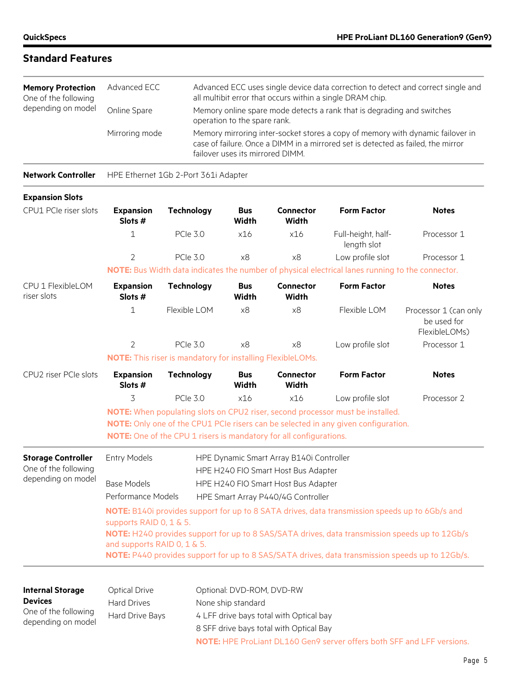| <b>Memory Protection</b><br>One of the following<br>depending on model | Advanced ECC   | Advanced ECC uses single device data correction to detect and correct single and<br>all multibit error that occurs within a single DRAM chip.                                                          |
|------------------------------------------------------------------------|----------------|--------------------------------------------------------------------------------------------------------------------------------------------------------------------------------------------------------|
|                                                                        | Online Spare   | Memory online spare mode detects a rank that is degrading and switches<br>operation to the spare rank.                                                                                                 |
|                                                                        | Mirroring mode | Memory mirroring inter-socket stores a copy of memory with dynamic failover in<br>case of failure. Once a DIMM in a mirrored set is detected as failed, the mirror<br>failover uses its mirrored DIMM. |

**Network Controller** HPE Ethernet 1Gb 2-Port 361i Adapter

| <b>Expansion Slots</b>                            |                                                                                                                               |                                                                    |                            |                                                                                 |                                                                                                  |                                                                                                 |  |  |
|---------------------------------------------------|-------------------------------------------------------------------------------------------------------------------------------|--------------------------------------------------------------------|----------------------------|---------------------------------------------------------------------------------|--------------------------------------------------------------------------------------------------|-------------------------------------------------------------------------------------------------|--|--|
| CPU1 PCIe riser slots                             | <b>Expansion</b><br>Slots #                                                                                                   | <b>Technology</b>                                                  | <b>Bus</b><br>Width        | Connector<br>Width                                                              | <b>Form Factor</b>                                                                               | <b>Notes</b>                                                                                    |  |  |
|                                                   | $\mathbf 1$                                                                                                                   | <b>PCIe 3.0</b>                                                    | x16                        | x16                                                                             | Full-height, half-<br>length slot                                                                | Processor 1                                                                                     |  |  |
|                                                   | $\overline{2}$                                                                                                                | <b>PCIe 3.0</b>                                                    | x8                         | x8                                                                              | Low profile slot                                                                                 | Processor 1                                                                                     |  |  |
|                                                   |                                                                                                                               |                                                                    |                            |                                                                                 | NOTE: Bus Width data indicates the number of physical electrical lanes running to the connector. |                                                                                                 |  |  |
| CPU 1 FlexibleLOM<br>riser slots                  | <b>Expansion</b><br>Slots #                                                                                                   | <b>Technology</b>                                                  | <b>Bus</b><br><b>Width</b> | <b>Connector</b><br><b>Width</b>                                                | <b>Form Factor</b>                                                                               | <b>Notes</b>                                                                                    |  |  |
|                                                   | $\mathbf 1$                                                                                                                   | Flexible LOM                                                       | x8                         | x8                                                                              | Flexible LOM                                                                                     | Processor 1 (can only<br>be used for<br>FlexibleLOMs)                                           |  |  |
|                                                   | 2                                                                                                                             | <b>PCIe 3.0</b>                                                    | x8                         | x8                                                                              | Low profile slot                                                                                 | Processor 1                                                                                     |  |  |
|                                                   |                                                                                                                               | <b>NOTE:</b> This riser is mandatory for installing FlexibleLOMs.  |                            |                                                                                 |                                                                                                  |                                                                                                 |  |  |
| CPU2 riser PCIe slots                             | <b>Expansion</b><br>Slots #                                                                                                   | <b>Technology</b>                                                  | <b>Bus</b><br>Width        | <b>Connector</b><br>Width                                                       | <b>Form Factor</b>                                                                               | <b>Notes</b>                                                                                    |  |  |
|                                                   | 3                                                                                                                             | <b>PCIe 3.0</b>                                                    | x16                        | x16                                                                             | Low profile slot                                                                                 | Processor 2                                                                                     |  |  |
|                                                   | NOTE: When populating slots on CPU2 riser, second processor must be installed.                                                |                                                                    |                            |                                                                                 |                                                                                                  |                                                                                                 |  |  |
|                                                   |                                                                                                                               |                                                                    |                            |                                                                                 | NOTE: Only one of the CPU1 PCIe risers can be selected in any given configuration.               |                                                                                                 |  |  |
|                                                   |                                                                                                                               | NOTE: One of the CPU 1 risers is mandatory for all configurations. |                            |                                                                                 |                                                                                                  |                                                                                                 |  |  |
| <b>Storage Controller</b><br>One of the following | <b>Entry Models</b>                                                                                                           |                                                                    |                            | HPE Dynamic Smart Array B140i Controller<br>HPE H240 FIO Smart Host Bus Adapter |                                                                                                  |                                                                                                 |  |  |
| depending on model                                | <b>Base Models</b>                                                                                                            |                                                                    |                            | HPE H240 FIO Smart Host Bus Adapter                                             |                                                                                                  |                                                                                                 |  |  |
|                                                   | Performance Models<br>HPE Smart Array P440/4G Controller                                                                      |                                                                    |                            |                                                                                 |                                                                                                  |                                                                                                 |  |  |
|                                                   | NOTE: B140i provides support for up to 8 SATA drives, data transmission speeds up to 6Gb/s and                                |                                                                    |                            |                                                                                 |                                                                                                  |                                                                                                 |  |  |
|                                                   | supports RAID 0, 1 & 5.                                                                                                       |                                                                    |                            |                                                                                 |                                                                                                  |                                                                                                 |  |  |
|                                                   | NOTE: H240 provides support for up to 8 SAS/SATA drives, data transmission speeds up to 12Gb/s<br>and supports RAID 0, 1 & 5. |                                                                    |                            |                                                                                 |                                                                                                  |                                                                                                 |  |  |
|                                                   |                                                                                                                               |                                                                    |                            |                                                                                 |                                                                                                  | NOTE: P440 provides support for up to 8 SAS/SATA drives, data transmission speeds up to 12Gb/s. |  |  |
|                                                   |                                                                                                                               |                                                                    |                            |                                                                                 |                                                                                                  |                                                                                                 |  |  |
| <b>Internal Storage</b>                           | Optical Drive                                                                                                                 |                                                                    | Optional: DVD-ROM, DVD-RW  |                                                                                 |                                                                                                  |                                                                                                 |  |  |
| <b>Devices</b>                                    | <b>Hard Drives</b>                                                                                                            |                                                                    | None ship standard         |                                                                                 |                                                                                                  |                                                                                                 |  |  |
| One of the following                              | Hard Drive Bays                                                                                                               |                                                                    |                            | 4 LFF drive bays total with Optical bay                                         |                                                                                                  |                                                                                                 |  |  |
| depending on model                                | 8 SFF drive bays total with Optical Bay                                                                                       |                                                                    |                            |                                                                                 |                                                                                                  |                                                                                                 |  |  |

**NOTE:** HPE ProLiant DL160 Gen9 server offers both SFF and LFF versions.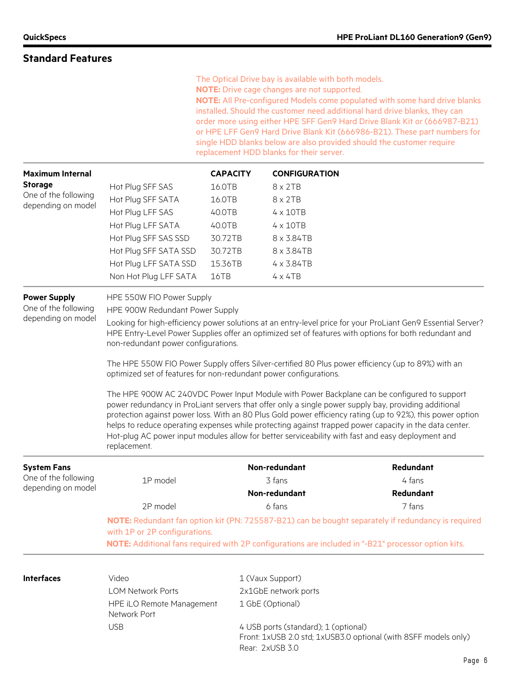|                                                                   |                                                                                                                                                                                                                                                              |                 | The Optical Drive bay is available with both models.<br>NOTE: Drive cage changes are not supported.<br>replacement HDD blanks for their server. | NOTE: All Pre-configured Models come populated with some hard drive blanks<br>installed. Should the customer need additional hard drive blanks, they can<br>order more using either HPE SFF Gen9 Hard Drive Blank Kit or (666987-B21)<br>or HPE LFF Gen9 Hard Drive Blank Kit (666986-B21). These part numbers for<br>single HDD blanks below are also provided should the customer require                                                                                                                                      |  |  |  |
|-------------------------------------------------------------------|--------------------------------------------------------------------------------------------------------------------------------------------------------------------------------------------------------------------------------------------------------------|-----------------|-------------------------------------------------------------------------------------------------------------------------------------------------|----------------------------------------------------------------------------------------------------------------------------------------------------------------------------------------------------------------------------------------------------------------------------------------------------------------------------------------------------------------------------------------------------------------------------------------------------------------------------------------------------------------------------------|--|--|--|
| <b>Maximum Internal</b>                                           |                                                                                                                                                                                                                                                              | <b>CAPACITY</b> | <b>CONFIGURATION</b>                                                                                                                            |                                                                                                                                                                                                                                                                                                                                                                                                                                                                                                                                  |  |  |  |
| <b>Storage</b>                                                    | Hot Plug SFF SAS                                                                                                                                                                                                                                             | 16.0TB          | $8 \times 2TB$                                                                                                                                  |                                                                                                                                                                                                                                                                                                                                                                                                                                                                                                                                  |  |  |  |
| One of the following<br>depending on model                        | Hot Plug SFF SATA                                                                                                                                                                                                                                            | 16.0TB          | $8 \times 2TB$                                                                                                                                  |                                                                                                                                                                                                                                                                                                                                                                                                                                                                                                                                  |  |  |  |
|                                                                   | Hot Plug LFF SAS                                                                                                                                                                                                                                             | 40.0TB          | $4 \times 10TB$                                                                                                                                 |                                                                                                                                                                                                                                                                                                                                                                                                                                                                                                                                  |  |  |  |
|                                                                   | Hot Plug LFF SATA                                                                                                                                                                                                                                            | 40.0TB          | $4 \times 10TB$                                                                                                                                 |                                                                                                                                                                                                                                                                                                                                                                                                                                                                                                                                  |  |  |  |
|                                                                   | Hot Plug SFF SAS SSD                                                                                                                                                                                                                                         | 30.72TB         | 8 x 3.84TB                                                                                                                                      |                                                                                                                                                                                                                                                                                                                                                                                                                                                                                                                                  |  |  |  |
|                                                                   | Hot Plug SFF SATA SSD                                                                                                                                                                                                                                        | 30.72TB         | 8 x 3.84TB                                                                                                                                      |                                                                                                                                                                                                                                                                                                                                                                                                                                                                                                                                  |  |  |  |
|                                                                   | Hot Plug LFF SATA SSD                                                                                                                                                                                                                                        | 15.36TB         | 4 x 3.84TB                                                                                                                                      |                                                                                                                                                                                                                                                                                                                                                                                                                                                                                                                                  |  |  |  |
|                                                                   | Non Hot Plug LFF SATA                                                                                                                                                                                                                                        | 16TB            | $4 \times 4TB$                                                                                                                                  |                                                                                                                                                                                                                                                                                                                                                                                                                                                                                                                                  |  |  |  |
| <b>Power Supply</b><br>One of the following<br>depending on model | HPE 550W FIO Power Supply<br>HPE 900W Redundant Power Supply                                                                                                                                                                                                 |                 |                                                                                                                                                 |                                                                                                                                                                                                                                                                                                                                                                                                                                                                                                                                  |  |  |  |
|                                                                   | Looking for high-efficiency power solutions at an entry-level price for your ProLiant Gen9 Essential Server?<br>HPE Entry-Level Power Supplies offer an optimized set of features with options for both redundant and<br>non-redundant power configurations. |                 |                                                                                                                                                 |                                                                                                                                                                                                                                                                                                                                                                                                                                                                                                                                  |  |  |  |
|                                                                   | The HPE 550W FIO Power Supply offers Silver-certified 80 Plus power efficiency (up to 89%) with an<br>optimized set of features for non-redundant power configurations.                                                                                      |                 |                                                                                                                                                 |                                                                                                                                                                                                                                                                                                                                                                                                                                                                                                                                  |  |  |  |
|                                                                   | replacement.                                                                                                                                                                                                                                                 |                 |                                                                                                                                                 | The HPE 900W AC 240VDC Power Input Module with Power Backplane can be configured to support<br>power redundancy in ProLiant servers that offer only a single power supply bay, providing additional<br>protection against power loss. With an 80 Plus Gold power efficiency rating (up to 92%), this power option<br>helps to reduce operating expenses while protecting against trapped power capacity in the data center.<br>Hot-plug AC power input modules allow for better serviceability with fast and easy deployment and |  |  |  |
| <b>System Fans</b>                                                |                                                                                                                                                                                                                                                              |                 | Non-redundant                                                                                                                                   | Redundant                                                                                                                                                                                                                                                                                                                                                                                                                                                                                                                        |  |  |  |
| One of the following                                              | 1P model                                                                                                                                                                                                                                                     |                 | 3 fans                                                                                                                                          | 4 fans                                                                                                                                                                                                                                                                                                                                                                                                                                                                                                                           |  |  |  |
| depending on model                                                |                                                                                                                                                                                                                                                              |                 | Non-redundant                                                                                                                                   | Redundant                                                                                                                                                                                                                                                                                                                                                                                                                                                                                                                        |  |  |  |
|                                                                   | 2P model                                                                                                                                                                                                                                                     |                 | 6 fans                                                                                                                                          | 7 fans                                                                                                                                                                                                                                                                                                                                                                                                                                                                                                                           |  |  |  |
|                                                                   | NOTE: Redundant fan option kit (PN: 725587-B21) can be bought separately if redundancy is required<br>with 1P or 2P configurations.                                                                                                                          |                 |                                                                                                                                                 |                                                                                                                                                                                                                                                                                                                                                                                                                                                                                                                                  |  |  |  |
|                                                                   |                                                                                                                                                                                                                                                              |                 |                                                                                                                                                 | NOTE: Additional fans required with 2P configurations are included in "-B21" processor option kits.                                                                                                                                                                                                                                                                                                                                                                                                                              |  |  |  |
| <b>Interfaces</b>                                                 | Video                                                                                                                                                                                                                                                        |                 | 1 (Vaux Support)                                                                                                                                |                                                                                                                                                                                                                                                                                                                                                                                                                                                                                                                                  |  |  |  |
|                                                                   | <b>LOM Network Ports</b>                                                                                                                                                                                                                                     |                 | 2x1GbE network ports                                                                                                                            |                                                                                                                                                                                                                                                                                                                                                                                                                                                                                                                                  |  |  |  |
|                                                                   | HPE iLO Remote Management<br>Network Port                                                                                                                                                                                                                    |                 | 1 GbE (Optional)                                                                                                                                |                                                                                                                                                                                                                                                                                                                                                                                                                                                                                                                                  |  |  |  |
|                                                                   | <b>USB</b>                                                                                                                                                                                                                                                   |                 | 4 USB ports (standard); 1 (optional)<br>Rear: 2xUSB 3.0                                                                                         | Front: 1xUSB 2.0 std; 1xUSB3.0 optional (with 8SFF models only)                                                                                                                                                                                                                                                                                                                                                                                                                                                                  |  |  |  |
|                                                                   |                                                                                                                                                                                                                                                              |                 |                                                                                                                                                 | Page 6                                                                                                                                                                                                                                                                                                                                                                                                                                                                                                                           |  |  |  |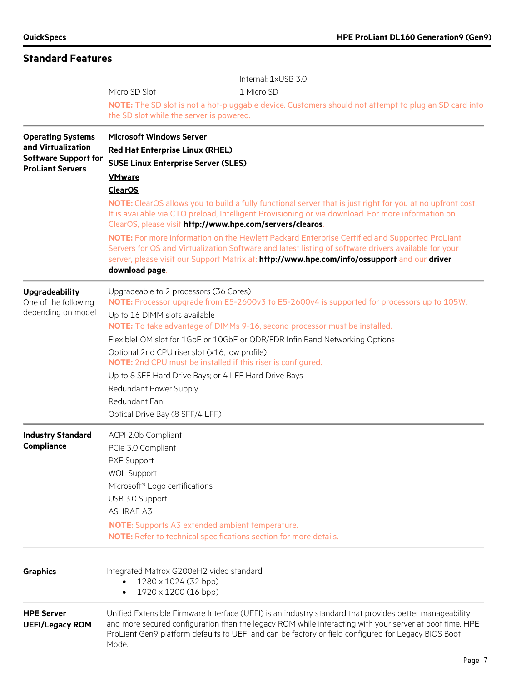|                                                        | Internal: 1xUSB 3.0                                                                                                                                                                                                                                                                                                                |  |  |  |  |  |
|--------------------------------------------------------|------------------------------------------------------------------------------------------------------------------------------------------------------------------------------------------------------------------------------------------------------------------------------------------------------------------------------------|--|--|--|--|--|
|                                                        | Micro SD Slot<br>1 Micro SD                                                                                                                                                                                                                                                                                                        |  |  |  |  |  |
|                                                        | NOTE: The SD slot is not a hot-pluggable device. Customers should not attempt to plug an SD card into                                                                                                                                                                                                                              |  |  |  |  |  |
|                                                        | the SD slot while the server is powered.                                                                                                                                                                                                                                                                                           |  |  |  |  |  |
| <b>Operating Systems</b>                               | <b>Microsoft Windows Server</b>                                                                                                                                                                                                                                                                                                    |  |  |  |  |  |
| and Virtualization                                     | <b>Red Hat Enterprise Linux (RHEL)</b>                                                                                                                                                                                                                                                                                             |  |  |  |  |  |
| <b>Software Support for</b><br><b>ProLiant Servers</b> | <b>SUSE Linux Enterprise Server (SLES)</b>                                                                                                                                                                                                                                                                                         |  |  |  |  |  |
|                                                        | <b>VMware</b>                                                                                                                                                                                                                                                                                                                      |  |  |  |  |  |
|                                                        | <b>ClearOS</b>                                                                                                                                                                                                                                                                                                                     |  |  |  |  |  |
|                                                        | <b>NOTE:</b> ClearOS allows you to build a fully functional server that is just right for you at no upfront cost.<br>It is available via CTO preload, Intelligent Provisioning or via download. For more information on<br>ClearOS, please visit http://www.hpe.com/servers/clearos.                                               |  |  |  |  |  |
|                                                        | NOTE: For more information on the Hewlett Packard Enterprise Certified and Supported ProLiant<br>Servers for OS and Virtualization Software and latest listing of software drivers available for your                                                                                                                              |  |  |  |  |  |
|                                                        | server, please visit our Support Matrix at: http://www.hpe.com/info/ossupport and our driver<br>download page.                                                                                                                                                                                                                     |  |  |  |  |  |
| <b>Upgradeability</b><br>One of the following          | Upgradeable to 2 processors (36 Cores)<br>NOTE: Processor upgrade from E5-2600v3 to E5-2600v4 is supported for processors up to 105W.                                                                                                                                                                                              |  |  |  |  |  |
| depending on model                                     | Up to 16 DIMM slots available<br>NOTE: To take advantage of DIMMs 9-16, second processor must be installed.                                                                                                                                                                                                                        |  |  |  |  |  |
|                                                        | FlexibleLOM slot for 1GbE or 10GbE or QDR/FDR InfiniBand Networking Options                                                                                                                                                                                                                                                        |  |  |  |  |  |
|                                                        | Optional 2nd CPU riser slot (x16, low profile)                                                                                                                                                                                                                                                                                     |  |  |  |  |  |
|                                                        | NOTE: 2nd CPU must be installed if this riser is configured.                                                                                                                                                                                                                                                                       |  |  |  |  |  |
|                                                        | Up to 8 SFF Hard Drive Bays; or 4 LFF Hard Drive Bays                                                                                                                                                                                                                                                                              |  |  |  |  |  |
|                                                        | Redundant Power Supply                                                                                                                                                                                                                                                                                                             |  |  |  |  |  |
|                                                        | Redundant Fan                                                                                                                                                                                                                                                                                                                      |  |  |  |  |  |
|                                                        | Optical Drive Bay (8 SFF/4 LFF)                                                                                                                                                                                                                                                                                                    |  |  |  |  |  |
| <b>Industry Standard</b>                               | ACPI 2.0b Compliant                                                                                                                                                                                                                                                                                                                |  |  |  |  |  |
| <b>Compliance</b>                                      | PCle 3.0 Compliant                                                                                                                                                                                                                                                                                                                 |  |  |  |  |  |
|                                                        | PXE Support                                                                                                                                                                                                                                                                                                                        |  |  |  |  |  |
|                                                        | <b>WOL Support</b>                                                                                                                                                                                                                                                                                                                 |  |  |  |  |  |
|                                                        | Microsoft® Logo certifications                                                                                                                                                                                                                                                                                                     |  |  |  |  |  |
|                                                        | USB 3.0 Support                                                                                                                                                                                                                                                                                                                    |  |  |  |  |  |
|                                                        | <b>ASHRAE A3</b>                                                                                                                                                                                                                                                                                                                   |  |  |  |  |  |
|                                                        | <b>NOTE:</b> Supports A3 extended ambient temperature.                                                                                                                                                                                                                                                                             |  |  |  |  |  |
|                                                        | NOTE: Refer to technical specifications section for more details.                                                                                                                                                                                                                                                                  |  |  |  |  |  |
|                                                        |                                                                                                                                                                                                                                                                                                                                    |  |  |  |  |  |
| <b>Graphics</b>                                        | Integrated Matrox G200eH2 video standard<br>1280 x 1024 (32 bpp)                                                                                                                                                                                                                                                                   |  |  |  |  |  |
|                                                        | 1920 x 1200 (16 bpp)<br>$\bullet$                                                                                                                                                                                                                                                                                                  |  |  |  |  |  |
| <b>HPE Server</b><br><b>UEFI/Legacy ROM</b>            | Unified Extensible Firmware Interface (UEFI) is an industry standard that provides better manageability<br>and more secured configuration than the legacy ROM while interacting with your server at boot time. HPE<br>ProLiant Gen9 platform defaults to UEFI and can be factory or field configured for Legacy BIOS Boot<br>Mode. |  |  |  |  |  |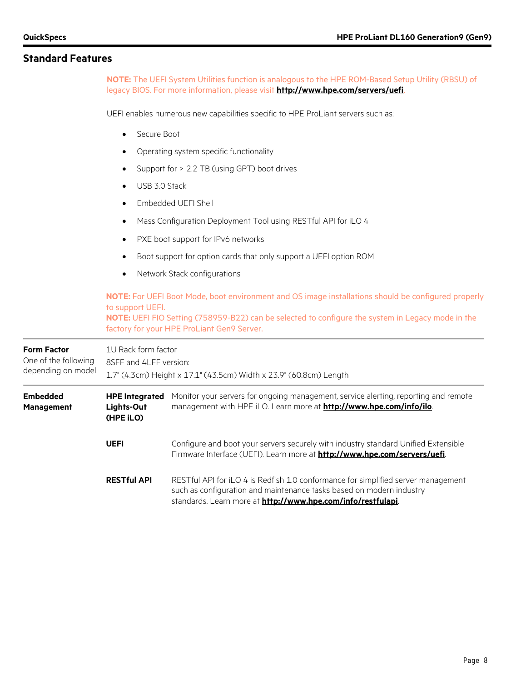**NOTE:** The UEFI System Utilities function is analogous to the HPE ROM-Based Setup Utility (RBSU) of legacy BIOS. For more information, please visit **<http://www.hpe.com/servers/uefi>**.

UEFI enables numerous new capabilities specific to HPE ProLiant servers such as:

- Secure Boot
- Operating system specific functionality
- Support for > 2.2 TB (using GPT) boot drives
- USB 3.0 Stack
- Embedded UEFI Shell
- Mass Configuration Deployment Tool using RESTful API for iLO 4
- PXE boot support for IPv6 networks
- Boot support for option cards that only support a UEFI option ROM
- Network Stack configurations

**NOTE:** For UEFI Boot Mode, boot environment and OS image installations should be configured properly to support UEFI. **NOTE:** UEFI FIO Setting (758959-B22) can be selected to configure the system in Legacy mode in the factory for your HPE ProLiant Gen9 Server.

| <b>Form Factor</b><br>One of the following<br>depending on model | 1U Rack form factor<br>8SFF and 4LFF version:<br>1.7" (4.3cm) Height x 17.1" (43.5cm) Width x 23.9" (60.8cm) Length |                                                                                                                                                                                                                           |  |  |
|------------------------------------------------------------------|---------------------------------------------------------------------------------------------------------------------|---------------------------------------------------------------------------------------------------------------------------------------------------------------------------------------------------------------------------|--|--|
| <b>Embedded</b><br><b>Management</b>                             | <b>HPE Integrated</b><br>Lights-Out<br>(HPE iLO)                                                                    | Monitor your servers for ongoing management, service alerting, reporting and remote<br>management with HPE iLO. Learn more at <b>http://www.hpe.com/info/ilo</b> .                                                        |  |  |
|                                                                  | <b>UEFI</b>                                                                                                         | Configure and boot your servers securely with industry standard Unified Extensible<br>Firmware Interface (UEFI). Learn more at http://www.hpe.com/servers/uefi.                                                           |  |  |
|                                                                  | <b>RESTful API</b>                                                                                                  | RESTful API for iLO 4 is Redfish 1.0 conformance for simplified server management<br>such as configuration and maintenance tasks based on modern industry<br>standards. Learn more at http://www.hpe.com/info/restfulapi. |  |  |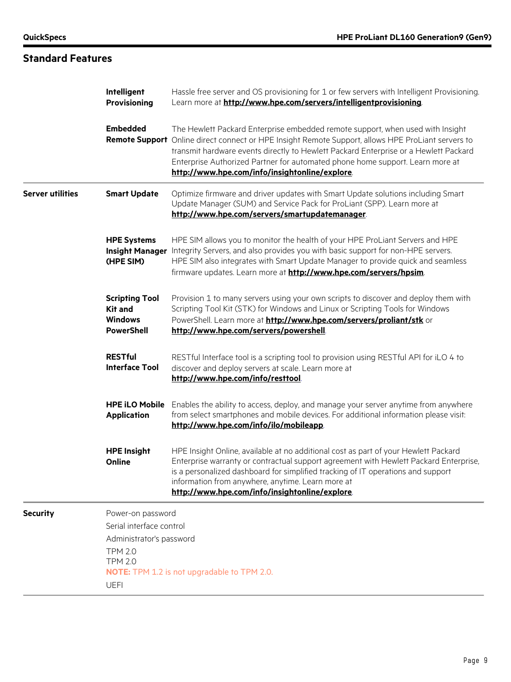#### **Standard Features Intelligent Provisioning** Hassle free server and OS provisioning for 1 or few servers with Intelligent Provisioning. Learn more at **<http://www.hpe.com/servers/intelligentprovisioning>**. **Embedded**  Remote Support Online direct connect or HPE Insight Remote Support, allows HPE ProLiant servers to The Hewlett Packard Enterprise embedded remote support, when used with Insight transmit hardware events directly to Hewlett Packard Enterprise or a Hewlett Packard Enterprise Authorized Partner for automated phone home support. Learn more at **<http://www.hpe.com/info/insightonline/explore>**. **Server utilities Smart Update** Optimize firmware and driver updates with Smart Update solutions including Smart Update Manager (SUM) and Service Pack for ProLiant (SPP). Learn more at **<http://www.hpe.com/servers/smartupdatemanager>**. **HPE Systems**  Insight Manager Integrity Servers, and also provides you with basic support for non-HPE servers. **(HPE SIM)** HPE SIM allows you to monitor the health of your HPE ProLiant Servers and HPE HPE SIM also integrates with Smart Update Manager to provide quick and seamless firmware updates. Learn more at **<http://www.hpe.com/servers/hpsim>**. **Scripting Tool Kit and Windows PowerShell** Provision 1 to many servers using your own scripts to discover and deploy them with Scripting Tool Kit (STK) for Windows and Linux or Scripting Tools for Windows PowerShell. Learn more at **<http://www.hpe.com/servers/proliant/stk>** or **<http://www.hpe.com/servers/powershell>**. **RESTful Interface Tool** RESTful Interface tool is a scripting tool to provision using RESTful API for iLO 4 to discover and deploy servers at scale. Learn more at **<http://www.hpe.com/info/resttool>**. HPE iLO Mobile Enables the ability to access, deploy, and manage your server anytime from anywhere **Application** from select smartphones and mobile devices. For additional information please visit: **<http://www.hpe.com/info/ilo/mobileapp>**. **HPE Insight Online** HPE Insight Online, available at no additional cost as part of your Hewlett Packard Enterprise warranty or contractual support agreement with Hewlett Packard Enterprise, is a personalized dashboard for simplified tracking of IT operations and support information from anywhere, anytime. Learn more at **[http://www.hpe.com/info/insightonline/explore](http://www.hpe.com/info/insightonline/exploreo)**. **Security** Power-on password Serial interface control Administrator's password TPM 2.0 TPM 2.0 **NOTE:** TPM 1.2 is not upgradable to TPM 2.0. UEFI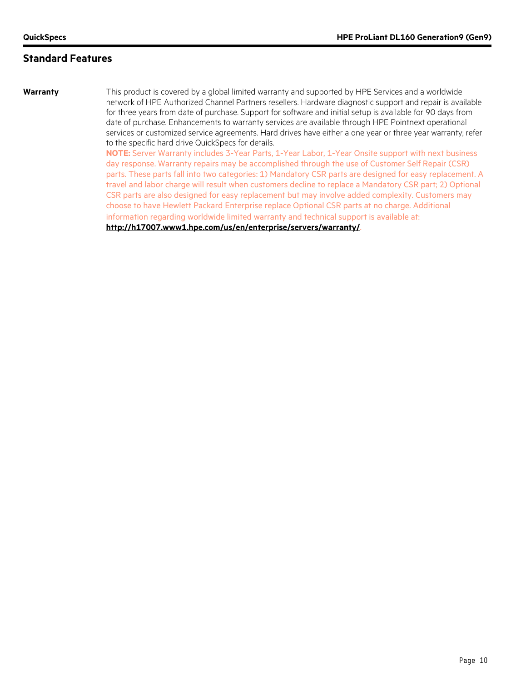**Warranty** This product is covered by a global limited warranty and supported by HPE Services and a worldwide network of HPE Authorized Channel Partners resellers. Hardware diagnostic support and repair is available for three years from date of purchase. Support for software and initial setup is available for 90 days from date of purchase. Enhancements to warranty services are available through HPE Pointnext operational services or customized service agreements. Hard drives have either a one year or three year warranty; refer to the specific hard drive QuickSpecs for details.

**NOTE:** Server Warranty includes 3-Year Parts, 1-Year Labor, 1-Year Onsite support with next business day response. Warranty repairs may be accomplished through the use of Customer Self Repair (CSR) parts. These parts fall into two categories: 1) Mandatory CSR parts are designed for easy replacement. A travel and labor charge will result when customers decline to replace a Mandatory CSR part; 2) Optional CSR parts are also designed for easy replacement but may involve added complexity. Customers may choose to have Hewlett Packard Enterprise replace Optional CSR parts at no charge. Additional information regarding worldwide limited warranty and technical support is available at:

**<http://h17007.www1.hpe.com/us/en/enterprise/servers/warranty/>**.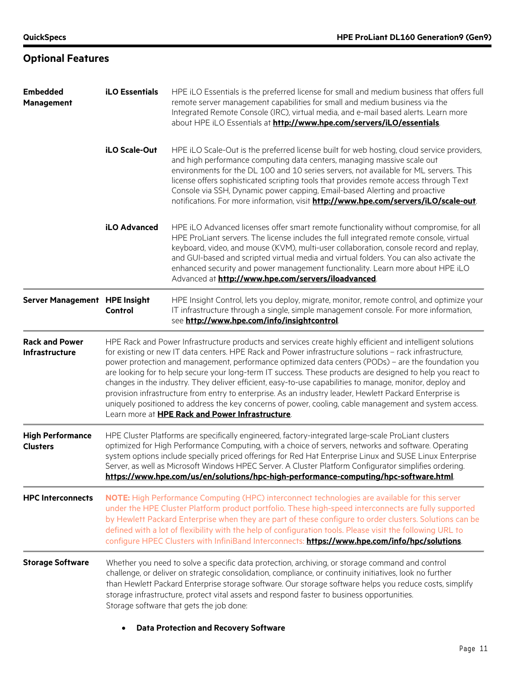**Optional Features**

| <b>Embedded</b>                            | <b>iLO Essentials</b>                                                                                                                                                                                                                                                                                                                                                                                                                                                                                                                                                                                                                                                                                                                                                                                                          | HPE iLO Essentials is the preferred license for small and medium business that offers full                                                                                                                                                                                                                                                                                                                                                                                                                                    |  |  |  |
|--------------------------------------------|--------------------------------------------------------------------------------------------------------------------------------------------------------------------------------------------------------------------------------------------------------------------------------------------------------------------------------------------------------------------------------------------------------------------------------------------------------------------------------------------------------------------------------------------------------------------------------------------------------------------------------------------------------------------------------------------------------------------------------------------------------------------------------------------------------------------------------|-------------------------------------------------------------------------------------------------------------------------------------------------------------------------------------------------------------------------------------------------------------------------------------------------------------------------------------------------------------------------------------------------------------------------------------------------------------------------------------------------------------------------------|--|--|--|
| <b>Management</b>                          |                                                                                                                                                                                                                                                                                                                                                                                                                                                                                                                                                                                                                                                                                                                                                                                                                                | remote server management capabilities for small and medium business via the<br>Integrated Remote Console (IRC), virtual media, and e-mail based alerts. Learn more<br>about HPE iLO Essentials at http://www.hpe.com/servers/iLO/essentials.                                                                                                                                                                                                                                                                                  |  |  |  |
|                                            | iLO Scale-Out                                                                                                                                                                                                                                                                                                                                                                                                                                                                                                                                                                                                                                                                                                                                                                                                                  | HPE iLO Scale-Out is the preferred license built for web hosting, cloud service providers,<br>and high performance computing data centers, managing massive scale out<br>environments for the DL 100 and 10 series servers, not available for ML servers. This<br>license offers sophisticated scripting tools that provides remote access through Text<br>Console via SSH, Dynamic power capping, Email-based Alerting and proactive<br>notifications. For more information, visit http://www.hpe.com/servers/iLO/scale-out. |  |  |  |
|                                            | <b>iLO Advanced</b>                                                                                                                                                                                                                                                                                                                                                                                                                                                                                                                                                                                                                                                                                                                                                                                                            | HPE iLO Advanced licenses offer smart remote functionality without compromise, for all<br>HPE ProLiant servers. The license includes the full integrated remote console, virtual<br>keyboard, video, and mouse (KVM), multi-user collaboration, console record and replay,<br>and GUI-based and scripted virtual media and virtual folders. You can also activate the<br>enhanced security and power management functionality. Learn more about HPE iLO<br>Advanced at http://www.hpe.com/servers/iloadvanced.                |  |  |  |
| Server Management HPE Insight              | Control                                                                                                                                                                                                                                                                                                                                                                                                                                                                                                                                                                                                                                                                                                                                                                                                                        | HPE Insight Control, lets you deploy, migrate, monitor, remote control, and optimize your<br>IT infrastructure through a single, simple management console. For more information,<br>see http://www.hpe.com/info/insightcontrol.                                                                                                                                                                                                                                                                                              |  |  |  |
| <b>Rack and Power</b><br>Infrastructure    | HPE Rack and Power Infrastructure products and services create highly efficient and intelligent solutions<br>for existing or new IT data centers. HPE Rack and Power infrastructure solutions - rack infrastructure,<br>power protection and management, performance optimized data centers (PODs) - are the foundation you<br>are looking for to help secure your long-term IT success. These products are designed to help you react to<br>changes in the industry. They deliver efficient, easy-to-use capabilities to manage, monitor, deploy and<br>provision infrastructure from entry to enterprise. As an industry leader, Hewlett Packard Enterprise is<br>uniquely positioned to address the key concerns of power, cooling, cable management and system access.<br>Learn more at HPE Rack and Power Infrastructure. |                                                                                                                                                                                                                                                                                                                                                                                                                                                                                                                               |  |  |  |
| <b>High Performance</b><br><b>Clusters</b> |                                                                                                                                                                                                                                                                                                                                                                                                                                                                                                                                                                                                                                                                                                                                                                                                                                | HPE Cluster Platforms are specifically engineered, factory-integrated large-scale ProLiant clusters<br>optimized for High Performance Computing, with a choice of servers, networks and software. Operating<br>system options include specially priced offerings for Red Hat Enterprise Linux and SUSE Linux Enterprise<br>Server, as well as Microsoft Windows HPEC Server. A Cluster Platform Configurator simplifies ordering.<br>https://www.hpe.com/us/en/solutions/hpc-high-performance-computing/hpc-software.html     |  |  |  |
| <b>HPC Interconnects</b>                   | NOTE: High Performance Computing (HPC) interconnect technologies are available for this server<br>under the HPE Cluster Platform product portfolio. These high-speed interconnects are fully supported<br>by Hewlett Packard Enterprise when they are part of these configure to order clusters. Solutions can be<br>defined with a lot of flexibility with the help of configuration tools. Please visit the following URL to<br>configure HPEC Clusters with InfiniBand Interconnects: https://www.hpe.com/info/hpc/solutions                                                                                                                                                                                                                                                                                                |                                                                                                                                                                                                                                                                                                                                                                                                                                                                                                                               |  |  |  |
| <b>Storage Software</b>                    |                                                                                                                                                                                                                                                                                                                                                                                                                                                                                                                                                                                                                                                                                                                                                                                                                                | Whether you need to solve a specific data protection, archiving, or storage command and control<br>challenge, or deliver on strategic consolidation, compliance, or continuity initiatives, look no further<br>than Hewlett Packard Enterprise storage software. Our storage software helps you reduce costs, simplify<br>storage infrastructure, protect vital assets and respond faster to business opportunities.<br>Storage software that gets the job done:                                                              |  |  |  |
|                                            |                                                                                                                                                                                                                                                                                                                                                                                                                                                                                                                                                                                                                                                                                                                                                                                                                                | <b>Data Protection and Recovery Software</b>                                                                                                                                                                                                                                                                                                                                                                                                                                                                                  |  |  |  |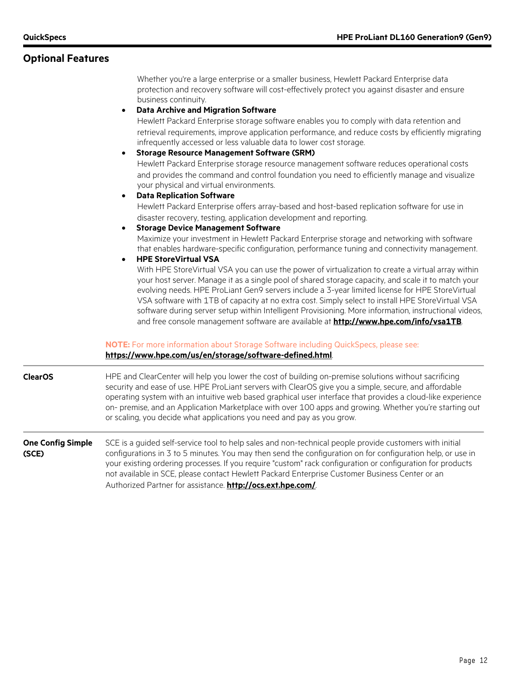#### **Optional Features**

Whether you're a large enterprise or a smaller business, Hewlett Packard Enterprise data protection and recovery software will cost-effectively protect you against disaster and ensure business continuity.

#### • **Data Archive and Migration Software**

Hewlett Packard Enterprise storage software enables you to comply with data retention and retrieval requirements, improve application performance, and reduce costs by efficiently migrating infrequently accessed or less valuable data to lower cost storage.

• **Storage Resource Management Software (SRM)** Hewlett Packard Enterprise storage resource management software reduces operational costs and provides the command and control foundation you need to efficiently manage and visualize your physical and virtual environments.

#### • **Data Replication Software**

Hewlett Packard Enterprise offers array-based and host-based replication software for use in disaster recovery, testing, application development and reporting.

• **Storage Device Management Software** Maximize your investment in Hewlett Packard Enterprise storage and networking with software

that enables hardware-specific configuration, performance tuning and connectivity management.

#### • **HPE StoreVirtual VSA**

With HPE StoreVirtual VSA you can use the power of virtualization to create a virtual array within your host server. Manage it as a single pool of shared storage capacity, and scale it to match your evolving needs. HPE ProLiant Gen9 servers include a 3-year limited license for HPE StoreVirtual VSA software with 1TB of capacity at no extra cost. Simply select to install HPE StoreVirtual VSA software during server setup within Intelligent Provisioning. More information, instructional videos, and free console management software are available at **<http://www.hpe.com/info/vsa1TB>**.

#### **NOTE:** For more information about Storage Software including QuickSpecs, please see: **<https://www.hpe.com/us/en/storage/software-defined.html>**.

**ClearOS** HPE and ClearCenter will help you lower the cost of building on-premise solutions without sacrificing security and ease of use. HPE ProLiant servers with ClearOS give you a simple, secure, and affordable operating system with an intuitive web based graphical user interface that provides a cloud-like experience on- premise, and an Application Marketplace with over 100 apps and growing. Whether you're starting out or scaling, you decide what applications you need and pay as you grow.

#### **One Config Simple (SCE)** SCE is a guided self-service tool to help sales and non-technical people provide customers with initial configurations in 3 to 5 minutes. You may then send the configuration on for configuration help, or use in your existing ordering processes. If you require "custom" rack configuration or configuration for products not available in SCE, please contact Hewlett Packard Enterprise Customer Business Center or an Authorized Partner for assistance. **<http://ocs.ext.hpe.com/>**.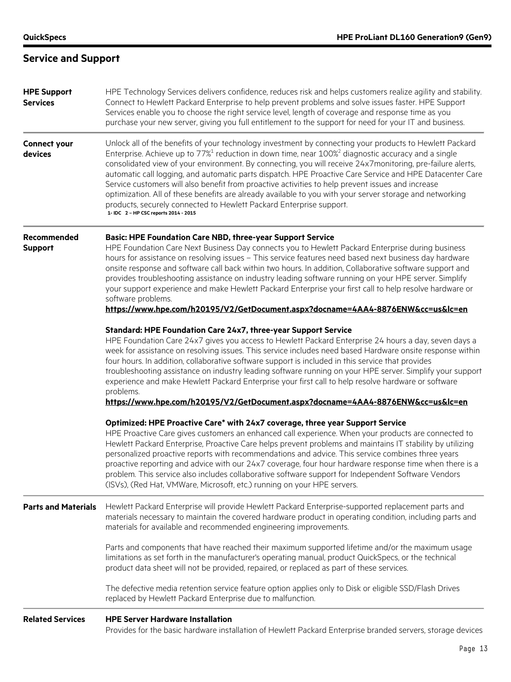### **Service and Support**

| <b>HPE Support</b><br><b>Services</b> | HPE Technology Services delivers confidence, reduces risk and helps customers realize agility and stability.<br>Connect to Hewlett Packard Enterprise to help prevent problems and solve issues faster. HPE Support<br>Services enable you to choose the right service level, length of coverage and response time as you<br>purchase your new server, giving you full entitlement to the support for need for your IT and business.                                                                                                                                                                                                                                                                                                                                                             |
|---------------------------------------|--------------------------------------------------------------------------------------------------------------------------------------------------------------------------------------------------------------------------------------------------------------------------------------------------------------------------------------------------------------------------------------------------------------------------------------------------------------------------------------------------------------------------------------------------------------------------------------------------------------------------------------------------------------------------------------------------------------------------------------------------------------------------------------------------|
| <b>Connect your</b><br>devices        | Unlock all of the benefits of your technology investment by connecting your products to Hewlett Packard<br>Enterprise. Achieve up to 77% <sup>1</sup> reduction in down time, near 100% <sup>2</sup> diagnostic accuracy and a single<br>consolidated view of your environment. By connecting, you will receive 24x7monitoring, pre-failure alerts,<br>automatic call logging, and automatic parts dispatch. HPE Proactive Care Service and HPE Datacenter Care<br>Service customers will also benefit from proactive activities to help prevent issues and increase<br>optimization. All of these benefits are already available to you with your server storage and networking<br>products, securely connected to Hewlett Packard Enterprise support.<br>1- IDC 2 - HP CSC reports 2014 - 2015 |
| Recommended<br><b>Support</b>         | <b>Basic: HPE Foundation Care NBD, three-year Support Service</b><br>HPE Foundation Care Next Business Day connects you to Hewlett Packard Enterprise during business<br>hours for assistance on resolving issues - This service features need based next business day hardware<br>onsite response and software call back within two hours. In addition, Collaborative software support and<br>provides troubleshooting assistance on industry leading software running on your HPE server. Simplify<br>your support experience and make Hewlett Packard Enterprise your first call to help resolve hardware or<br>software problems.<br>https://www.hpe.com/h20195/V2/GetDocument.aspx?docname=4AA4-8876ENW&cc=us&lc=en                                                                         |
|                                       | Standard: HPE Foundation Care 24x7, three-year Support Service<br>HPE Foundation Care 24x7 gives you access to Hewlett Packard Enterprise 24 hours a day, seven days a<br>week for assistance on resolving issues. This service includes need based Hardware onsite response within<br>four hours. In addition, collaborative software support is included in this service that provides<br>troubleshooting assistance on industry leading software running on your HPE server. Simplify your support<br>experience and make Hewlett Packard Enterprise your first call to help resolve hardware or software<br>problems.<br>https://www.hpe.com/h20195/V2/GetDocument.aspx?docname=4AA4-8876ENW&cc=us&lc=en                                                                                     |
|                                       | Optimized: HPE Proactive Care* with 24x7 coverage, three year Support Service<br>HPE Proactive Care gives customers an enhanced call experience. When your products are connected to<br>Hewlett Packard Enterprise, Proactive Care helps prevent problems and maintains IT stability by utilizing<br>personalized proactive reports with recommendations and advice. This service combines three years<br>proactive reporting and advice with our 24x7 coverage, four hour hardware response time when there is a<br>problem. This service also includes collaborative software support for Independent Software Vendors<br>(ISVs), (Red Hat, VMWare, Microsoft, etc.) running on your HPE servers.                                                                                              |
| <b>Parts and Materials</b>            | Hewlett Packard Enterprise will provide Hewlett Packard Enterprise-supported replacement parts and<br>materials necessary to maintain the covered hardware product in operating condition, including parts and<br>materials for available and recommended engineering improvements.                                                                                                                                                                                                                                                                                                                                                                                                                                                                                                              |
|                                       | Parts and components that have reached their maximum supported lifetime and/or the maximum usage<br>limitations as set forth in the manufacturer's operating manual, product QuickSpecs, or the technical<br>product data sheet will not be provided, repaired, or replaced as part of these services.                                                                                                                                                                                                                                                                                                                                                                                                                                                                                           |
|                                       | The defective media retention service feature option applies only to Disk or eligible SSD/Flash Drives<br>replaced by Hewlett Packard Enterprise due to malfunction.                                                                                                                                                                                                                                                                                                                                                                                                                                                                                                                                                                                                                             |
| <b>Related Services</b>               | <b>HPE Server Hardware Installation</b><br>Provides for the basic hardware installation of Hewlett Packard Enterprise branded servers, storage devices                                                                                                                                                                                                                                                                                                                                                                                                                                                                                                                                                                                                                                           |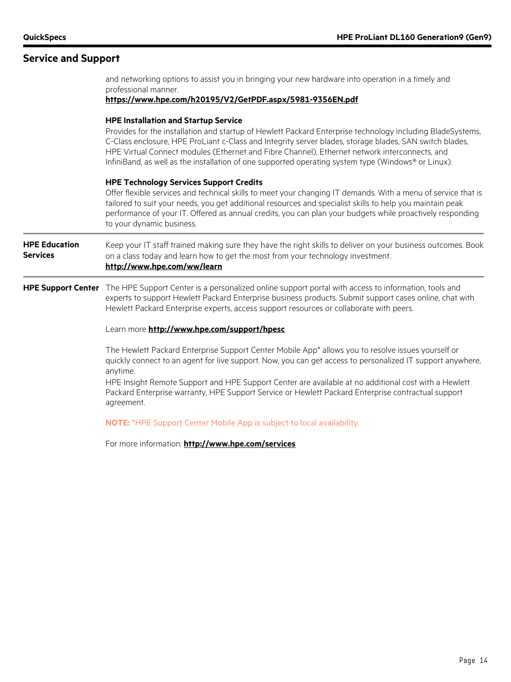#### **Service and Support**

professional manner. **<https://www.hpe.com/h20195/V2/GetPDF.aspx/5981-9356EN.pdf> HPE Installation and Startup Service** Provides for the installation and startup of Hewlett Packard Enterprise technology including BladeSystems, C-Class enclosure, HPE ProLiant c-Class and Integrity server blades, storage blades, SAN switch blades, HPE Virtual Connect modules (Ethernet and Fibre Channel), Ethernet network interconnects, and InfiniBand, as well as the installation of one supported operating system type (Windows® or Linux). **HPE Technology Services Support Credits** Offer flexible services and technical skills to meet your changing IT demands. With a menu of service that is tailored to suit your needs, you get additional resources and specialist skills to help you maintain peak performance of your IT. Offered as annual credits, you can plan your budgets while proactively responding to your dynamic business. **HPE Education Services** Keep your IT staff trained making sure they have the right skills to deliver on your business outcomes. Book on a class today and learn how to get the most from your technology investment. **<http://www.hpe.com/ww/learn> HPE Support Center** The HPE Support Center is a personalized online support portal with access to information, tools and experts to support Hewlett Packard Enterprise business products. Submit support cases online, chat with Hewlett Packard Enterprise experts, access support resources or collaborate with peers. Learn more **<http://www.hpe.com/support/hpesc>** The Hewlett Packard Enterprise Support Center Mobile App\* allows you to resolve issues yourself or quickly connect to an agent for live support. Now, you can get access to personalized IT support anywhere, anytime. HPE Insight Remote Support and HPE Support Center are available at no additional cost with a Hewlett Packard Enterprise warranty, HPE Support Service or Hewlett Packard Enterprise contractual support agreement. **NOTE:** \*HPE Support Center Mobile App is subject to local availability.

and networking options to assist you in bringing your new hardware into operation in a timely and

For more information: **<http://www.hpe.com/services>**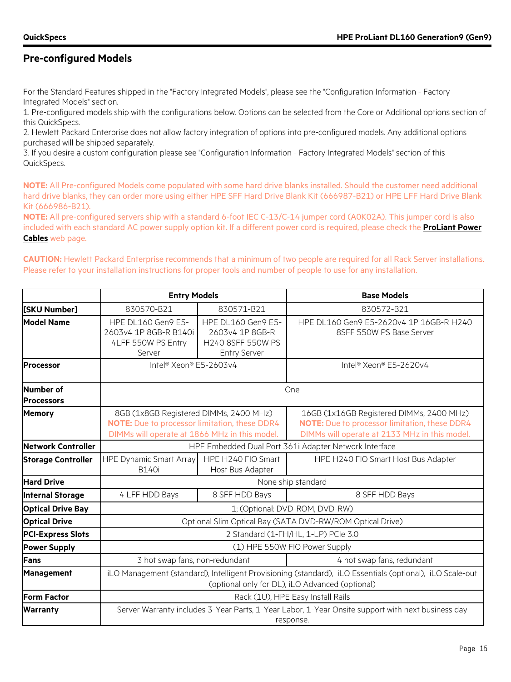#### **Pre-configured Models**

For the Standard Features shipped in the "Factory Integrated Models", please see the "Configuration Information - Factory Integrated Models" section.

1. Pre-configured models ship with the configurations below. Options can be selected from the Core or Additional options section of this QuickSpecs.

2. Hewlett Packard Enterprise does not allow factory integration of options into pre-configured models. Any additional options purchased will be shipped separately.

3. If you desire a custom configuration please see "Configuration Information - Factory Integrated Models" section of this QuickSpecs.

**NOTE:** All Pre-configured Models come populated with some hard drive blanks installed. Should the customer need additional hard drive blanks, they can order more using either HPE SFF Hard Drive Blank Kit (666987-B21) or HPE LFF Hard Drive Blank Kit (666986-B21).

**NOTE:** All pre-configured servers ship with a standard 6-foot IEC C-13/C-14 jumper cord (A0K02A). This jumper cord is also included with each standard AC power supply option kit. If a different power cord is required, please check the **[ProLiant Power](http://h18004.www1.hp.com/products/servers/proliantstorage/power-protection/options/power-cable.html)  [Cables](http://h18004.www1.hp.com/products/servers/proliantstorage/power-protection/options/power-cable.html)** web page.

**CAUTION:** Hewlett Packard Enterprise recommends that a minimum of two people are required for all Rack Server installations. Please refer to your installation instructions for proper tools and number of people to use for any installation.

|                                | <b>Entry Models</b>                                                                                                                                         |                                                                                   | <b>Base Models</b>                                                                                                                         |  |  |
|--------------------------------|-------------------------------------------------------------------------------------------------------------------------------------------------------------|-----------------------------------------------------------------------------------|--------------------------------------------------------------------------------------------------------------------------------------------|--|--|
| [SKU Number]                   | 830570-B21                                                                                                                                                  | 830571-B21                                                                        | 830572-B21                                                                                                                                 |  |  |
| <b>Model Name</b>              | HPE DL160 Gen9 E5-<br>2603v4 1P 8GB-R B140i<br>4LFF 550W PS Entry<br>Server                                                                                 | HPE DL160 Gen9 E5-<br>2603v4 1P 8GB-R<br>H240 8SFF 550W PS<br><b>Entry Server</b> | HPE DL160 Gen9 E5-2620v4 1P 16GB-R H240<br>8SFF 550W PS Base Server                                                                        |  |  |
| <b>Processor</b>               | Intel <sup>®</sup> Xeon® E5-2603v4                                                                                                                          |                                                                                   | Intel® Xeon® E5-2620v4                                                                                                                     |  |  |
| Number of<br><b>Processors</b> |                                                                                                                                                             |                                                                                   | One                                                                                                                                        |  |  |
| <b>Memory</b>                  | 8GB (1x8GB Registered DIMMs, 2400 MHz)<br>NOTE: Due to processor limitation, these DDR4<br>DIMMs will operate at 1866 MHz in this model.                    |                                                                                   | 16GB (1x16GB Registered DIMMs, 2400 MHz)<br>NOTE: Due to processor limitation, these DDR4<br>DIMMs will operate at 2133 MHz in this model. |  |  |
| <b>Network Controller</b>      |                                                                                                                                                             |                                                                                   | HPE Embedded Dual Port 361i Adapter Network Interface                                                                                      |  |  |
| <b>Storage Controller</b>      | <b>HPE Dynamic Smart Array</b><br><b>B140i</b>                                                                                                              | HPE H240 FIO Smart<br>Host Bus Adapter                                            | HPE H240 FIO Smart Host Bus Adapter                                                                                                        |  |  |
| <b>Hard Drive</b>              |                                                                                                                                                             |                                                                                   | None ship standard                                                                                                                         |  |  |
| Internal Storage               | 4 LFF HDD Bays                                                                                                                                              | 8 SFF HDD Bays                                                                    | 8 SFF HDD Bays                                                                                                                             |  |  |
| <b>Optical Drive Bay</b>       |                                                                                                                                                             |                                                                                   | 1; (Optional: DVD-ROM, DVD-RW)                                                                                                             |  |  |
| <b>Optical Drive</b>           |                                                                                                                                                             |                                                                                   | Optional Slim Optical Bay (SATA DVD-RW/ROM Optical Drive)                                                                                  |  |  |
| <b>PCI-Express Slots</b>       |                                                                                                                                                             |                                                                                   | 2 Standard (1-FH/HL, 1-LP) PCle 3.0                                                                                                        |  |  |
| <b>Power Supply</b>            | (1) HPE 550W FIO Power Supply                                                                                                                               |                                                                                   |                                                                                                                                            |  |  |
| <b>Fans</b>                    | 3 hot swap fans, non-redundant<br>4 hot swap fans, redundant                                                                                                |                                                                                   |                                                                                                                                            |  |  |
| <b>Management</b>              | iLO Management (standard), Intelligent Provisioning (standard), iLO Essentials (optional), iLO Scale-out<br>(optional only for DL), iLO Advanced (optional) |                                                                                   |                                                                                                                                            |  |  |
| <b>Form Factor</b>             |                                                                                                                                                             |                                                                                   | Rack (1U), HPE Easy Install Rails                                                                                                          |  |  |
| <b>Warranty</b>                |                                                                                                                                                             |                                                                                   | Server Warranty includes 3-Year Parts, 1-Year Labor, 1-Year Onsite support with next business day<br>response.                             |  |  |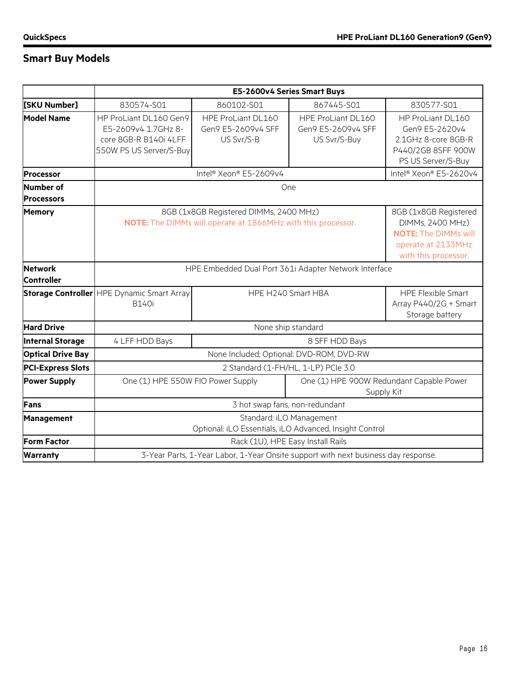### **Smart Buy Models**

|                                     | E5-2600v4 Series Smart Buys                                                                                                                                                                                                      |                                                        |                                                                                    |                                                                                                        |  |  |
|-------------------------------------|----------------------------------------------------------------------------------------------------------------------------------------------------------------------------------------------------------------------------------|--------------------------------------------------------|------------------------------------------------------------------------------------|--------------------------------------------------------------------------------------------------------|--|--|
| [SKU Number]                        | 830574-S01                                                                                                                                                                                                                       | 860102-S01                                             | 867445-S01                                                                         | 830577-S01                                                                                             |  |  |
| <b>Model Name</b>                   | HP ProLiant DL160 Gen9<br>E5-2609v4 1.7GHz 8-<br>core 8GB-R B140i 4LFF<br>550W PS US Server/S-Buy                                                                                                                                | HPE ProLiant DL160<br>Gen9 E5-2609v4 SFF<br>US Svr/S-B | HPE ProLiant DL160<br>Gen9 E5-2609v4 SFF<br>US Svr/S-Buy                           | HP ProLiant DL160<br>Gen9 E5-2620v4<br>2.1GHz 8-core 8GB-R<br>P440/2GB 8SFF 900W<br>PS US Server/S-Buy |  |  |
| <b>Processor</b>                    |                                                                                                                                                                                                                                  | Intel® Xeon® E5-2609v4                                 |                                                                                    | Intel® Xeon® E5-2620v4                                                                                 |  |  |
| Number of<br><b>Processors</b>      |                                                                                                                                                                                                                                  |                                                        | One                                                                                |                                                                                                        |  |  |
| <b>Memory</b>                       | 8GB (1x8GB Registered DIMMs, 2400 MHz)<br>8GB (1x8GB Registered<br>NOTE: The DIMMs will operate at 1866MHz with this processor.<br>DIMMs, 2400 MHz)<br><b>NOTE: The DIMMs will</b><br>operate at 2133MHz<br>with this processor. |                                                        |                                                                                    |                                                                                                        |  |  |
| <b>Network</b><br><b>Controller</b> |                                                                                                                                                                                                                                  | HPE Embedded Dual Port 361i Adapter Network Interface  |                                                                                    |                                                                                                        |  |  |
|                                     | Storage Controller HPE Dynamic Smart Array<br><b>B140i</b>                                                                                                                                                                       |                                                        | HPE H240 Smart HBA                                                                 | <b>HPE Flexible Smart</b><br>Array P440/2G + Smart<br>Storage battery                                  |  |  |
| <b>Hard Drive</b>                   |                                                                                                                                                                                                                                  |                                                        | None ship standard                                                                 |                                                                                                        |  |  |
| <b>Internal Storage</b>             | 4 LFF HDD Bays                                                                                                                                                                                                                   |                                                        | 8 SFF HDD Bays                                                                     |                                                                                                        |  |  |
| <b>Optical Drive Bay</b>            |                                                                                                                                                                                                                                  |                                                        | None Included; Optional: DVD-ROM, DVD-RW                                           |                                                                                                        |  |  |
| <b>PCI-Express Slots</b>            | 2 Standard (1-FH/HL, 1-LP) PCle 3.0                                                                                                                                                                                              |                                                        |                                                                                    |                                                                                                        |  |  |
| <b>Power Supply</b>                 | One (1) HPE 900W Redundant Capable Power<br>One (1) HPE 550W FIO Power Supply<br>Supply Kit                                                                                                                                      |                                                        |                                                                                    |                                                                                                        |  |  |
| Fans                                | 3 hot swap fans, non-redundant                                                                                                                                                                                                   |                                                        |                                                                                    |                                                                                                        |  |  |
| Management                          | Standard: iLO Management<br>Optional: iLO Essentials, iLO Advanced, Insight Control                                                                                                                                              |                                                        |                                                                                    |                                                                                                        |  |  |
| <b>Form Factor</b>                  |                                                                                                                                                                                                                                  |                                                        | Rack (1U), HPE Easy Install Rails                                                  |                                                                                                        |  |  |
| <b>Warranty</b>                     |                                                                                                                                                                                                                                  |                                                        | 3-Year Parts, 1-Year Labor, 1-Year Onsite support with next business day response. |                                                                                                        |  |  |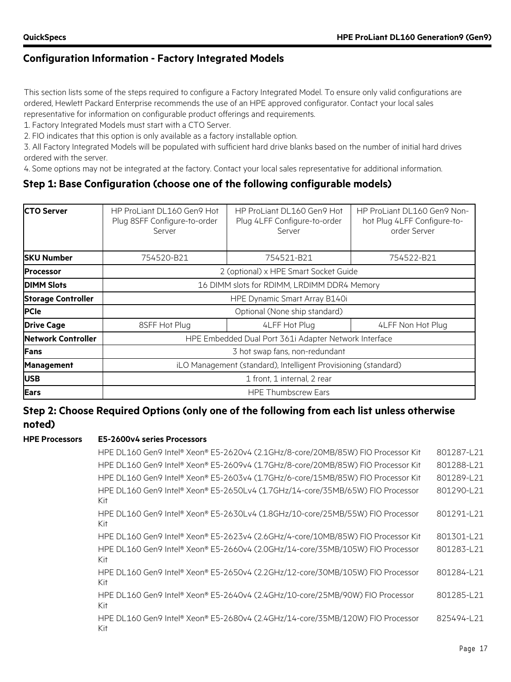This section lists some of the steps required to configure a Factory Integrated Model. To ensure only valid configurations are ordered, Hewlett Packard Enterprise recommends the use of an HPE approved configurator. Contact your local sales representative for information on configurable product offerings and requirements.

1. Factory Integrated Models must start with a CTO Server.

2. FIO indicates that this option is only available as a factory installable option.

3. All Factory Integrated Models will be populated with sufficient hard drive blanks based on the number of initial hard drives ordered with the server.

4. Some options may not be integrated at the factory. Contact your local sales representative for additional information.

#### **Step 1: Base Configuration (choose one of the following configurable models)**

| <b>ICTO Server</b>        | HP ProLiant DL160 Gen9 Hot<br>Plug 8SFF Configure-to-order<br>Server | HP ProLiant DL160 Gen9 Hot<br>Plug 4LFF Configure-to-order<br>Server | HP ProLiant DL160 Gen9 Non-<br>hot Plug 4LFF Configure-to-<br>order Server |  |  |
|---------------------------|----------------------------------------------------------------------|----------------------------------------------------------------------|----------------------------------------------------------------------------|--|--|
| <b>SKU Number</b>         | 754520-B21                                                           | 754521-B21                                                           | 754522-B21                                                                 |  |  |
| <b>Processor</b>          |                                                                      | 2 (optional) x HPE Smart Socket Guide                                |                                                                            |  |  |
| <b>DIMM Slots</b>         | 16 DIMM slots for RDIMM, LRDIMM DDR4 Memory                          |                                                                      |                                                                            |  |  |
| <b>Storage Controller</b> | HPE Dynamic Smart Array B140i                                        |                                                                      |                                                                            |  |  |
| <b>PCIe</b>               |                                                                      | Optional (None ship standard)                                        |                                                                            |  |  |
| <b>Drive Cage</b>         | 8SFF Hot Plug                                                        | 4LFF Hot Plug                                                        | 4LFF Non Hot Plug                                                          |  |  |
| <b>Network Controller</b> |                                                                      | HPE Embedded Dual Port 361i Adapter Network Interface                |                                                                            |  |  |
| Fans                      | 3 hot swap fans, non-redundant                                       |                                                                      |                                                                            |  |  |
| <b>Management</b>         | iLO Management (standard), Intelligent Provisioning (standard)       |                                                                      |                                                                            |  |  |
| <b>USB</b>                | 1 front, 1 internal, 2 rear                                          |                                                                      |                                                                            |  |  |
| <b>Ears</b>               |                                                                      | <b>HPE Thumbscrew Ears</b>                                           |                                                                            |  |  |

#### **Step 2: Choose Required Options (only one of the following from each list unless otherwise noted)**

#### **HPE Processors E5-2600v4 series Processors**

| HPE DL160 Gen9 Intel® Xeon® E5-2620v4 (2.1GHz/8-core/20MB/85W) FIO Processor Kit      | 801287-L21 |
|---------------------------------------------------------------------------------------|------------|
| HPE DL160 Gen9 Intel® Xeon® E5-2609v4 (1.7GHz/8-core/20MB/85W) FIO Processor Kit      | 801288-L21 |
| HPE DL160 Gen9 Intel® Xeon® E5-2603v4 (1.7GHz/6-core/15MB/85W) FIO Processor Kit      | 801289-L21 |
| HPE DL160 Gen9 Intel® Xeon® E5-2650Lv4 (1.7GHz/14-core/35MB/65W) FIO Processor<br>Kit | 801290-L21 |
| HPE DL160 Gen9 Intel® Xeon® E5-2630Lv4 (1.8GHz/10-core/25MB/55W) FIO Processor<br>Kit | 801291-L21 |
| HPE DL160 Gen9 Intel® Xeon® E5-2623v4 (2.6GHz/4-core/10MB/85W) FIO Processor Kit      | 801301-L21 |
| HPE DL160 Gen9 Intel® Xeon® E5-2660v4 (2.0GHz/14-core/35MB/105W) FIO Processor<br>Kit | 801283-L21 |
| HPE DL160 Gen9 Intel® Xeon® E5-2650v4 (2.2GHz/12-core/30MB/105W) FIO Processor<br>Kit | 801284-L21 |
| HPE DL160 Gen9 Intel® Xeon® E5-2640v4 (2.4GHz/10-core/25MB/90W) FIO Processor<br>Kit  | 801285-L21 |
| HPE DL160 Gen9 Intel® Xeon® E5-2680v4 (2.4GHz/14-core/35MB/120W) FIO Processor<br>Kit | 825494-L21 |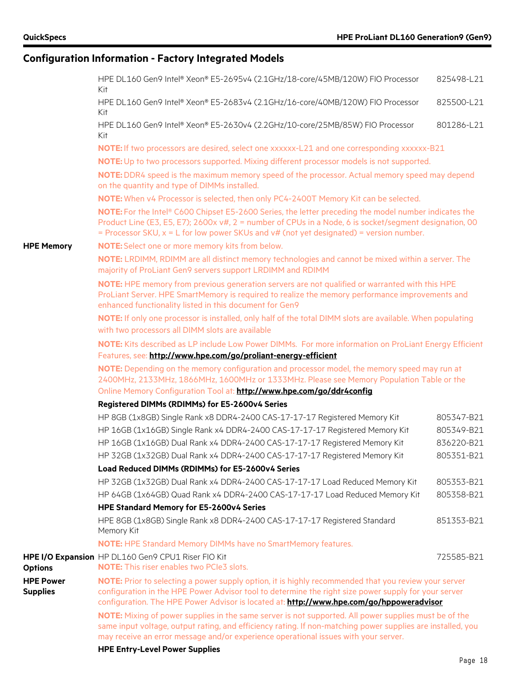|                                     | HPE DL160 Gen9 Intel® Xeon® E5-2695v4 (2.1GHz/18-core/45MB/120W) FIO Processor<br>Kit                                                                                                                                                                                                                           | 825498-L21 |
|-------------------------------------|-----------------------------------------------------------------------------------------------------------------------------------------------------------------------------------------------------------------------------------------------------------------------------------------------------------------|------------|
|                                     | HPE DL160 Gen9 Intel® Xeon® E5-2683v4 (2.1GHz/16-core/40MB/120W) FIO Processor<br>Kit                                                                                                                                                                                                                           | 825500-L21 |
|                                     | HPE DL160 Gen9 Intel® Xeon® E5-2630v4 (2.2GHz/10-core/25MB/85W) FIO Processor<br>Kit                                                                                                                                                                                                                            | 801286-L21 |
|                                     | NOTE: If two processors are desired, select one xxxxxx-L21 and one corresponding xxxxxx-B21                                                                                                                                                                                                                     |            |
|                                     | NOTE: Up to two processors supported. Mixing different processor models is not supported.                                                                                                                                                                                                                       |            |
|                                     | NOTE: DDR4 speed is the maximum memory speed of the processor. Actual memory speed may depend<br>on the quantity and type of DIMMs installed.                                                                                                                                                                   |            |
|                                     | NOTE: When v4 Processor is selected, then only PC4-2400T Memory Kit can be selected.                                                                                                                                                                                                                            |            |
|                                     | NOTE: For the Intel® C600 Chipset E5-2600 Series, the letter preceding the model number indicates the<br>Product Line (E3, E5, E7); 2600x v#, 2 = number of CPUs in a Node, 6 is socket/segment designation, 00<br>= Processor SKU, $x = L$ for low power SKUs and $v#$ (not yet designated) = version number.  |            |
| <b>HPE Memory</b>                   | NOTE: Select one or more memory kits from below.                                                                                                                                                                                                                                                                |            |
|                                     | NOTE: LRDIMM, RDIMM are all distinct memory technologies and cannot be mixed within a server. The<br>majority of ProLiant Gen9 servers support LRDIMM and RDIMM                                                                                                                                                 |            |
|                                     | NOTE: HPE memory from previous generation servers are not qualified or warranted with this HPE<br>ProLiant Server. HPE SmartMemory is required to realize the memory performance improvements and<br>enhanced functionality listed in this document for Gen9                                                    |            |
|                                     | NOTE: If only one processor is installed, only half of the total DIMM slots are available. When populating                                                                                                                                                                                                      |            |
|                                     | with two processors all DIMM slots are available                                                                                                                                                                                                                                                                |            |
|                                     | NOTE: Kits described as LP include Low Power DIMMs. For more information on ProLiant Energy Efficient                                                                                                                                                                                                           |            |
|                                     | Features, see: http://www.hpe.com/go/proliant-energy-efficient                                                                                                                                                                                                                                                  |            |
|                                     | NOTE: Depending on the memory configuration and processor model, the memory speed may run at<br>2400MHz, 2133MHz, 1866MHz, 1600MHz or 1333MHz. Please see Memory Population Table or the                                                                                                                        |            |
|                                     | Online Memory Configuration Tool at: http://www.hpe.com/go/ddr4config                                                                                                                                                                                                                                           |            |
|                                     | Registered DIMMs (RDIMMs) for E5-2600v4 Series                                                                                                                                                                                                                                                                  |            |
|                                     | HP 8GB (1x8GB) Single Rank x8 DDR4-2400 CAS-17-17-17 Registered Memory Kit                                                                                                                                                                                                                                      | 805347-B21 |
|                                     | HP 16GB (1x16GB) Single Rank x4 DDR4-2400 CAS-17-17-17 Registered Memory Kit                                                                                                                                                                                                                                    | 805349-B21 |
|                                     | HP 16GB (1x16GB) Dual Rank x4 DDR4-2400 CAS-17-17-17 Registered Memory Kit                                                                                                                                                                                                                                      | 836220-B21 |
|                                     | HP 32GB (1x32GB) Dual Rank x4 DDR4-2400 CAS-17-17-17 Registered Memory Kit                                                                                                                                                                                                                                      | 805351-B21 |
|                                     | Load Reduced DIMMs (RDIMMs) for E5-2600v4 Series                                                                                                                                                                                                                                                                |            |
|                                     | HP 32GB (1x32GB) Dual Rank x4 DDR4-2400 CAS-17-17-17 Load Reduced Memory Kit                                                                                                                                                                                                                                    | 805353-B21 |
|                                     | HP 64GB (1x64GB) Quad Rank x4 DDR4-2400 CAS-17-17-17 Load Reduced Memory Kit                                                                                                                                                                                                                                    | 805358-B21 |
|                                     | HPE Standard Memory for E5-2600v4 Series                                                                                                                                                                                                                                                                        |            |
|                                     | HPE 8GB (1x8GB) Single Rank x8 DDR4-2400 CAS-17-17-17 Registered Standard<br>Memory Kit                                                                                                                                                                                                                         | 851353-B21 |
|                                     | <b>NOTE:</b> HPE Standard Memory DIMMs have no SmartMemory features.                                                                                                                                                                                                                                            |            |
| <b>Options</b>                      | HPE I/O Expansion HP DL160 Gen9 CPU1 Riser FIO Kit<br><b>NOTE:</b> This riser enables two PCIe3 slots.                                                                                                                                                                                                          | 725585-B21 |
| <b>HPE Power</b><br><b>Supplies</b> | <b>NOTE:</b> Prior to selecting a power supply option, it is highly recommended that you review your server<br>configuration in the HPE Power Advisor tool to determine the right size power supply for your server<br>configuration. The HPE Power Advisor is located at: http://www.hpe.com/go/hppoweradvisor |            |
|                                     | NOTE: Mixing of power supplies in the same server is not supported. All power supplies must be of the<br>same input voltage, output rating, and efficiency rating. If non-matching power supplies are installed, you<br>may receive an error message and/or experience operational issues with your server.     |            |
|                                     | <b>HPE Entry-Level Power Supplies</b>                                                                                                                                                                                                                                                                           |            |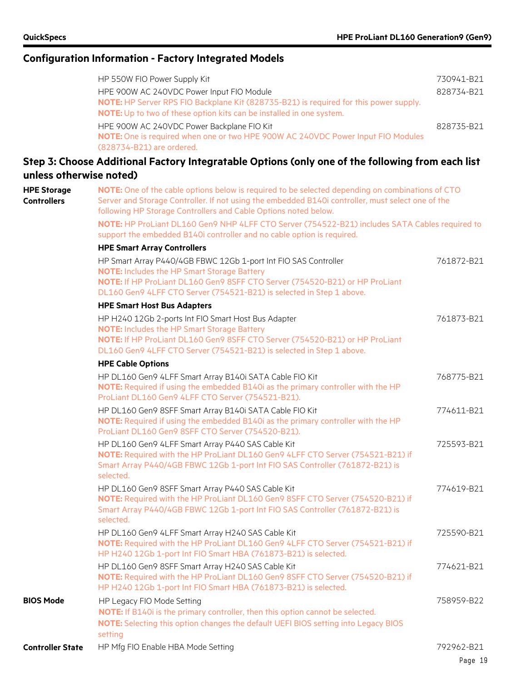|                                          | Configuration information - Factory infegrated Models                                                                                                                                                                                                                                                                                                                                                                                                |                                        |
|------------------------------------------|------------------------------------------------------------------------------------------------------------------------------------------------------------------------------------------------------------------------------------------------------------------------------------------------------------------------------------------------------------------------------------------------------------------------------------------------------|----------------------------------------|
|                                          | HP 550W FIO Power Supply Kit<br>HPE 900W AC 240VDC Power Input FIO Module<br>NOTE: HP Server RPS FIO Backplane Kit (828735-B21) is required for this power supply.<br>NOTE: Up to two of these option kits can be installed in one system.<br>HPE 900W AC 240VDC Power Backplane FIO Kit<br>NOTE: One is required when one or two HPE 900W AC 240VDC Power Input FIO Modules<br>(828734-B21) are ordered.                                            | 730941-B21<br>828734-B21<br>828735-B21 |
|                                          | Step 3: Choose Additional Factory Integratable Options (only one of the following from each list                                                                                                                                                                                                                                                                                                                                                     |                                        |
| unless otherwise noted)                  |                                                                                                                                                                                                                                                                                                                                                                                                                                                      |                                        |
| <b>HPE Storage</b><br><b>Controllers</b> | NOTE: One of the cable options below is required to be selected depending on combinations of CTO<br>Server and Storage Controller. If not using the embedded B140i controller, must select one of the<br>following HP Storage Controllers and Cable Options noted below.<br>NOTE: HP ProLiant DL160 Gen9 NHP 4LFF CTO Server (754522-B21) includes SATA Cables required to<br>support the embedded B140i controller and no cable option is required. |                                        |
|                                          | <b>HPE Smart Array Controllers</b><br>HP Smart Array P440/4GB FBWC 12Gb 1-port Int FIO SAS Controller<br><b>NOTE:</b> Includes the HP Smart Storage Battery<br>NOTE: If HP ProLiant DL160 Gen9 8SFF CTO Server (754520-B21) or HP ProLiant<br>DL160 Gen9 4LFF CTO Server (754521-B21) is selected in Step 1 above.                                                                                                                                   | 761872-B21                             |
|                                          | <b>HPE Smart Host Bus Adapters</b>                                                                                                                                                                                                                                                                                                                                                                                                                   |                                        |
|                                          | HP H240 12Gb 2-ports Int FIO Smart Host Bus Adapter<br><b>NOTE:</b> Includes the HP Smart Storage Battery<br>NOTE: If HP ProLiant DL160 Gen9 8SFF CTO Server (754520-B21) or HP ProLiant<br>DL160 Gen9 4LFF CTO Server (754521-B21) is selected in Step 1 above.                                                                                                                                                                                     | 761873-B21                             |
|                                          | <b>HPE Cable Options</b>                                                                                                                                                                                                                                                                                                                                                                                                                             |                                        |
|                                          | HP DL160 Gen9 4LFF Smart Array B140i SATA Cable FIO Kit<br>NOTE: Required if using the embedded B140i as the primary controller with the HP<br>ProLiant DL160 Gen9 4LFF CTO Server (754521-B21).                                                                                                                                                                                                                                                     | 768775-B21                             |
|                                          | HP DL160 Gen9 8SFF Smart Array B140i SATA Cable FIO Kit<br>NOTE: Required if using the embedded B140i as the primary controller with the HP<br>ProLiant DL160 Gen9 8SFF CTO Server (754520-B21).                                                                                                                                                                                                                                                     | 774611-B21                             |
|                                          | HP DL160 Gen9 4LFF Smart Array P440 SAS Cable Kit<br>NOTE: Required with the HP ProLiant DL160 Gen9 4LFF CTO Server (754521-B21) if<br>Smart Array P440/4GB FBWC 12Gb 1-port Int FIO SAS Controller (761872-B21) is<br>selected.                                                                                                                                                                                                                     | 725593-B21                             |
|                                          | HP DL160 Gen9 8SFF Smart Array P440 SAS Cable Kit<br>NOTE: Required with the HP ProLiant DL160 Gen9 8SFF CTO Server (754520-B21) if<br>Smart Array P440/4GB FBWC 12Gb 1-port Int FIO SAS Controller (761872-B21) is<br>selected.                                                                                                                                                                                                                     | 774619-B21                             |
|                                          | HP DL160 Gen9 4LFF Smart Array H240 SAS Cable Kit<br>NOTE: Required with the HP ProLiant DL160 Gen9 4LFF CTO Server (754521-B21) if<br>HP H240 12Gb 1-port Int FIO Smart HBA (761873-B21) is selected.                                                                                                                                                                                                                                               | 725590-B21                             |
|                                          | HP DL160 Gen9 8SFF Smart Array H240 SAS Cable Kit<br>NOTE: Required with the HP ProLiant DL160 Gen9 8SFF CTO Server (754520-B21) if<br>HP H240 12Gb 1-port Int FIO Smart HBA (761873-B21) is selected.                                                                                                                                                                                                                                               | 774621-B21                             |
| <b>BIOS Mode</b>                         | HP Legacy FIO Mode Setting                                                                                                                                                                                                                                                                                                                                                                                                                           | 758959-B22                             |

**BIOS Mode** HP Legacy FIO Mode Setting

**NOTE:** If B140i is the primary controller, then this option cannot be selected. **NOTE:** Selecting this option changes the default UEFI BIOS setting into Legacy BIOS setting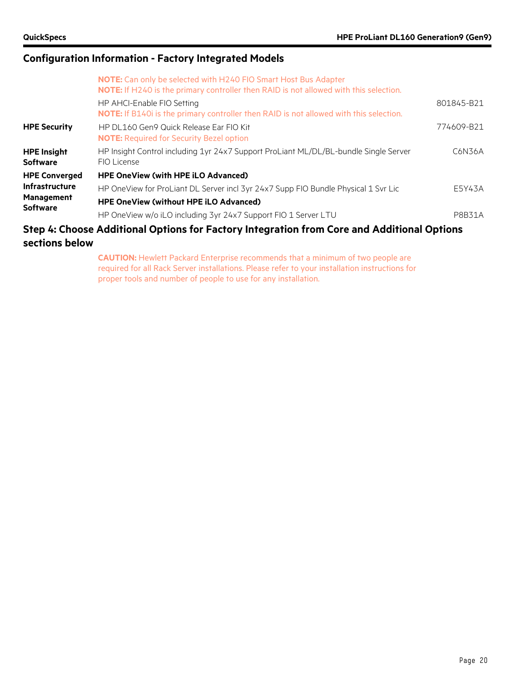|                                       | <b>NOTE:</b> Can only be selected with H240 FIO Smart Host Bus Adapter<br>NOTE: If H240 is the primary controller then RAID is not allowed with this selection. |               |
|---------------------------------------|-----------------------------------------------------------------------------------------------------------------------------------------------------------------|---------------|
|                                       | HP AHCI-Enable FIO Setting<br>NOTE: If B140i is the primary controller then RAID is not allowed with this selection.                                            | 801845-B21    |
| <b>HPE Security</b>                   | HP DL160 Gen9 Quick Release Ear FIO Kit<br><b>NOTE:</b> Required for Security Bezel option                                                                      | 774609-B21    |
| <b>HPE Insight</b><br><b>Software</b> | HP Insight Control including 1yr 24x7 Support ProLiant ML/DL/BL-bundle Single Server<br>FIO License                                                             | C6N36A        |
| <b>HPE Converged</b>                  | <b>HPE OneView (with HPE iLO Advanced)</b>                                                                                                                      |               |
| Infrastructure                        | HP OneView for ProLiant DL Server incl 3yr 24x7 Supp FIO Bundle Physical 1 Svr Lic                                                                              | E5Y43A        |
| <b>Management</b><br><b>Software</b>  | <b>HPE OneView (without HPE iLO Advanced)</b>                                                                                                                   |               |
|                                       | HP OneView w/o iLO including 3yr 24x7 Support FIO 1 Server LTU                                                                                                  | <b>P8B31A</b> |
|                                       | Step 4: Choose Additional Options for Factory Integration from Core and Additional Options                                                                      |               |

# **sections below**

**CAUTION:** Hewlett Packard Enterprise recommends that a minimum of two people are required for all Rack Server installations. Please refer to your installation instructions for proper tools and number of people to use for any installation.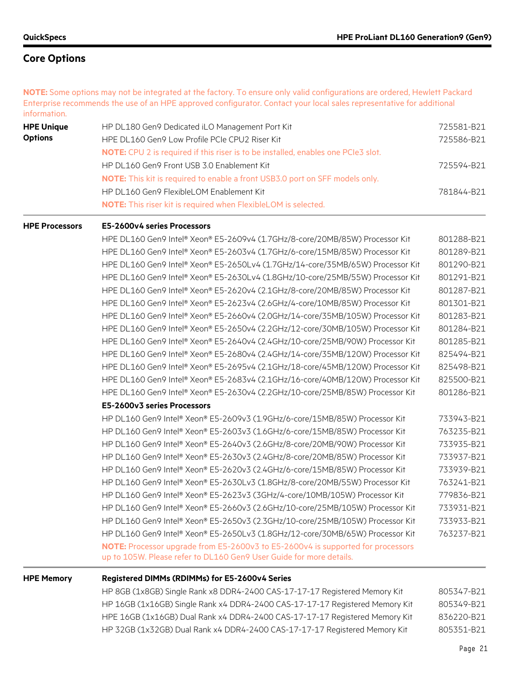**NOTE:** Some options may not be integrated at the factory. To ensure only valid configurations are ordered, Hewlett Packard Enterprise recommends the use of an HPE approved configurator. Contact your local sales representative for additional information.

| <b>HPE Unique</b> | HP DL180 Gen9 Dedicated iLO Management Port Kit                                          | 725581-B21 |
|-------------------|------------------------------------------------------------------------------------------|------------|
| <b>Options</b>    | HPE DL160 Gen9 Low Profile PCIe CPU2 Riser Kit                                           | 725586-B21 |
|                   | <b>NOTE:</b> CPU 2 is required if this riser is to be installed, enables one PCIe3 slot. |            |
|                   | HP DL160 Gen9 Front USB 3.0 Enablement Kit                                               | 725594-B21 |
|                   | <b>NOTE:</b> This kit is required to enable a front USB3.0 port on SFF models only.      |            |
|                   | HP DL160 Gen9 FlexibleLOM Enablement Kit                                                 | 781844-B21 |
|                   | <b>NOTE:</b> This riser kit is required when FlexibleLOM is selected.                    |            |

#### **HPE Processors E5-2600v4 series Processors**

HPE DL160 Gen9 Intel® Xeon® E5-2609v4 (1.7GHz/8-core/20MB/85W) Processor Kit 801288-B21 HPE DL160 Gen9 Intel® Xeon® E5-2603v4 (1.7GHz/6-core/15MB/85W) Processor Kit 801289-B21 HPE DL160 Gen9 Intel® Xeon® E5-2650Lv4 (1.7GHz/14-core/35MB/65W) Processor Kit 801290-B21 HPE DL160 Gen9 Intel® Xeon® E5-2630Lv4 (1.8GHz/10-core/25MB/55W) Processor Kit 801291-B21 HPE DL160 Gen9 Intel® Xeon® E5-2620v4 (2.1GHz/8-core/20MB/85W) Processor Kit 801287-B21 HPE DL160 Gen9 Intel® Xeon® E5-2623v4 (2.6GHz/4-core/10MB/85W) Processor Kit 801301-B21 HPE DL160 Gen9 Intel® Xeon® E5-2660v4 (2.0GHz/14-core/35MB/105W) Processor Kit 801283-B21 HPE DL160 Gen9 Intel® Xeon® E5-2650v4 (2.2GHz/12-core/30MB/105W) Processor Kit 801284-B21 HPE DL160 Gen9 Intel® Xeon® E5-2640v4 (2.4GHz/10-core/25MB/90W) Processor Kit 801285-B21 HPE DL160 Gen9 Intel® Xeon® E5-2680v4 (2.4GHz/14-core/35MB/120W) Processor Kit 825494-B21 HPE DL160 Gen9 Intel® Xeon® E5-2695v4 (2.1GHz/18-core/45MB/120W) Processor Kit 825498-B21 HPE DL160 Gen9 Intel® Xeon® E5-2683v4 (2.1GHz/16-core/40MB/120W) Processor Kit 825500-B21 HPE DL160 Gen9 Intel® Xeon® E5-2630v4 (2.2GHz/10-core/25MB/85W) Processor Kit 801286-B21 **E5-2600v3 series Processors**

HP DL160 Gen9 Intel® Xeon® E5-2609v3 (1.9GHz/6-core/15MB/85W) Processor Kit 733943-B21 HP DL160 Gen9 Intel® Xeon® E5-2603v3 (1.6GHz/6-core/15MB/85W) Processor Kit 763235-B21 HP DL160 Gen9 Intel® Xeon® E5-2640v3 (2.6GHz/8-core/20MB/90W) Processor Kit 733935-B21 HP DL160 Gen9 Intel® Xeon® E5-2630v3 (2.4GHz/8-core/20MB/85W) Processor Kit 733937-B21 HP DL160 Gen9 Intel® Xeon® E5-2620v3 (2.4GHz/6-core/15MB/85W) Processor Kit 733939-B21 HP DL160 Gen9 Intel® Xeon® E5-2630Lv3 (1.8GHz/8-core/20MB/55W) Processor Kit 763241-B21 HP DL160 Gen9 Intel® Xeon® E5-2623v3 (3GHz/4-core/10MB/105W) Processor Kit 779836-B21 HP DL160 Gen9 Intel® Xeon® E5-2660v3 (2.6GHz/10-core/25MB/105W) Processor Kit 733931-B21 HP DL160 Gen9 Intel® Xeon® E5-2650v3 (2.3GHz/10-core/25MB/105W) Processor Kit 733933-B21 HP DL160 Gen9 Intel® Xeon® E5-2650Lv3 (1.8GHz/12-core/30MB/65W) Processor Kit 763237-B21 **NOTE:** Processor upgrade from E5-2600v3 to E5-2600v4 is supported for processors up to 105W. Please refer to DL160 Gen9 User Guide for more details.

#### **HPE Memory Registered DIMMs (RDIMMs) for E5-2600v4 Series**

HP 8GB (1x8GB) Single Rank x8 DDR4-2400 CAS-17-17-17 Registered Memory Kit 805347-B21 HP 16GB (1x16GB) Single Rank x4 DDR4-2400 CAS-17-17-17 Registered Memory Kit 805349-B21 HPE 16GB (1x16GB) Dual Rank x4 DDR4-2400 CAS-17-17-17 Registered Memory Kit 836220-B21 HP 32GB (1x32GB) Dual Rank x4 DDR4-2400 CAS-17-17-17 Registered Memory Kit 805351-B21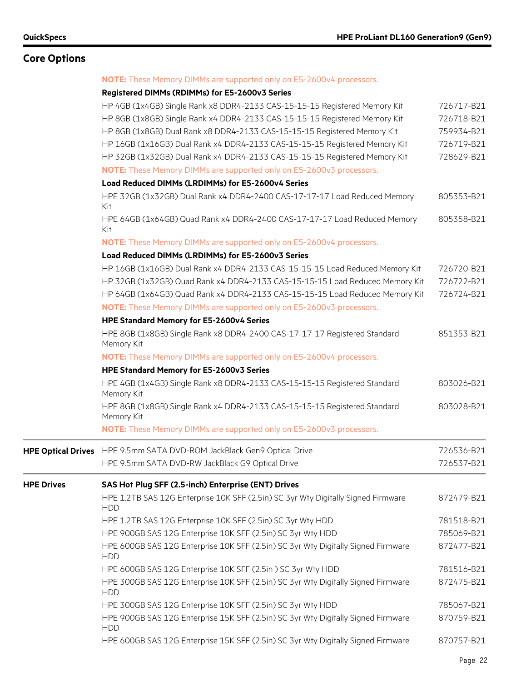|                   | <b>NOTE:</b> These Memory DIMMs are supported only on E5-2600v4 processors.                     |            |
|-------------------|-------------------------------------------------------------------------------------------------|------------|
|                   | Registered DIMMs (RDIMMs) for E5-2600v3 Series                                                  |            |
|                   | HP 4GB (1x4GB) Single Rank x8 DDR4-2133 CAS-15-15-15 Registered Memory Kit                      | 726717-B21 |
|                   | HP 8GB (1x8GB) Single Rank x4 DDR4-2133 CAS-15-15-15 Registered Memory Kit                      | 726718-B21 |
|                   | HP 8GB (1x8GB) Dual Rank x8 DDR4-2133 CAS-15-15-15 Registered Memory Kit                        | 759934-B21 |
|                   | HP 16GB (1x16GB) Dual Rank x4 DDR4-2133 CAS-15-15-15 Registered Memory Kit                      | 726719-B21 |
|                   | HP 32GB (1x32GB) Dual Rank x4 DDR4-2133 CAS-15-15-15 Registered Memory Kit                      | 728629-B21 |
|                   | NOTE: These Memory DIMMs are supported only on E5-2600v3 processors.                            |            |
|                   | Load Reduced DIMMs (LRDIMMs) for E5-2600v4 Series                                               |            |
|                   | HPE 32GB (1x32GB) Dual Rank x4 DDR4-2400 CAS-17-17-17 Load Reduced Memory<br>Kit                | 805353-B21 |
|                   | HPE 64GB (1x64GB) Quad Rank x4 DDR4-2400 CAS-17-17-17 Load Reduced Memory<br>Kit                | 805358-B21 |
|                   | NOTE: These Memory DIMMs are supported only on E5-2600v4 processors.                            |            |
|                   | Load Reduced DIMMs (LRDIMMs) for E5-2600v3 Series                                               |            |
|                   | HP 16GB (1x16GB) Dual Rank x4 DDR4-2133 CAS-15-15-15 Load Reduced Memory Kit                    | 726720-B21 |
|                   | HP 32GB (1x32GB) Quad Rank x4 DDR4-2133 CAS-15-15-15 Load Reduced Memory Kit                    | 726722-B21 |
|                   | HP 64GB (1x64GB) Quad Rank x4 DDR4-2133 CAS-15-15-15 Load Reduced Memory Kit                    | 726724-B21 |
|                   | NOTE: These Memory DIMMs are supported only on E5-2600v3 processors.                            |            |
|                   | HPE Standard Memory for E5-2600v4 Series                                                        |            |
|                   | HPE 8GB (1x8GB) Single Rank x8 DDR4-2400 CAS-17-17-17 Registered Standard<br>Memory Kit         | 851353-B21 |
|                   | <b>NOTE:</b> These Memory DIMMs are supported only on E5-2600v4 processors.                     |            |
|                   | HPE Standard Memory for E5-2600v3 Series                                                        |            |
|                   | HPE 4GB (1x4GB) Single Rank x8 DDR4-2133 CAS-15-15-15 Registered Standard<br>Memory Kit         | 803026-B21 |
|                   | HPE 8GB (1x8GB) Single Rank x4 DDR4-2133 CAS-15-15-15 Registered Standard<br>Memory Kit         | 803028-B21 |
|                   | NOTE: These Memory DIMMs are supported only on E5-2600v3 processors.                            |            |
|                   | HPE Optical Drives HPE 9.5mm SATA DVD-ROM JackBlack Gen9 Optical Drive                          | 726536-B21 |
|                   | HPE 9.5mm SATA DVD-RW JackBlack G9 Optical Drive                                                | 726537-B21 |
| <b>HPE Drives</b> | SAS Hot Plug SFF (2.5-inch) Enterprise (ENT) Drives                                             |            |
|                   | HPE 1.2TB SAS 12G Enterprise 10K SFF (2.5in) SC 3yr Wty Digitally Signed Firmware<br><b>HDD</b> | 872479-B21 |
|                   | HPE 1.2TB SAS 12G Enterprise 10K SFF (2.5in) SC 3yr Wty HDD                                     | 781518-B21 |
|                   | HPE 900GB SAS 12G Enterprise 10K SFF (2.5in) SC 3yr Wty HDD                                     | 785069-B21 |
|                   | HPE 600GB SAS 12G Enterprise 10K SFF (2.5in) SC 3yr Wty Digitally Signed Firmware<br><b>HDD</b> | 872477-B21 |
|                   | HPE 600GB SAS 12G Enterprise 10K SFF (2.5in) SC 3yr Wty HDD                                     | 781516-B21 |
|                   | HPE 300GB SAS 12G Enterprise 10K SFF (2.5in) SC 3yr Wty Digitally Signed Firmware<br><b>HDD</b> | 872475-B21 |
|                   | HPE 300GB SAS 12G Enterprise 10K SFF (2.5in) SC 3yr Wty HDD                                     | 785067-B21 |
|                   | HPE 900GB SAS 12G Enterprise 15K SFF (2.5in) SC 3yr Wty Digitally Signed Firmware<br><b>HDD</b> | 870759-B21 |
|                   | HPE 600GB SAS 12G Enterprise 15K SFF (2.5in) SC 3yr Wty Digitally Signed Firmware               | 870757-B21 |
|                   |                                                                                                 |            |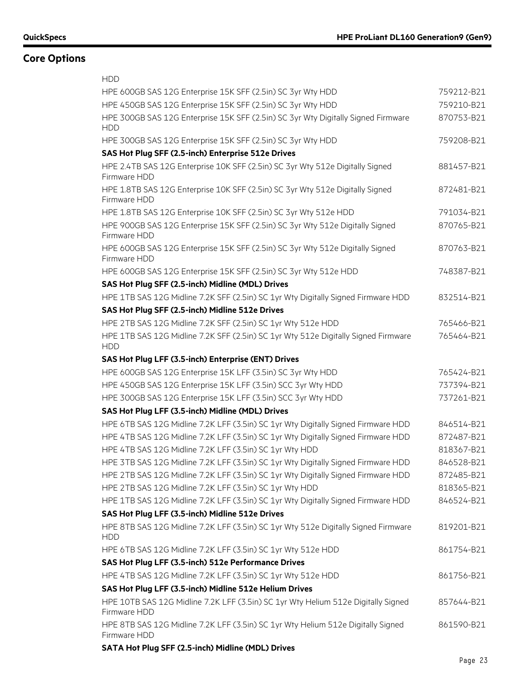| <b>HDD</b>                                                                                        |            |
|---------------------------------------------------------------------------------------------------|------------|
| HPE 600GB SAS 12G Enterprise 15K SFF (2.5in) SC 3yr Wty HDD                                       | 759212-B21 |
| HPE 450GB SAS 12G Enterprise 15K SFF (2.5in) SC 3yr Wty HDD                                       | 759210-B21 |
| HPE 300GB SAS 12G Enterprise 15K SFF (2.5in) SC 3yr Wty Digitally Signed Firmware<br><b>HDD</b>   | 870753-B21 |
| HPE 300GB SAS 12G Enterprise 15K SFF (2.5in) SC 3yr Wty HDD                                       | 759208-B21 |
| SAS Hot Plug SFF (2.5-inch) Enterprise 512e Drives                                                |            |
| HPE 2.4TB SAS 12G Enterprise 10K SFF (2.5in) SC 3yr Wty 512e Digitally Signed<br>Firmware HDD     | 881457-B21 |
| HPE 1.8TB SAS 12G Enterprise 10K SFF (2.5in) SC 3yr Wty 512e Digitally Signed<br>Firmware HDD     | 872481-B21 |
| HPE 1.8TB SAS 12G Enterprise 10K SFF (2.5in) SC 3yr Wty 512e HDD                                  | 791034-B21 |
| HPE 900GB SAS 12G Enterprise 15K SFF (2.5in) SC 3yr Wty 512e Digitally Signed<br>Firmware HDD     | 870765-B21 |
| HPE 600GB SAS 12G Enterprise 15K SFF (2.5in) SC 3yr Wty 512e Digitally Signed<br>Firmware HDD     | 870763-B21 |
| HPE 600GB SAS 12G Enterprise 15K SFF (2.5in) SC 3yr Wty 512e HDD                                  | 748387-B21 |
| SAS Hot Plug SFF (2.5-inch) Midline (MDL) Drives                                                  |            |
| HPE 1TB SAS 12G Midline 7.2K SFF (2.5in) SC 1yr Wty Digitally Signed Firmware HDD                 | 832514-B21 |
| SAS Hot Plug SFF (2.5-inch) Midline 512e Drives                                                   |            |
| HPE 2TB SAS 12G Midline 7.2K SFF (2.5in) SC 1yr Wty 512e HDD                                      | 765466-B21 |
| HPE 1TB SAS 12G Midline 7.2K SFF (2.5in) SC 1yr Wty 512e Digitally Signed Firmware<br><b>HDD</b>  | 765464-B21 |
| SAS Hot Plug LFF (3.5-inch) Enterprise (ENT) Drives                                               |            |
| HPE 600GB SAS 12G Enterprise 15K LFF (3.5in) SC 3yr Wty HDD                                       | 765424-B21 |
| HPE 450GB SAS 12G Enterprise 15K LFF (3.5in) SCC 3yr Wty HDD                                      | 737394-B21 |
| HPE 300GB SAS 12G Enterprise 15K LFF (3.5in) SCC 3yr Wty HDD                                      | 737261-B21 |
| SAS Hot Plug LFF (3.5-inch) Midline (MDL) Drives                                                  |            |
| HPE 6TB SAS 12G Midline 7.2K LFF (3.5in) SC 1yr Wty Digitally Signed Firmware HDD                 | 846514-B21 |
| HPE 4TB SAS 12G Midline 7.2K LFF (3.5in) SC 1yr Wty Digitally Signed Firmware HDD                 | 872487-B21 |
| HPE 4TB SAS 12G Midline 7.2K LFF (3.5in) SC 1yr Wty HDD                                           | 818367-B21 |
| HPE 3TB SAS 12G Midline 7.2K LFF (3.5in) SC 1yr Wty Digitally Signed Firmware HDD                 | 846528-B21 |
| HPE 2TB SAS 12G Midline 7.2K LFF (3.5in) SC 1yr Wty Digitally Signed Firmware HDD                 | 872485-B21 |
| HPE 2TB SAS 12G Midline 7.2K LFF (3.5in) SC 1yr Wty HDD                                           | 818365-B21 |
| HPE 1TB SAS 12G Midline 7.2K LFF (3.5in) SC 1yr Wty Digitally Signed Firmware HDD                 | 846524-B21 |
| SAS Hot Plug LFF (3.5-inch) Midline 512e Drives                                                   |            |
| HPE 8TB SAS 12G Midline 7.2K LFF (3.5in) SC 1yr Wty 512e Digitally Signed Firmware<br><b>HDD</b>  | 819201-B21 |
| HPE 6TB SAS 12G Midline 7.2K LFF (3.5in) SC 1yr Wty 512e HDD                                      | 861754-B21 |
| SAS Hot Plug LFF (3.5-inch) 512e Performance Drives                                               |            |
| HPE 4TB SAS 12G Midline 7.2K LFF (3.5in) SC 1yr Wty 512e HDD                                      | 861756-B21 |
| SAS Hot Plug LFF (3.5-inch) Midline 512e Helium Drives                                            |            |
| HPE 10TB SAS 12G Midline 7.2K LFF (3.5in) SC 1yr Wty Helium 512e Digitally Signed<br>Firmware HDD | 857644-B21 |
| HPE 8TB SAS 12G Midline 7.2K LFF (3.5in) SC 1yr Wty Helium 512e Digitally Signed<br>Firmware HDD  | 861590-B21 |
| SATA Hot Plug SFF (2.5-inch) Midline (MDL) Drives                                                 |            |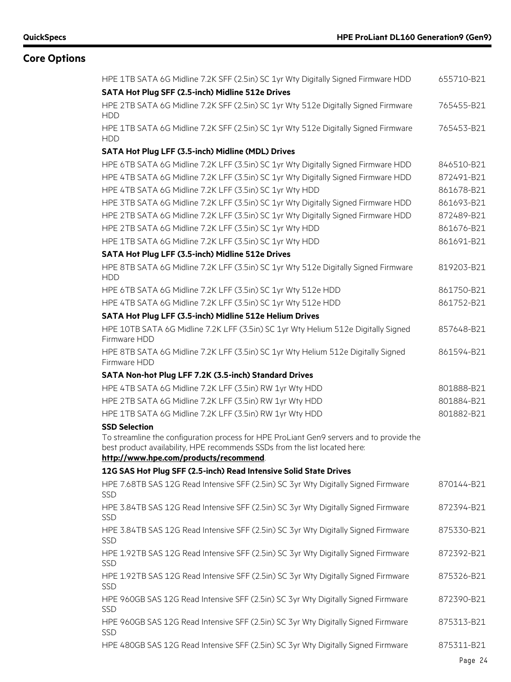| 765455-B21<br>765453-B21<br>HPE 6TB SATA 6G Midline 7.2K LFF (3.5in) SC 1yr Wty Digitally Signed Firmware HDD<br>846510-B21<br>HPE 4TB SATA 6G Midline 7.2K LFF (3.5in) SC 1yr Wty Digitally Signed Firmware HDD<br>872491-B21<br>HPE 4TB SATA 6G Midline 7.2K LFF (3.5in) SC 1yr Wty HDD<br>861678-B21<br>HPE 3TB SATA 6G Midline 7.2K LFF (3.5in) SC 1yr Wty Digitally Signed Firmware HDD<br>861693-B21<br>HPE 2TB SATA 6G Midline 7.2K LFF (3.5in) SC 1yr Wty Digitally Signed Firmware HDD<br>872489-B21<br>HPE 2TB SATA 6G Midline 7.2K LFF (3.5in) SC 1yr Wty HDD<br>861676-B21<br>HPE 1TB SATA 6G Midline 7.2K LFF (3.5in) SC 1yr Wty HDD<br>861691-B21<br>SATA Hot Plug LFF (3.5-inch) Midline 512e Drives<br>819203-B21<br>861750-B21<br>861752-B21<br>857648-B21<br>861594-B21<br>801888-B21<br>801884-B21<br>801882-B21<br>best product availability, HPE recommends SSDs from the list located here:<br>870144-B21<br>872394-B21<br>875330-B21<br>872392-B21<br>875326-B21<br>872390-B21<br>875313-B21<br>HPE 480GB SAS 12G Read Intensive SFF (2.5in) SC 3yr Wty Digitally Signed Firmware<br>875311-B21 | HPE 1TB SATA 6G Midline 7.2K SFF (2.5in) SC 1yr Wty Digitally Signed Firmware HDD                 | 655710-B21 |
|------------------------------------------------------------------------------------------------------------------------------------------------------------------------------------------------------------------------------------------------------------------------------------------------------------------------------------------------------------------------------------------------------------------------------------------------------------------------------------------------------------------------------------------------------------------------------------------------------------------------------------------------------------------------------------------------------------------------------------------------------------------------------------------------------------------------------------------------------------------------------------------------------------------------------------------------------------------------------------------------------------------------------------------------------------------------------------------------------------------------|---------------------------------------------------------------------------------------------------|------------|
|                                                                                                                                                                                                                                                                                                                                                                                                                                                                                                                                                                                                                                                                                                                                                                                                                                                                                                                                                                                                                                                                                                                        | SATA Hot Plug SFF (2.5-inch) Midline 512e Drives                                                  |            |
|                                                                                                                                                                                                                                                                                                                                                                                                                                                                                                                                                                                                                                                                                                                                                                                                                                                                                                                                                                                                                                                                                                                        | HPE 2TB SATA 6G Midline 7.2K SFF (2.5in) SC 1yr Wty 512e Digitally Signed Firmware<br><b>HDD</b>  |            |
|                                                                                                                                                                                                                                                                                                                                                                                                                                                                                                                                                                                                                                                                                                                                                                                                                                                                                                                                                                                                                                                                                                                        | HPE 1TB SATA 6G Midline 7.2K SFF (2.5in) SC 1yr Wty 512e Digitally Signed Firmware<br><b>HDD</b>  |            |
|                                                                                                                                                                                                                                                                                                                                                                                                                                                                                                                                                                                                                                                                                                                                                                                                                                                                                                                                                                                                                                                                                                                        | SATA Hot Plug LFF (3.5-inch) Midline (MDL) Drives                                                 |            |
|                                                                                                                                                                                                                                                                                                                                                                                                                                                                                                                                                                                                                                                                                                                                                                                                                                                                                                                                                                                                                                                                                                                        |                                                                                                   |            |
|                                                                                                                                                                                                                                                                                                                                                                                                                                                                                                                                                                                                                                                                                                                                                                                                                                                                                                                                                                                                                                                                                                                        |                                                                                                   |            |
|                                                                                                                                                                                                                                                                                                                                                                                                                                                                                                                                                                                                                                                                                                                                                                                                                                                                                                                                                                                                                                                                                                                        |                                                                                                   |            |
|                                                                                                                                                                                                                                                                                                                                                                                                                                                                                                                                                                                                                                                                                                                                                                                                                                                                                                                                                                                                                                                                                                                        |                                                                                                   |            |
|                                                                                                                                                                                                                                                                                                                                                                                                                                                                                                                                                                                                                                                                                                                                                                                                                                                                                                                                                                                                                                                                                                                        |                                                                                                   |            |
|                                                                                                                                                                                                                                                                                                                                                                                                                                                                                                                                                                                                                                                                                                                                                                                                                                                                                                                                                                                                                                                                                                                        |                                                                                                   |            |
|                                                                                                                                                                                                                                                                                                                                                                                                                                                                                                                                                                                                                                                                                                                                                                                                                                                                                                                                                                                                                                                                                                                        |                                                                                                   |            |
|                                                                                                                                                                                                                                                                                                                                                                                                                                                                                                                                                                                                                                                                                                                                                                                                                                                                                                                                                                                                                                                                                                                        |                                                                                                   |            |
|                                                                                                                                                                                                                                                                                                                                                                                                                                                                                                                                                                                                                                                                                                                                                                                                                                                                                                                                                                                                                                                                                                                        | HPE 8TB SATA 6G Midline 7.2K LFF (3.5in) SC 1yr Wty 512e Digitally Signed Firmware<br><b>HDD</b>  |            |
|                                                                                                                                                                                                                                                                                                                                                                                                                                                                                                                                                                                                                                                                                                                                                                                                                                                                                                                                                                                                                                                                                                                        | HPE 6TB SATA 6G Midline 7.2K LFF (3.5in) SC 1yr Wty 512e HDD                                      |            |
|                                                                                                                                                                                                                                                                                                                                                                                                                                                                                                                                                                                                                                                                                                                                                                                                                                                                                                                                                                                                                                                                                                                        | HPE 4TB SATA 6G Midline 7.2K LFF (3.5in) SC 1yr Wty 512e HDD                                      |            |
|                                                                                                                                                                                                                                                                                                                                                                                                                                                                                                                                                                                                                                                                                                                                                                                                                                                                                                                                                                                                                                                                                                                        | SATA Hot Plug LFF (3.5-inch) Midline 512e Helium Drives                                           |            |
|                                                                                                                                                                                                                                                                                                                                                                                                                                                                                                                                                                                                                                                                                                                                                                                                                                                                                                                                                                                                                                                                                                                        | HPE 10TB SATA 6G Midline 7.2K LFF (3.5in) SC 1yr Wty Helium 512e Digitally Signed<br>Firmware HDD |            |
|                                                                                                                                                                                                                                                                                                                                                                                                                                                                                                                                                                                                                                                                                                                                                                                                                                                                                                                                                                                                                                                                                                                        | HPE 8TB SATA 6G Midline 7.2K LFF (3.5in) SC 1yr Wty Helium 512e Digitally Signed<br>Firmware HDD  |            |
|                                                                                                                                                                                                                                                                                                                                                                                                                                                                                                                                                                                                                                                                                                                                                                                                                                                                                                                                                                                                                                                                                                                        | SATA Non-hot Plug LFF 7.2K (3.5-inch) Standard Drives                                             |            |
|                                                                                                                                                                                                                                                                                                                                                                                                                                                                                                                                                                                                                                                                                                                                                                                                                                                                                                                                                                                                                                                                                                                        | HPE 4TB SATA 6G Midline 7.2K LFF (3.5in) RW 1yr Wty HDD                                           |            |
|                                                                                                                                                                                                                                                                                                                                                                                                                                                                                                                                                                                                                                                                                                                                                                                                                                                                                                                                                                                                                                                                                                                        | HPE 2TB SATA 6G Midline 7.2K LFF (3.5in) RW 1yr Wty HDD                                           |            |
|                                                                                                                                                                                                                                                                                                                                                                                                                                                                                                                                                                                                                                                                                                                                                                                                                                                                                                                                                                                                                                                                                                                        | HPE 1TB SATA 6G Midline 7.2K LFF (3.5in) RW 1yr Wty HDD                                           |            |
|                                                                                                                                                                                                                                                                                                                                                                                                                                                                                                                                                                                                                                                                                                                                                                                                                                                                                                                                                                                                                                                                                                                        | <b>SSD Selection</b>                                                                              |            |
|                                                                                                                                                                                                                                                                                                                                                                                                                                                                                                                                                                                                                                                                                                                                                                                                                                                                                                                                                                                                                                                                                                                        | To streamline the configuration process for HPE ProLiant Gen9 servers and to provide the          |            |
|                                                                                                                                                                                                                                                                                                                                                                                                                                                                                                                                                                                                                                                                                                                                                                                                                                                                                                                                                                                                                                                                                                                        |                                                                                                   |            |
|                                                                                                                                                                                                                                                                                                                                                                                                                                                                                                                                                                                                                                                                                                                                                                                                                                                                                                                                                                                                                                                                                                                        | http://www.hpe.com/products/recommend                                                             |            |
|                                                                                                                                                                                                                                                                                                                                                                                                                                                                                                                                                                                                                                                                                                                                                                                                                                                                                                                                                                                                                                                                                                                        | 12G SAS Hot Plug SFF (2.5-inch) Read Intensive Solid State Drives                                 |            |
|                                                                                                                                                                                                                                                                                                                                                                                                                                                                                                                                                                                                                                                                                                                                                                                                                                                                                                                                                                                                                                                                                                                        | HPE 7.68TB SAS 12G Read Intensive SFF (2.5in) SC 3yr Wty Digitally Signed Firmware<br><b>SSD</b>  |            |
|                                                                                                                                                                                                                                                                                                                                                                                                                                                                                                                                                                                                                                                                                                                                                                                                                                                                                                                                                                                                                                                                                                                        | HPE 3.84TB SAS 12G Read Intensive SFF (2.5in) SC 3yr Wty Digitally Signed Firmware<br>SSD         |            |
|                                                                                                                                                                                                                                                                                                                                                                                                                                                                                                                                                                                                                                                                                                                                                                                                                                                                                                                                                                                                                                                                                                                        | HPE 3.84TB SAS 12G Read Intensive SFF (2.5in) SC 3yr Wty Digitally Signed Firmware<br><b>SSD</b>  |            |
|                                                                                                                                                                                                                                                                                                                                                                                                                                                                                                                                                                                                                                                                                                                                                                                                                                                                                                                                                                                                                                                                                                                        | HPE 1.92TB SAS 12G Read Intensive SFF (2.5in) SC 3yr Wty Digitally Signed Firmware<br><b>SSD</b>  |            |
|                                                                                                                                                                                                                                                                                                                                                                                                                                                                                                                                                                                                                                                                                                                                                                                                                                                                                                                                                                                                                                                                                                                        | HPE 1.92TB SAS 12G Read Intensive SFF (2.5in) SC 3yr Wty Digitally Signed Firmware<br><b>SSD</b>  |            |
|                                                                                                                                                                                                                                                                                                                                                                                                                                                                                                                                                                                                                                                                                                                                                                                                                                                                                                                                                                                                                                                                                                                        | HPE 960GB SAS 12G Read Intensive SFF (2.5in) SC 3yr Wty Digitally Signed Firmware<br>SSD          |            |
|                                                                                                                                                                                                                                                                                                                                                                                                                                                                                                                                                                                                                                                                                                                                                                                                                                                                                                                                                                                                                                                                                                                        | HPE 960GB SAS 12G Read Intensive SFF (2.5in) SC 3yr Wty Digitally Signed Firmware<br>SSD          |            |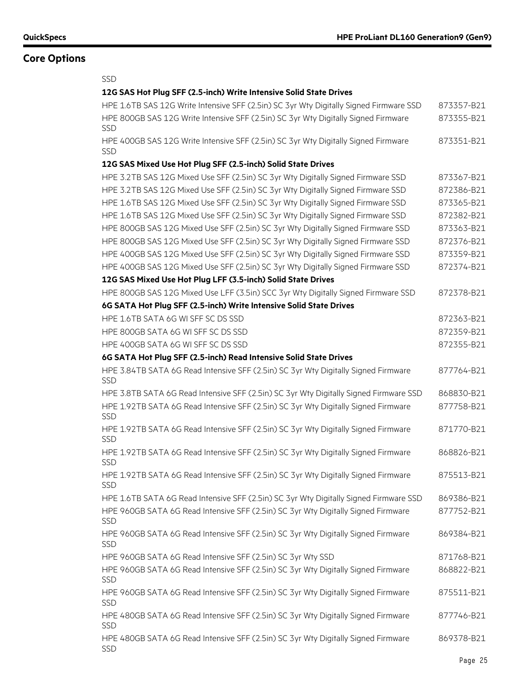| <b>SSD</b>                                                                                       |            |
|--------------------------------------------------------------------------------------------------|------------|
| 12G SAS Hot Plug SFF (2.5-inch) Write Intensive Solid State Drives                               |            |
| HPE 1.6TB SAS 12G Write Intensive SFF (2.5in) SC 3yr Wty Digitally Signed Firmware SSD           | 873357-B21 |
| HPE 800GB SAS 12G Write Intensive SFF (2.5in) SC 3yr Wty Digitally Signed Firmware<br>SSD        | 873355-B21 |
| HPE 400GB SAS 12G Write Intensive SFF (2.5in) SC 3yr Wty Digitally Signed Firmware<br><b>SSD</b> | 873351-B21 |
| 12G SAS Mixed Use Hot Plug SFF (2.5-inch) Solid State Drives                                     |            |
| HPE 3.2TB SAS 12G Mixed Use SFF (2.5in) SC 3yr Wty Digitally Signed Firmware SSD                 | 873367-B21 |
| HPE 3.2TB SAS 12G Mixed Use SFF (2.5in) SC 3yr Wty Digitally Signed Firmware SSD                 | 872386-B21 |
| HPE 1.6TB SAS 12G Mixed Use SFF (2.5in) SC 3yr Wty Digitally Signed Firmware SSD                 | 873365-B21 |
| HPE 1.6TB SAS 12G Mixed Use SFF (2.5in) SC 3yr Wty Digitally Signed Firmware SSD                 | 872382-B21 |
| HPE 800GB SAS 12G Mixed Use SFF (2.5in) SC 3yr Wty Digitally Signed Firmware SSD                 | 873363-B21 |
| HPE 800GB SAS 12G Mixed Use SFF (2.5in) SC 3yr Wty Digitally Signed Firmware SSD                 | 872376-B21 |
| HPE 400GB SAS 12G Mixed Use SFF (2.5in) SC 3yr Wty Digitally Signed Firmware SSD                 | 873359-B21 |
| HPE 400GB SAS 12G Mixed Use SFF (2.5in) SC 3yr Wty Digitally Signed Firmware SSD                 | 872374-B21 |
| 12G SAS Mixed Use Hot Plug LFF (3.5-inch) Solid State Drives                                     |            |
| HPE 800GB SAS 12G Mixed Use LFF (3.5in) SCC 3yr Wty Digitally Signed Firmware SSD                | 872378-B21 |
| 6G SATA Hot Plug SFF (2.5-inch) Write Intensive Solid State Drives                               |            |
| HPE 1.6TB SATA 6G WI SFF SC DS SSD                                                               | 872363-B21 |
| HPE 800GB SATA 6G WI SFF SC DS SSD                                                               | 872359-B21 |
| HPE 400GB SATA 6G WI SFF SC DS SSD                                                               | 872355-B21 |
| 6G SATA Hot Plug SFF (2.5-inch) Read Intensive Solid State Drives                                |            |
| HPE 3.84TB SATA 6G Read Intensive SFF (2.5in) SC 3yr Wty Digitally Signed Firmware<br><b>SSD</b> | 877764-B21 |
| HPE 3.8TB SATA 6G Read Intensive SFF (2.5in) SC 3yr Wty Digitally Signed Firmware SSD            | 868830-B21 |
| HPE 1.92TB SATA 6G Read Intensive SFF (2.5in) SC 3yr Wty Digitally Signed Firmware<br><b>SSD</b> | 877758-B21 |
| HPE 1.92TB SATA 6G Read Intensive SFF (2.5in) SC 3yr Wty Digitally Signed Firmware<br>SSD        | 871770-B21 |
| HPE 1.92TB SATA 6G Read Intensive SFF (2.5in) SC 3yr Wty Digitally Signed Firmware<br><b>SSD</b> | 868826-B21 |
| HPE 1.92TB SATA 6G Read Intensive SFF (2.5in) SC 3yr Wty Digitally Signed Firmware<br>SSD        | 875513-B21 |
| HPE 1.6TB SATA 6G Read Intensive SFF (2.5in) SC 3yr Wty Digitally Signed Firmware SSD            | 869386-B21 |
| HPE 960GB SATA 6G Read Intensive SFF (2.5in) SC 3yr Wty Digitally Signed Firmware<br><b>SSD</b>  | 877752-B21 |
| HPE 960GB SATA 6G Read Intensive SFF (2.5in) SC 3yr Wty Digitally Signed Firmware<br>SSD         | 869384-B21 |
| HPE 960GB SATA 6G Read Intensive SFF (2.5in) SC 3yr Wty SSD                                      | 871768-B21 |
| HPE 960GB SATA 6G Read Intensive SFF (2.5in) SC 3yr Wty Digitally Signed Firmware<br><b>SSD</b>  | 868822-B21 |
| HPE 960GB SATA 6G Read Intensive SFF (2.5in) SC 3yr Wty Digitally Signed Firmware<br><b>SSD</b>  | 875511-B21 |
| HPE 480GB SATA 6G Read Intensive SFF (2.5in) SC 3yr Wty Digitally Signed Firmware<br>SSD         | 877746-B21 |
| HPE 480GB SATA 6G Read Intensive SFF (2.5in) SC 3yr Wty Digitally Signed Firmware<br>SSD         | 869378-B21 |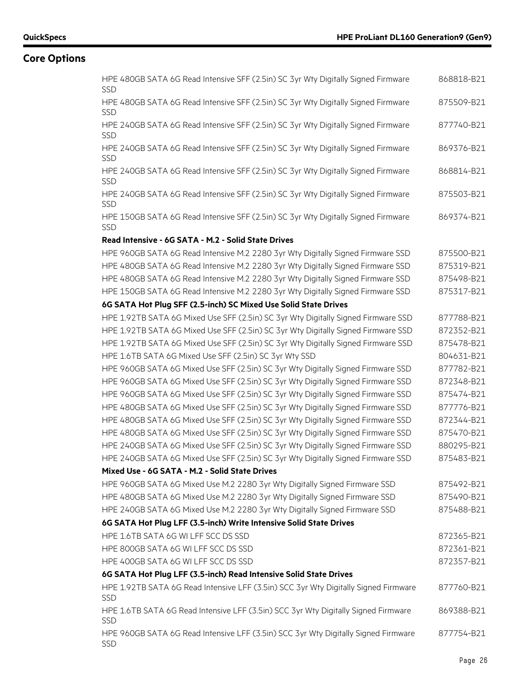| HPE 480GB SATA 6G Read Intensive SFF (2.5in) SC 3yr Wty Digitally Signed Firmware<br><b>SSD</b>   | 868818-B21 |
|---------------------------------------------------------------------------------------------------|------------|
| HPE 480GB SATA 6G Read Intensive SFF (2.5in) SC 3yr Wty Digitally Signed Firmware<br><b>SSD</b>   | 875509-B21 |
| HPE 240GB SATA 6G Read Intensive SFF (2.5in) SC 3yr Wty Digitally Signed Firmware<br><b>SSD</b>   | 877740-B21 |
| HPE 240GB SATA 6G Read Intensive SFF (2.5in) SC 3yr Wty Digitally Signed Firmware<br><b>SSD</b>   | 869376-B21 |
| HPE 240GB SATA 6G Read Intensive SFF (2.5in) SC 3yr Wty Digitally Signed Firmware<br>SSD          | 868814-B21 |
| HPE 240GB SATA 6G Read Intensive SFF (2.5in) SC 3yr Wty Digitally Signed Firmware<br>SSD          | 875503-B21 |
| HPE 150GB SATA 6G Read Intensive SFF (2.5in) SC 3yr Wty Digitally Signed Firmware<br>SSD          | 869374-B21 |
| Read Intensive - 6G SATA - M.2 - Solid State Drives                                               |            |
| HPE 960GB SATA 6G Read Intensive M.2 2280 3yr Wty Digitally Signed Firmware SSD                   | 875500-B21 |
| HPE 480GB SATA 6G Read Intensive M.2 2280 3yr Wty Digitally Signed Firmware SSD                   | 875319-B21 |
| HPE 480GB SATA 6G Read Intensive M.2 2280 3yr Wty Digitally Signed Firmware SSD                   | 875498-B21 |
| HPE 150GB SATA 6G Read Intensive M.2 2280 3yr Wty Digitally Signed Firmware SSD                   | 875317-B21 |
| 6G SATA Hot Plug SFF (2.5-inch) SC Mixed Use Solid State Drives                                   |            |
| HPE 1.92TB SATA 6G Mixed Use SFF (2.5in) SC 3yr Wty Digitally Signed Firmware SSD                 | 877788-B21 |
| HPE 1.92TB SATA 6G Mixed Use SFF (2.5in) SC 3yr Wty Digitally Signed Firmware SSD                 | 872352-B21 |
| HPE 1.92TB SATA 6G Mixed Use SFF (2.5in) SC 3yr Wty Digitally Signed Firmware SSD                 | 875478-B21 |
| HPE 1.6TB SATA 6G Mixed Use SFF (2.5in) SC 3yr Wty SSD                                            | 804631-B21 |
| HPE 960GB SATA 6G Mixed Use SFF (2.5in) SC 3yr Wty Digitally Signed Firmware SSD                  | 877782-B21 |
| HPE 960GB SATA 6G Mixed Use SFF (2.5in) SC 3yr Wty Digitally Signed Firmware SSD                  | 872348-B21 |
| HPE 960GB SATA 6G Mixed Use SFF (2.5in) SC 3yr Wty Digitally Signed Firmware SSD                  | 875474-B21 |
| HPE 480GB SATA 6G Mixed Use SFF (2.5in) SC 3yr Wty Digitally Signed Firmware SSD                  | 877776-B21 |
| HPE 480GB SATA 6G Mixed Use SFF (2.5in) SC 3yr Wty Digitally Signed Firmware SSD                  | 872344-B21 |
| HPE 480GB SATA 6G Mixed Use SFF (2.5in) SC 3yr Wty Digitally Signed Firmware SSD                  | 875470-B21 |
| HPE 240GB SATA 6G Mixed Use SFF (2.5in) SC 3yr Wty Digitally Signed Firmware SSD                  | 880295-B21 |
| HPE 240GB SATA 6G Mixed Use SFF (2.5in) SC 3yr Wty Digitally Signed Firmware SSD                  | 875483-B21 |
| Mixed Use - 6G SATA - M.2 - Solid State Drives                                                    |            |
| HPE 960GB SATA 6G Mixed Use M.2 2280 3yr Wty Digitally Signed Firmware SSD                        | 875492-B21 |
| HPE 480GB SATA 6G Mixed Use M.2 2280 3yr Wty Digitally Signed Firmware SSD                        | 875490-B21 |
| HPE 240GB SATA 6G Mixed Use M.2 2280 3yr Wty Digitally Signed Firmware SSD                        | 875488-B21 |
| 6G SATA Hot Plug LFF (3.5-inch) Write Intensive Solid State Drives                                |            |
| HPE 1.6TB SATA 6G WI LFF SCC DS SSD                                                               | 872365-B21 |
| HPE 800GB SATA 6G WI LFF SCC DS SSD                                                               | 872361-B21 |
| HPE 400GB SATA 6G WI LFF SCC DS SSD                                                               | 872357-B21 |
| 6G SATA Hot Plug LFF (3.5-inch) Read Intensive Solid State Drives                                 |            |
| HPE 1.92TB SATA 6G Read Intensive LFF (3.5in) SCC 3yr Wty Digitally Signed Firmware<br><b>SSD</b> | 877760-B21 |
| HPE 1.6TB SATA 6G Read Intensive LFF (3.5in) SCC 3yr Wty Digitally Signed Firmware<br>SSD         | 869388-B21 |
| HPE 960GB SATA 6G Read Intensive LFF (3.5in) SCC 3yr Wty Digitally Signed Firmware<br>SSD         | 877754-B21 |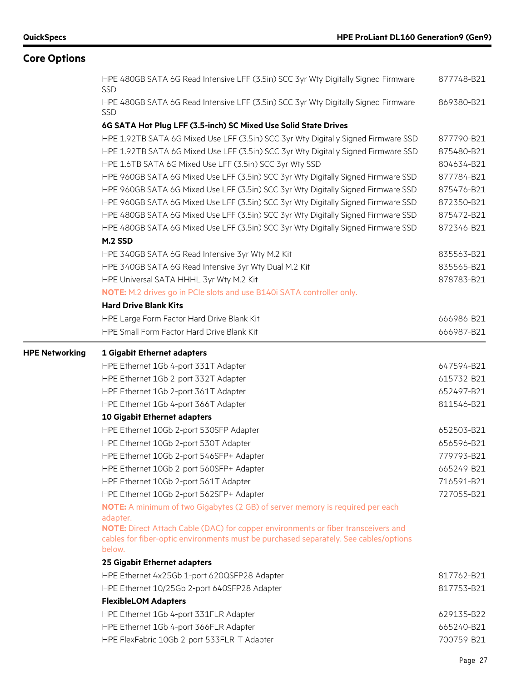|                       | HPE 480GB SATA 6G Read Intensive LFF (3.5in) SCC 3yr Wty Digitally Signed Firmware<br><b>SSD</b>                                                                                                | 877748-B21 |
|-----------------------|-------------------------------------------------------------------------------------------------------------------------------------------------------------------------------------------------|------------|
|                       | HPE 480GB SATA 6G Read Intensive LFF (3.5in) SCC 3yr Wty Digitally Signed Firmware<br>SSD                                                                                                       | 869380-B21 |
|                       | 6G SATA Hot Plug LFF (3.5-inch) SC Mixed Use Solid State Drives                                                                                                                                 |            |
|                       | HPE 1.92TB SATA 6G Mixed Use LFF (3.5in) SCC 3yr Wty Digitally Signed Firmware SSD                                                                                                              | 877790-B21 |
|                       | HPE 1.92TB SATA 6G Mixed Use LFF (3.5in) SCC 3yr Wty Digitally Signed Firmware SSD                                                                                                              | 875480-B21 |
|                       | HPE 1.6TB SATA 6G Mixed Use LFF (3.5in) SCC 3yr Wty SSD                                                                                                                                         | 804634-B21 |
|                       | HPE 960GB SATA 6G Mixed Use LFF (3.5in) SCC 3yr Wty Digitally Signed Firmware SSD                                                                                                               | 877784-B21 |
|                       | HPE 960GB SATA 6G Mixed Use LFF (3.5in) SCC 3yr Wty Digitally Signed Firmware SSD                                                                                                               | 875476-B21 |
|                       | HPE 960GB SATA 6G Mixed Use LFF (3.5in) SCC 3yr Wty Digitally Signed Firmware SSD                                                                                                               | 872350-B21 |
|                       | HPE 480GB SATA 6G Mixed Use LFF (3.5in) SCC 3yr Wty Digitally Signed Firmware SSD                                                                                                               | 875472-B21 |
|                       | HPE 480GB SATA 6G Mixed Use LFF (3.5in) SCC 3yr Wty Digitally Signed Firmware SSD                                                                                                               | 872346-B21 |
|                       | M.2 SSD                                                                                                                                                                                         |            |
|                       | HPE 340GB SATA 6G Read Intensive 3yr Wty M.2 Kit                                                                                                                                                | 835563-B21 |
|                       | HPE 340GB SATA 6G Read Intensive 3yr Wty Dual M.2 Kit                                                                                                                                           | 835565-B21 |
|                       | HPE Universal SATA HHHL 3yr Wty M.2 Kit                                                                                                                                                         | 878783-B21 |
|                       | NOTE: M.2 drives go in PCIe slots and use B140i SATA controller only.                                                                                                                           |            |
|                       | <b>Hard Drive Blank Kits</b>                                                                                                                                                                    |            |
|                       | HPE Large Form Factor Hard Drive Blank Kit                                                                                                                                                      | 666986-B21 |
|                       | HPE Small Form Factor Hard Drive Blank Kit                                                                                                                                                      | 666987-B21 |
| <b>HPE Networking</b> | 1 Gigabit Ethernet adapters                                                                                                                                                                     |            |
|                       | HPE Ethernet 1Gb 4-port 331T Adapter                                                                                                                                                            | 647594-B21 |
|                       |                                                                                                                                                                                                 |            |
|                       | HPE Ethernet 1Gb 2-port 332T Adapter                                                                                                                                                            | 615732-B21 |
|                       | HPE Ethernet 1Gb 2-port 361T Adapter                                                                                                                                                            | 652497-B21 |
|                       | HPE Ethernet 1Gb 4-port 366T Adapter                                                                                                                                                            | 811546-B21 |
|                       | 10 Gigabit Ethernet adapters                                                                                                                                                                    |            |
|                       | HPE Ethernet 10Gb 2-port 530SFP Adapter                                                                                                                                                         | 652503-B21 |
|                       | HPE Ethernet 10Gb 2-port 530T Adapter                                                                                                                                                           | 656596-B21 |
|                       | HPE Ethernet 10Gb 2-port 546SFP+ Adapter                                                                                                                                                        | 779793-B21 |
|                       | HPE Ethernet 10Gb 2-port 560SFP+ Adapter                                                                                                                                                        | 665249-B21 |
|                       | HPE Ethernet 10Gb 2-port 561T Adapter                                                                                                                                                           | 716591-B21 |
|                       | HPE Ethernet 10Gb 2-port 562SFP+ Adapter                                                                                                                                                        | 727055-B21 |
|                       | NOTE: A minimum of two Gigabytes (2 GB) of server memory is required per each                                                                                                                   |            |
|                       | adapter.<br>NOTE: Direct Attach Cable (DAC) for copper environments or fiber transceivers and<br>cables for fiber-optic environments must be purchased separately. See cables/options<br>below. |            |
|                       |                                                                                                                                                                                                 |            |
|                       | 25 Gigabit Ethernet adapters                                                                                                                                                                    | 817762-B21 |
|                       | HPE Ethernet 4x25Gb 1-port 620QSFP28 Adapter                                                                                                                                                    | 817753-B21 |
|                       | HPE Ethernet 10/25Gb 2-port 640SFP28 Adapter<br><b>FlexibleLOM Adapters</b>                                                                                                                     |            |
|                       | HPE Ethernet 1Gb 4-port 331FLR Adapter                                                                                                                                                          | 629135-B22 |
|                       | HPE Ethernet 1Gb 4-port 366FLR Adapter                                                                                                                                                          | 665240-B21 |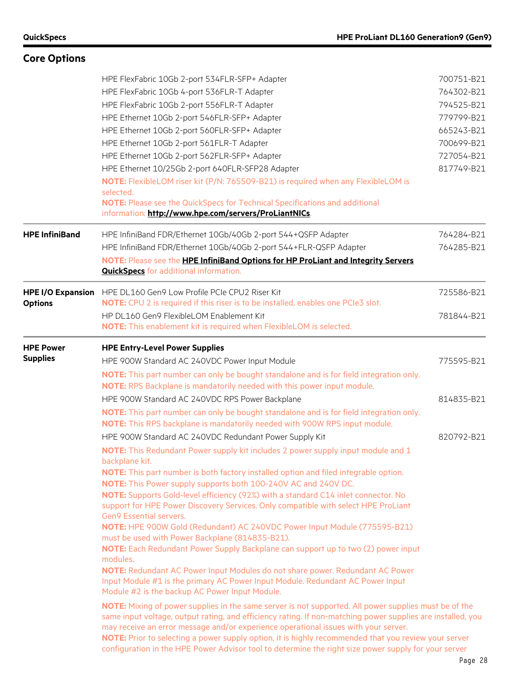| <b>Core Options</b>                        |                                                                                                                                                                                                                                                                                                                                                                                                                                                                                                                                                                                                                                                                                                                                                                                                                                                                                                                                                                                                                                                                                                                                                                                                                                                                                                                                                                                                                                                                                                                    |                                                                                                              |
|--------------------------------------------|--------------------------------------------------------------------------------------------------------------------------------------------------------------------------------------------------------------------------------------------------------------------------------------------------------------------------------------------------------------------------------------------------------------------------------------------------------------------------------------------------------------------------------------------------------------------------------------------------------------------------------------------------------------------------------------------------------------------------------------------------------------------------------------------------------------------------------------------------------------------------------------------------------------------------------------------------------------------------------------------------------------------------------------------------------------------------------------------------------------------------------------------------------------------------------------------------------------------------------------------------------------------------------------------------------------------------------------------------------------------------------------------------------------------------------------------------------------------------------------------------------------------|--------------------------------------------------------------------------------------------------------------|
|                                            | HPE FlexFabric 10Gb 2-port 534FLR-SFP+ Adapter<br>HPE FlexFabric 10Gb 4-port 536FLR-T Adapter<br>HPE FlexFabric 10Gb 2-port 556FLR-T Adapter<br>HPE Ethernet 10Gb 2-port 546FLR-SFP+ Adapter<br>HPE Ethernet 10Gb 2-port 560FLR-SFP+ Adapter<br>HPE Ethernet 10Gb 2-port 561FLR-T Adapter<br>HPE Ethernet 10Gb 2-port 562FLR-SFP+ Adapter<br>HPE Ethernet 10/25Gb 2-port 640FLR-SFP28 Adapter<br>NOTE: FlexibleLOM riser kit (P/N: 765509-B21) is required when any FlexibleLOM is<br>selected.<br>NOTE: Please see the QuickSpecs for Technical Specifications and additional<br>information: http://www.hpe.com/servers/ProLiantNICs.                                                                                                                                                                                                                                                                                                                                                                                                                                                                                                                                                                                                                                                                                                                                                                                                                                                                            | 700751-B21<br>764302-B21<br>794525-B21<br>779799-B21<br>665243-B21<br>700699-B21<br>727054-B21<br>817749-B21 |
| <b>HPE InfiniBand</b>                      | HPE InfiniBand FDR/Ethernet 10Gb/40Gb 2-port 544+QSFP Adapter<br>HPE InfiniBand FDR/Ethernet 10Gb/40Gb 2-port 544+FLR-QSFP Adapter<br>NOTE: Please see the HPE InfiniBand Options for HP ProLiant and Integrity Servers<br><b>QuickSpecs</b> for additional information.                                                                                                                                                                                                                                                                                                                                                                                                                                                                                                                                                                                                                                                                                                                                                                                                                                                                                                                                                                                                                                                                                                                                                                                                                                           | 764284-B21<br>764285-B21                                                                                     |
| <b>HPE I/O Expansion</b><br><b>Options</b> | HPE DL160 Gen9 Low Profile PCIe CPU2 Riser Kit<br>NOTE: CPU 2 is required if this riser is to be installed, enables one PCIe3 slot.<br>HP DL160 Gen9 FlexibleLOM Enablement Kit<br><b>NOTE:</b> This enablement kit is required when FlexibleLOM is selected.                                                                                                                                                                                                                                                                                                                                                                                                                                                                                                                                                                                                                                                                                                                                                                                                                                                                                                                                                                                                                                                                                                                                                                                                                                                      | 725586-B21<br>781844-B21                                                                                     |
| <b>HPE Power</b><br><b>Supplies</b>        | <b>HPE Entry-Level Power Supplies</b><br>HPE 900W Standard AC 240VDC Power Input Module<br>NOTE: This part number can only be bought standalone and is for field integration only.<br>NOTE: RPS Backplane is mandatorily needed with this power input module.                                                                                                                                                                                                                                                                                                                                                                                                                                                                                                                                                                                                                                                                                                                                                                                                                                                                                                                                                                                                                                                                                                                                                                                                                                                      | 775595-B21                                                                                                   |
|                                            | HPE 900W Standard AC 240VDC RPS Power Backplane<br>NOTE: This part number can only be bought standalone and is for field integration only.<br>NOTE: This RPS backplane is mandatorily needed with 900W RPS input module.                                                                                                                                                                                                                                                                                                                                                                                                                                                                                                                                                                                                                                                                                                                                                                                                                                                                                                                                                                                                                                                                                                                                                                                                                                                                                           | 814835-B21                                                                                                   |
|                                            | HPE 900W Standard AC 240VDC Redundant Power Supply Kit<br>NOTE: This Redundant Power supply kit includes 2 power supply input module and 1<br>backplane kit.<br>NOTE: This part number is both factory installed option and filed integrable option.<br>NOTE: This Power supply supports both 100-240V AC and 240V DC.<br>NOTE: Supports Gold-level efficiency (92%) with a standard C14 inlet connector. No<br>support for HPE Power Discovery Services. Only compatible with select HPE ProLiant<br>Gen9 Essential servers.<br>NOTE: HPE 900W Gold (Redundant) AC 240VDC Power Input Module (775595-B21)<br>must be used with Power Backplane (814835-B21).<br>NOTE: Each Redundant Power Supply Backplane can support up to two (2) power input<br>modules.<br>NOTE: Redundant AC Power Input Modules do not share power. Redundant AC Power<br>Input Module #1 is the primary AC Power Input Module. Redundant AC Power Input<br>Module #2 is the backup AC Power Input Module.<br>NOTE: Mixing of power supplies in the same server is not supported. All power supplies must be of the<br>same input voltage, output rating, and efficiency rating. If non-matching power supplies are installed, you<br>may receive an error message and/or experience operational issues with your server.<br>NOTE: Prior to selecting a power supply option, it is highly recommended that you review your server<br>configuration in the HPE Power Advisor tool to determine the right size power supply for your server | 820792-B21                                                                                                   |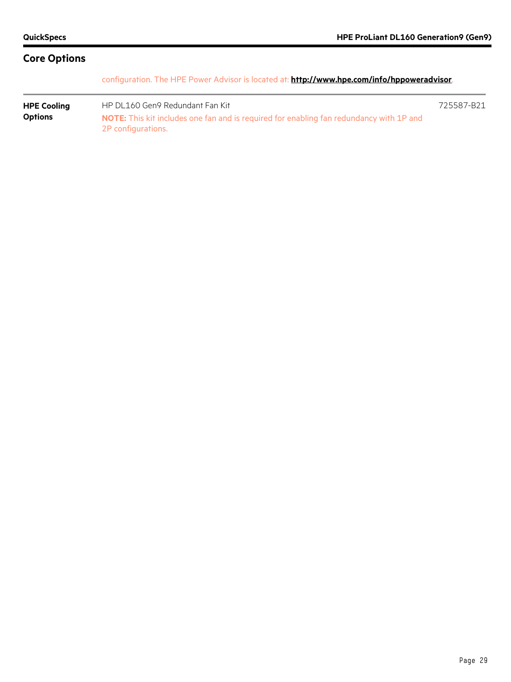configuration. The HPE Power Advisor is located at: **<http://www.hpe.com/info/hppoweradvisor>**.

**HPE Cooling Options** HP DL160 Gen9 Redundant Fan Kit 725587-B21 **NOTE:** This kit includes one fan and is required for enabling fan redundancy with 1P and 2P configurations.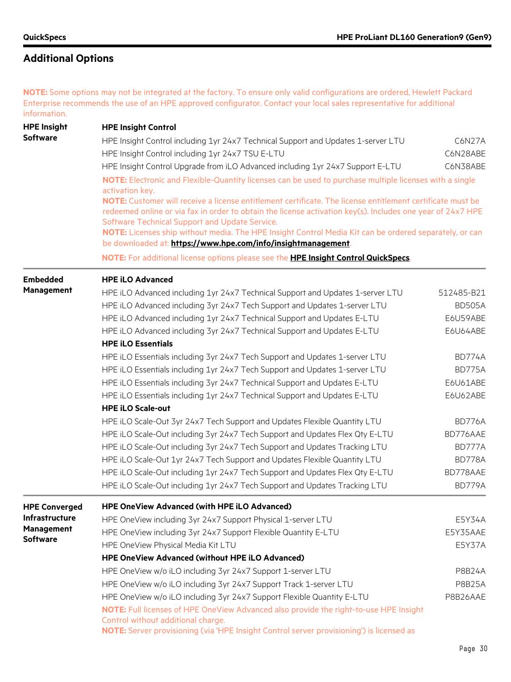**NOTE:** Some options may not be integrated at the factory. To ensure only valid configurations are ordered, Hewlett Packard Enterprise recommends the use of an HPE approved configurator. Contact your local sales representative for additional information.

| <b>HPE Insight</b>    | <b>HPE Insight Control</b>                                                                                                                                                                                                                                                 |                      |  |  |  |  |  |
|-----------------------|----------------------------------------------------------------------------------------------------------------------------------------------------------------------------------------------------------------------------------------------------------------------------|----------------------|--|--|--|--|--|
| <b>Software</b>       | HPE Insight Control including 1yr 24x7 Technical Support and Updates 1-server LTU<br>C6N27A                                                                                                                                                                                |                      |  |  |  |  |  |
|                       | HPE Insight Control including 1yr 24x7 TSU E-LTU                                                                                                                                                                                                                           |                      |  |  |  |  |  |
|                       | HPE Insight Control Upgrade from iLO Advanced including 1yr 24x7 Support E-LTU                                                                                                                                                                                             | C6N28ABE<br>C6N38ABE |  |  |  |  |  |
|                       | NOTE: Electronic and Flexible-Quantity licenses can be used to purchase multiple licenses with a single<br>activation key.                                                                                                                                                 |                      |  |  |  |  |  |
|                       | NOTE: Customer will receive a license entitlement certificate. The license entitlement certificate must be<br>redeemed online or via fax in order to obtain the license activation key(s). Includes one year of 24x7 HPE<br>Software Technical Support and Update Service. |                      |  |  |  |  |  |
|                       | NOTE: Licenses ship without media. The HPE Insight Control Media Kit can be ordered separately, or can<br>be downloaded at: https://www.hpe.com/info/insightmanagement.                                                                                                    |                      |  |  |  |  |  |
|                       | NOTE: For additional license options please see the HPE Insight Control QuickSpecs.                                                                                                                                                                                        |                      |  |  |  |  |  |
| <b>Embedded</b>       | <b>HPE iLO Advanced</b>                                                                                                                                                                                                                                                    |                      |  |  |  |  |  |
| <b>Management</b>     | HPE iLO Advanced including 1yr 24x7 Technical Support and Updates 1-server LTU                                                                                                                                                                                             | 512485-B21           |  |  |  |  |  |
|                       | HPE iLO Advanced including 3yr 24x7 Tech Support and Updates 1-server LTU                                                                                                                                                                                                  | <b>BD505A</b>        |  |  |  |  |  |
|                       | HPE iLO Advanced including 1yr 24x7 Technical Support and Updates E-LTU                                                                                                                                                                                                    | E6U59ABE             |  |  |  |  |  |
|                       | HPE iLO Advanced including 3yr 24x7 Technical Support and Updates E-LTU                                                                                                                                                                                                    | E6U64ABE             |  |  |  |  |  |
|                       | <b>HPE iLO Essentials</b>                                                                                                                                                                                                                                                  |                      |  |  |  |  |  |
|                       | HPE iLO Essentials including 3yr 24x7 Tech Support and Updates 1-server LTU                                                                                                                                                                                                | <b>BD774A</b>        |  |  |  |  |  |
|                       | HPE iLO Essentials including 1yr 24x7 Tech Support and Updates 1-server LTU                                                                                                                                                                                                | <b>BD775A</b>        |  |  |  |  |  |
|                       | HPE iLO Essentials including 3yr 24x7 Technical Support and Updates E-LTU                                                                                                                                                                                                  | E6U61ABE             |  |  |  |  |  |
|                       | HPE iLO Essentials including 1yr 24x7 Technical Support and Updates E-LTU                                                                                                                                                                                                  | E6U62ABE             |  |  |  |  |  |
|                       | <b>HPE iLO Scale-out</b>                                                                                                                                                                                                                                                   |                      |  |  |  |  |  |
|                       | HPE iLO Scale-Out 3yr 24x7 Tech Support and Updates Flexible Quantity LTU                                                                                                                                                                                                  | <b>BD776A</b>        |  |  |  |  |  |
|                       | HPE iLO Scale-Out including 3yr 24x7 Tech Support and Updates Flex Qty E-LTU                                                                                                                                                                                               | BD776AAE             |  |  |  |  |  |
|                       | HPE iLO Scale-Out including 3yr 24x7 Tech Support and Updates Tracking LTU                                                                                                                                                                                                 | BD777A               |  |  |  |  |  |
|                       | HPE iLO Scale-Out 1yr 24x7 Tech Support and Updates Flexible Quantity LTU                                                                                                                                                                                                  | <b>BD778A</b>        |  |  |  |  |  |
|                       | HPE iLO Scale-Out including 1yr 24x7 Tech Support and Updates Flex Qty E-LTU                                                                                                                                                                                               | BD778AAE             |  |  |  |  |  |
|                       | HPE iLO Scale-Out including 1yr 24x7 Tech Support and Updates Tracking LTU                                                                                                                                                                                                 | <b>BD779A</b>        |  |  |  |  |  |
| <b>HPE Converged</b>  | <b>HPE OneView Advanced (with HPE iLO Advanced)</b>                                                                                                                                                                                                                        |                      |  |  |  |  |  |
| <b>Infrastructure</b> | HPE OneView including 3yr 24x7 Support Physical 1-server LTU                                                                                                                                                                                                               | E5Y34A               |  |  |  |  |  |
| <b>Management</b>     | HPE OneView including 3yr 24x7 Support Flexible Quantity E-LTU                                                                                                                                                                                                             | E5Y35AAE             |  |  |  |  |  |
| <b>Software</b>       | HPE OneView Physical Media Kit LTU                                                                                                                                                                                                                                         | E5Y37A               |  |  |  |  |  |
|                       | <b>HPE OneView Advanced (without HPE iLO Advanced)</b>                                                                                                                                                                                                                     |                      |  |  |  |  |  |
|                       | HPE OneView w/o iLO including 3yr 24x7 Support 1-server LTU                                                                                                                                                                                                                | <b>P8B24A</b>        |  |  |  |  |  |
|                       | HPE OneView w/o iLO including 3yr 24x7 Support Track 1-server LTU                                                                                                                                                                                                          | <b>P8B25A</b>        |  |  |  |  |  |
|                       | HPE OneView w/o iLO including 3yr 24x7 Support Flexible Quantity E-LTU                                                                                                                                                                                                     | P8B26AAE             |  |  |  |  |  |
|                       | NOTE: Full licenses of HPE OneView Advanced also provide the right-to-use HPE Insight<br>Control without additional charge.                                                                                                                                                |                      |  |  |  |  |  |
|                       | NOTE: Server provisioning (via 'HPE Insight Control server provisioning') is licensed as                                                                                                                                                                                   |                      |  |  |  |  |  |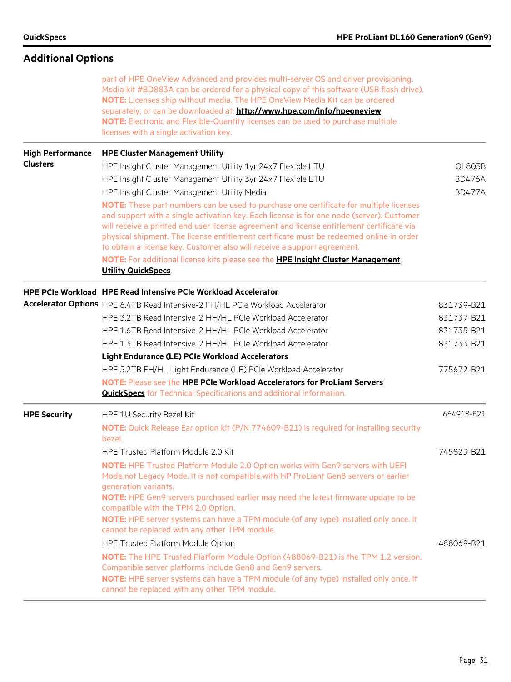| <b>Additional Options</b> |                                                                                                                                                                                                                                                                                                                                                                                                                                                                         |               |
|---------------------------|-------------------------------------------------------------------------------------------------------------------------------------------------------------------------------------------------------------------------------------------------------------------------------------------------------------------------------------------------------------------------------------------------------------------------------------------------------------------------|---------------|
|                           | part of HPE OneView Advanced and provides multi-server OS and driver provisioning.<br>Media kit #BD883A can be ordered for a physical copy of this software (USB flash drive).<br>NOTE: Licenses ship without media. The HPE OneView Media Kit can be ordered<br>separately, or can be downloaded at: http://www.hpe.com/info/hpeoneview.<br>NOTE: Electronic and Flexible-Quantity licenses can be used to purchase multiple<br>licenses with a single activation key. |               |
| <b>High Performance</b>   | <b>HPE Cluster Management Utility</b>                                                                                                                                                                                                                                                                                                                                                                                                                                   |               |
| <b>Clusters</b>           | HPE Insight Cluster Management Utility 1yr 24x7 Flexible LTU                                                                                                                                                                                                                                                                                                                                                                                                            | <b>QL803B</b> |
|                           | HPE Insight Cluster Management Utility 3yr 24x7 Flexible LTU                                                                                                                                                                                                                                                                                                                                                                                                            | <b>BD476A</b> |
|                           | HPE Insight Cluster Management Utility Media                                                                                                                                                                                                                                                                                                                                                                                                                            | <b>BD477A</b> |
|                           | NOTE: These part numbers can be used to purchase one certificate for multiple licenses<br>and support with a single activation key. Each license is for one node (server). Customer<br>will receive a printed end user license agreement and license entitlement certificate via<br>physical shipment. The license entitlement certificate must be redeemed online in order<br>to obtain a license key. Customer also will receive a support agreement.                 |               |
|                           | NOTE: For additional license kits please see the HPE Insight Cluster Management<br><b>Utility QuickSpecs.</b>                                                                                                                                                                                                                                                                                                                                                           |               |
|                           | HPE PCIe Workload HPE Read Intensive PCIe Workload Accelerator                                                                                                                                                                                                                                                                                                                                                                                                          |               |
|                           | Accelerator Options HPE 6.4TB Read Intensive-2 FH/HL PCIe Workload Accelerator                                                                                                                                                                                                                                                                                                                                                                                          | 831739-B21    |
|                           | HPE 3.2TB Read Intensive-2 HH/HL PCIe Workload Accelerator                                                                                                                                                                                                                                                                                                                                                                                                              | 831737-B21    |
|                           | HPE 1.6TB Read Intensive-2 HH/HL PCIe Workload Accelerator                                                                                                                                                                                                                                                                                                                                                                                                              | 831735-B21    |
|                           | HPE 1.3TB Read Intensive-2 HH/HL PCIe Workload Accelerator                                                                                                                                                                                                                                                                                                                                                                                                              | 831733-B21    |
|                           | <b>Light Endurance (LE) PCIe Workload Accelerators</b>                                                                                                                                                                                                                                                                                                                                                                                                                  |               |
|                           | HPE 5.2TB FH/HL Light Endurance (LE) PCIe Workload Accelerator                                                                                                                                                                                                                                                                                                                                                                                                          | 775672-B21    |
|                           | NOTE: Please see the HPE PCIe Workload Accelerators for ProLiant Servers<br><b>QuickSpecs</b> for Technical Specifications and additional information.                                                                                                                                                                                                                                                                                                                  |               |
| <b>HPE Security</b>       | HPE 1U Security Bezel Kit                                                                                                                                                                                                                                                                                                                                                                                                                                               | 664918-B21    |
|                           | NOTE: Quick Release Ear option kit (P/N 774609-B21) is required for installing security<br>bezel.                                                                                                                                                                                                                                                                                                                                                                       |               |
|                           | HPE Trusted Platform Module 2.0 Kit                                                                                                                                                                                                                                                                                                                                                                                                                                     | 745823-B21    |
|                           | NOTE: HPE Trusted Platform Module 2.0 Option works with Gen9 servers with UEFI<br>Mode not Legacy Mode. It is not compatible with HP ProLiant Gen8 servers or earlier<br>generation variants.<br>NOTE: HPE Gen9 servers purchased earlier may need the latest firmware update to be<br>compatible with the TPM 2.0 Option.<br>NOTE: HPE server systems can have a TPM module (of any type) installed only once. It<br>cannot be replaced with any other TPM module.     |               |
|                           | HPE Trusted Platform Module Option                                                                                                                                                                                                                                                                                                                                                                                                                                      | 488069-B21    |
|                           | NOTE: The HPE Trusted Platform Module Option (488069-B21) is the TPM 1.2 version.<br>Compatible server platforms include Gen8 and Gen9 servers.<br>NOTE: HPE server systems can have a TPM module (of any type) installed only once. It<br>cannot be replaced with any other TPM module.                                                                                                                                                                                |               |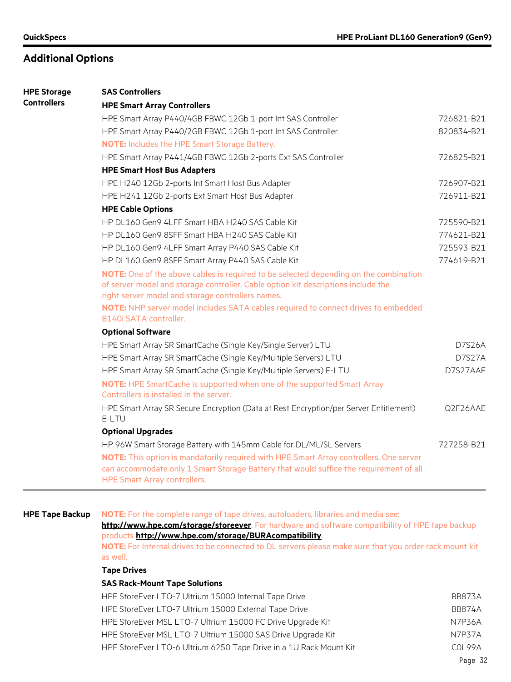| <b>HPE Storage</b> | <b>SAS Controllers</b>                                                                                                                                                                                                          |               |
|--------------------|---------------------------------------------------------------------------------------------------------------------------------------------------------------------------------------------------------------------------------|---------------|
| <b>Controllers</b> | <b>HPE Smart Array Controllers</b>                                                                                                                                                                                              |               |
|                    | HPE Smart Array P440/4GB FBWC 12Gb 1-port Int SAS Controller                                                                                                                                                                    | 726821-B21    |
|                    | HPE Smart Array P440/2GB FBWC 12Gb 1-port Int SAS Controller                                                                                                                                                                    | 820834-B21    |
|                    | <b>NOTE:</b> Includes the HPE Smart Storage Battery.                                                                                                                                                                            |               |
|                    | HPE Smart Array P441/4GB FBWC 12Gb 2-ports Ext SAS Controller                                                                                                                                                                   | 726825-B21    |
|                    | <b>HPE Smart Host Bus Adapters</b>                                                                                                                                                                                              |               |
|                    | HPE H240 12Gb 2-ports Int Smart Host Bus Adapter                                                                                                                                                                                | 726907-B21    |
|                    | HPE H241 12Gb 2-ports Ext Smart Host Bus Adapter                                                                                                                                                                                | 726911-B21    |
|                    | <b>HPE Cable Options</b>                                                                                                                                                                                                        |               |
|                    | HP DL160 Gen9 4LFF Smart HBA H240 SAS Cable Kit                                                                                                                                                                                 | 725590-B21    |
|                    | HP DL160 Gen9 8SFF Smart HBA H240 SAS Cable Kit                                                                                                                                                                                 | 774621-B21    |
|                    | HP DL160 Gen9 4LFF Smart Array P440 SAS Cable Kit                                                                                                                                                                               | 725593-B21    |
|                    | HP DL160 Gen9 8SFF Smart Array P440 SAS Cable Kit                                                                                                                                                                               | 774619-B21    |
|                    | NOTE: One of the above cables is required to be selected depending on the combination<br>of server model and storage controller. Cable option kit descriptions include the<br>right server model and storage controllers names. |               |
|                    | NOTE: NHP server model includes SATA cables required to connect drives to embedded<br>B140i SATA controller.                                                                                                                    |               |
|                    | <b>Optional Software</b>                                                                                                                                                                                                        |               |
|                    | HPE Smart Array SR SmartCache (Single Key/Single Server) LTU                                                                                                                                                                    | <b>D7S26A</b> |
|                    | HPE Smart Array SR SmartCache (Single Key/Multiple Servers) LTU                                                                                                                                                                 | D7S27A        |
|                    | HPE Smart Array SR SmartCache (Single Key/Multiple Servers) E-LTU                                                                                                                                                               | D7S27AAE      |
|                    | NOTE: HPE SmartCache is supported when one of the supported Smart Array<br>Controllers is installed in the server.                                                                                                              |               |
|                    | HPE Smart Array SR Secure Encryption (Data at Rest Encryption/per Server Entitlement)<br>E-LTU                                                                                                                                  | Q2F26AAE      |
|                    | <b>Optional Upgrades</b>                                                                                                                                                                                                        |               |
|                    | HP 96W Smart Storage Battery with 145mm Cable for DL/ML/SL Servers                                                                                                                                                              | 727258-B21    |
|                    | NOTE: This option is mandatorily required with HPE Smart Array controllers. One server<br>can accommodate only 1 Smart Storage Battery that would suffice the requirement of all<br><b>HPE Smart Array controllers.</b>         |               |
|                    |                                                                                                                                                                                                                                 |               |

#### **HPE Tape Backup NOTE:** For the complete range of tape drives, autoloaders, libraries and media see:

**<http://www.hpe.com/storage/storeever>**. For hardware and software compatibility of HPE tape backup products **<http://www.hpe.com/storage/BURAcompatibility>**.

**NOTE:** For Internal drives to be connected to DL servers please make sure that you order rack mount kit as well.

#### **Tape Drives**

#### **SAS Rack-Mount Tape Solutions**

| HPE StoreEver LTO-7 Ultrium 15000 Internal Tape Drive              | <b>BB873A</b> |
|--------------------------------------------------------------------|---------------|
| HPE StoreEver LTO-7 Ultrium 15000 External Tape Drive              | BB874A        |
| HPE StoreEver MSL LTO-7 Ultrium 15000 FC Drive Upgrade Kit         | N7P36A        |
| HPE StoreEver MSL LTO-7 Ultrium 15000 SAS Drive Upgrade Kit        | N7P37A        |
| HPE StoreEver LTO-6 Ultrium 6250 Tape Drive in a 1U Rack Mount Kit | COI 99A       |
|                                                                    |               |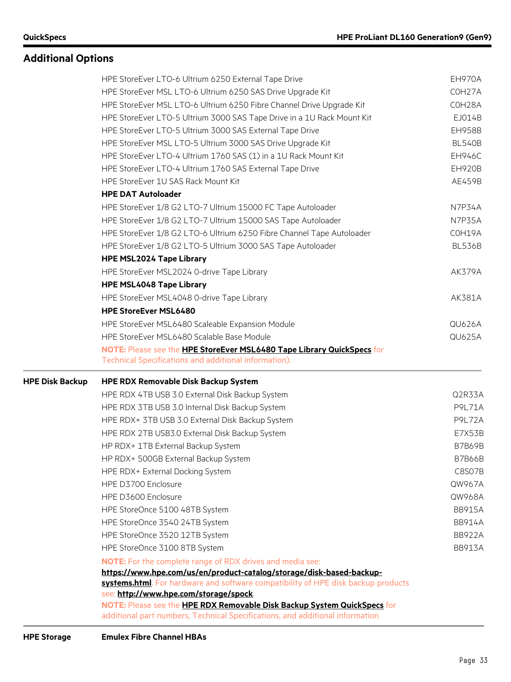|                        | HPE StoreEver LTO-6 Ultrium 6250 External Tape Drive                                                               | EH970A             |
|------------------------|--------------------------------------------------------------------------------------------------------------------|--------------------|
|                        | HPE StoreEver MSL LTO-6 Ultrium 6250 SAS Drive Upgrade Kit                                                         | COH <sub>27A</sub> |
|                        | HPE StoreEver MSL LTO-6 Ultrium 6250 Fibre Channel Drive Upgrade Kit                                               | COH28A             |
|                        | HPE StoreEver LTO-5 Ultrium 3000 SAS Tape Drive in a 1U Rack Mount Kit                                             | EJ014B             |
|                        | HPE StoreEver LTO-5 Ultrium 3000 SAS External Tape Drive                                                           | <b>EH958B</b>      |
|                        | HPE StoreEver MSL LTO-5 Ultrium 3000 SAS Drive Upgrade Kit                                                         | <b>BL540B</b>      |
|                        | HPE StoreEver LTO-4 Ultrium 1760 SAS (1) in a 1U Rack Mount Kit                                                    | <b>EH946C</b>      |
|                        | HPE StoreEver LTO-4 Ultrium 1760 SAS External Tape Drive                                                           | <b>EH920B</b>      |
|                        | HPE StoreEver 1U SAS Rack Mount Kit                                                                                | AE459B             |
|                        | <b>HPE DAT Autoloader</b>                                                                                          |                    |
|                        | HPE StoreEver 1/8 G2 LTO-7 Ultrium 15000 FC Tape Autoloader                                                        | N7P34A             |
|                        | HPE StoreEver 1/8 G2 LTO-7 Ultrium 15000 SAS Tape Autoloader                                                       | N7P35A             |
|                        | HPE StoreEver 1/8 G2 LTO-6 Ultrium 6250 Fibre Channel Tape Autoloader                                              | COH19A             |
|                        | HPE StoreEver 1/8 G2 LTO-5 Ultrium 3000 SAS Tape Autoloader                                                        | <b>BL536B</b>      |
|                        | <b>HPE MSL2024 Tape Library</b>                                                                                    |                    |
|                        | HPE StoreEver MSL2024 0-drive Tape Library                                                                         | <b>AK379A</b>      |
|                        | <b>HPE MSL4048 Tape Library</b>                                                                                    |                    |
|                        | HPE StoreEver MSL4048 0-drive Tape Library                                                                         | AK381A             |
|                        | <b>HPE StoreEver MSL6480</b>                                                                                       |                    |
|                        | HPE StoreEver MSL6480 Scaleable Expansion Module                                                                   | <b>QU626A</b>      |
|                        | HPE StoreEver MSL6480 Scalable Base Module                                                                         | <b>QU625A</b>      |
|                        | NOTE: Please see the HPE StoreEver MSL6480 Tape Library QuickSpecs for                                             |                    |
|                        | Technical Specifications and additional information).                                                              |                    |
|                        |                                                                                                                    |                    |
| <b>HPE Disk Backup</b> | <b>HPE RDX Removable Disk Backup System</b>                                                                        |                    |
|                        | HPE RDX 4TB USB 3.0 External Disk Backup System                                                                    | Q2R33A             |
|                        | HPE RDX 3TB USB 3.0 Internal Disk Backup System                                                                    | P9L71A             |
|                        | HPE RDX+ 3TB USB 3.0 External Disk Backup System                                                                   | <b>P9L72A</b>      |
|                        | HPE RDX 2TB USB3.0 External Disk Backup System                                                                     | E7X53B             |
|                        | HP RDX+ 1TB External Backup System                                                                                 | <b>B7B69B</b>      |
|                        | HP RDX+ 500GB External Backup System                                                                               | <b>B7B66B</b>      |
|                        | HPE RDX+ External Docking System                                                                                   | <b>C8S07B</b>      |
|                        | HPE D3700 Enclosure                                                                                                | QW967A             |
|                        | HPE D3600 Enclosure                                                                                                | QW968A             |
|                        | HPE StoreOnce 5100 48TB System                                                                                     | <b>BB915A</b>      |
|                        | HPE StoreOnce 3540 24TB System                                                                                     | <b>BB914A</b>      |
|                        | HPE StoreOnce 3520 12TB System                                                                                     | <b>BB922A</b>      |
|                        | HPE StoreOnce 3100 8TB System                                                                                      | <b>BB913A</b>      |
|                        | <b>NOTE:</b> For the complete range of RDX drives and media see:                                                   |                    |
|                        | https://www.hpe.com/us/en/product-catalog/storage/disk-based-backup-                                               |                    |
|                        | systems.html. For hardware and software compatibility of HPE disk backup products                                  |                    |
|                        | see: http://www.hpe.com/storage/spock.<br>NOTE: Please see the HPE RDX Removable Disk Backup System QuickSpecs for |                    |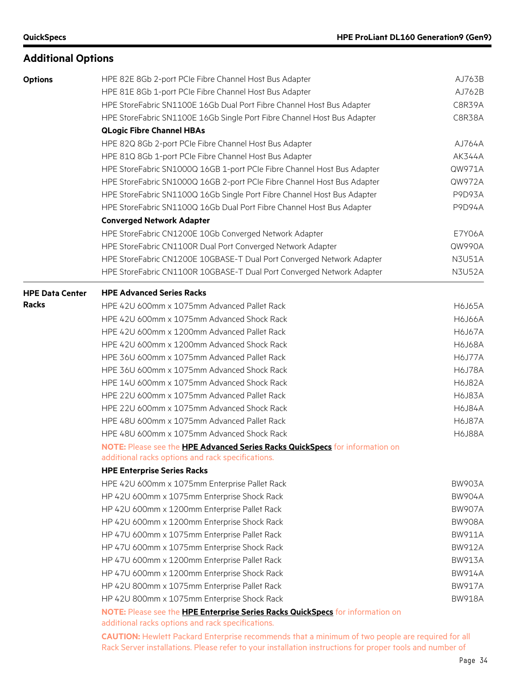| <b>Options</b>         | HPE 82E 8Gb 2-port PCIe Fibre Channel Host Bus Adapter                                                                              | AJ763B        |  |  |  |  |
|------------------------|-------------------------------------------------------------------------------------------------------------------------------------|---------------|--|--|--|--|
|                        | HPE 81E 8Gb 1-port PCIe Fibre Channel Host Bus Adapter                                                                              | AJ762B        |  |  |  |  |
|                        | HPE StoreFabric SN1100E 16Gb Dual Port Fibre Channel Host Bus Adapter                                                               | C8R39A        |  |  |  |  |
|                        | HPE StoreFabric SN1100E 16Gb Single Port Fibre Channel Host Bus Adapter                                                             | C8R38A        |  |  |  |  |
|                        | <b>QLogic Fibre Channel HBAs</b>                                                                                                    |               |  |  |  |  |
|                        | HPE 82Q 8Gb 2-port PCIe Fibre Channel Host Bus Adapter                                                                              |               |  |  |  |  |
|                        | HPE 81Q 8Gb 1-port PCIe Fibre Channel Host Bus Adapter                                                                              |               |  |  |  |  |
|                        | HPE StoreFabric SN1000Q 16GB 1-port PCIe Fibre Channel Host Bus Adapter                                                             | QW971A        |  |  |  |  |
|                        | HPE StoreFabric SN1000Q 16GB 2-port PCIe Fibre Channel Host Bus Adapter                                                             | QW972A        |  |  |  |  |
|                        | HPE StoreFabric SN1100Q 16Gb Single Port Fibre Channel Host Bus Adapter                                                             | P9D93A        |  |  |  |  |
|                        | HPE StoreFabric SN1100Q 16Gb Dual Port Fibre Channel Host Bus Adapter                                                               | <b>P9D94A</b> |  |  |  |  |
|                        | <b>Converged Network Adapter</b>                                                                                                    |               |  |  |  |  |
|                        | HPE StoreFabric CN1200E 10Gb Converged Network Adapter                                                                              | E7Y06A        |  |  |  |  |
|                        | HPE StoreFabric CN1100R Dual Port Converged Network Adapter                                                                         | QW990A        |  |  |  |  |
|                        | HPE StoreFabric CN1200E 10GBASE-T Dual Port Converged Network Adapter                                                               | <b>N3U51A</b> |  |  |  |  |
|                        | HPE StoreFabric CN1100R 10GBASE-T Dual Port Converged Network Adapter                                                               | <b>N3U52A</b> |  |  |  |  |
| <b>HPE Data Center</b> | <b>HPE Advanced Series Racks</b>                                                                                                    |               |  |  |  |  |
| <b>Racks</b>           | HPE 42U 600mm x 1075mm Advanced Pallet Rack                                                                                         | <b>H6J65A</b> |  |  |  |  |
|                        | HPE 42U 600mm x 1075mm Advanced Shock Rack                                                                                          |               |  |  |  |  |
|                        | HPE 42U 600mm x 1200mm Advanced Pallet Rack                                                                                         | <b>H6J67A</b> |  |  |  |  |
|                        | HPE 42U 600mm x 1200mm Advanced Shock Rack                                                                                          | <b>H6J68A</b> |  |  |  |  |
|                        | HPE 36U 600mm x 1075mm Advanced Pallet Rack                                                                                         | <b>H6J77A</b> |  |  |  |  |
|                        | HPE 36U 600mm x 1075mm Advanced Shock Rack                                                                                          | <b>H6J78A</b> |  |  |  |  |
|                        | HPE 14U 600mm x 1075mm Advanced Shock Rack                                                                                          | <b>H6J82A</b> |  |  |  |  |
|                        | HPE 22U 600mm x 1075mm Advanced Pallet Rack                                                                                         | <b>H6J83A</b> |  |  |  |  |
|                        | HPE 22U 600mm x 1075mm Advanced Shock Rack                                                                                          | <b>H6J84A</b> |  |  |  |  |
|                        | HPE 48U 600mm x 1075mm Advanced Pallet Rack                                                                                         | H6J87A        |  |  |  |  |
|                        | HPE 48U 600mm x 1075mm Advanced Shock Rack                                                                                          | <b>H6J88A</b> |  |  |  |  |
|                        | NOTE: Please see the <b>HPE Advanced Series Racks QuickSpecs</b> for information on                                                 |               |  |  |  |  |
|                        | additional racks options and rack specifications.<br><b>HPE Enterprise Series Racks</b>                                             |               |  |  |  |  |
|                        | HPE 42U 600mm x 1075mm Enterprise Pallet Rack                                                                                       | <b>BW903A</b> |  |  |  |  |
|                        | HP 42U 600mm x 1075mm Enterprise Shock Rack                                                                                         | <b>BW904A</b> |  |  |  |  |
|                        | HP 42U 600mm x 1200mm Enterprise Pallet Rack                                                                                        | <b>BW907A</b> |  |  |  |  |
|                        | HP 42U 600mm x 1200mm Enterprise Shock Rack                                                                                         | <b>BW908A</b> |  |  |  |  |
|                        | HP 47U 600mm x 1075mm Enterprise Pallet Rack                                                                                        | <b>BW911A</b> |  |  |  |  |
|                        |                                                                                                                                     | <b>BW912A</b> |  |  |  |  |
|                        | HP 47U 600mm x 1075mm Enterprise Shock Rack                                                                                         |               |  |  |  |  |
|                        | HP 47U 600mm x 1200mm Enterprise Pallet Rack                                                                                        | <b>BW913A</b> |  |  |  |  |
|                        | HP 47U 600mm x 1200mm Enterprise Shock Rack                                                                                         | <b>BW914A</b> |  |  |  |  |
|                        | HP 42U 800mm x 1075mm Enterprise Pallet Rack                                                                                        | <b>BW917A</b> |  |  |  |  |
|                        | HP 42U 800mm x 1075mm Enterprise Shock Rack                                                                                         | <b>BW918A</b> |  |  |  |  |
|                        | NOTE: Please see the HPE Enterprise Series Racks QuickSpecs for information on<br>additional racks options and rack specifications. |               |  |  |  |  |

**CAUTION:** Hewlett Packard Enterprise recommends that a minimum of two people are required for all Rack Server installations. Please refer to your installation instructions for proper tools and number of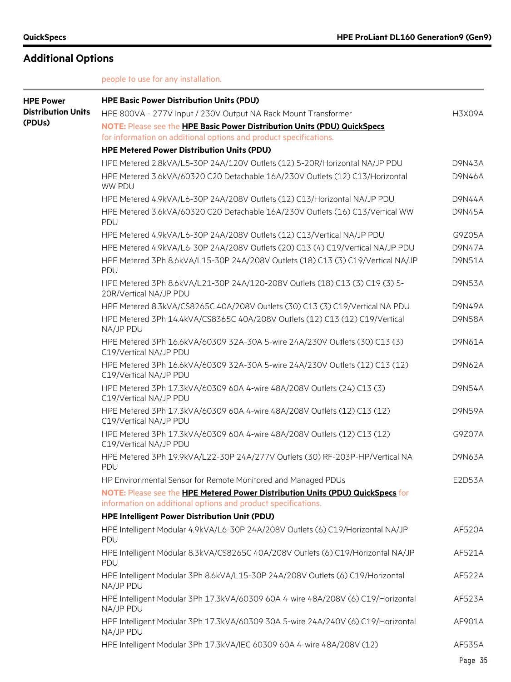people to use for any installation.

| <b>HPE Power</b>          | <b>HPE Basic Power Distribution Units (PDU)</b>                                                                                                 |               |
|---------------------------|-------------------------------------------------------------------------------------------------------------------------------------------------|---------------|
| <b>Distribution Units</b> | HPE 800VA - 277V Input / 230V Output NA Rack Mount Transformer                                                                                  | H3X09A        |
| (PDUs)                    | NOTE: Please see the HPE Basic Power Distribution Units (PDU) QuickSpecs                                                                        |               |
|                           | for information on additional options and product specifications.                                                                               |               |
|                           | <b>HPE Metered Power Distribution Units (PDU)</b>                                                                                               |               |
|                           | HPE Metered 2.8kVA/L5-30P 24A/120V Outlets (12) 5-20R/Horizontal NA/JP PDU                                                                      | <b>D9N43A</b> |
|                           | HPE Metered 3.6kVA/60320 C20 Detachable 16A/230V Outlets (12) C13/Horizontal<br>WW PDU                                                          | <b>D9N46A</b> |
|                           | HPE Metered 4.9kVA/L6-30P 24A/208V Outlets (12) C13/Horizontal NA/JP PDU                                                                        | <b>D9N44A</b> |
|                           | HPE Metered 3.6kVA/60320 C20 Detachable 16A/230V Outlets (16) C13/Vertical WW<br>PDU                                                            | <b>D9N45A</b> |
|                           | HPE Metered 4.9kVA/L6-30P 24A/208V Outlets (12) C13/Vertical NA/JP PDU                                                                          | G9Z05A        |
|                           | HPE Metered 4.9kVA/L6-30P 24A/208V Outlets (20) C13 (4) C19/Vertical NA/JP PDU                                                                  | D9N47A        |
|                           | HPE Metered 3Ph 8.6kVA/L15-30P 24A/208V Outlets (18) C13 (3) C19/Vertical NA/JP<br>PDU                                                          | <b>D9N51A</b> |
|                           | HPE Metered 3Ph 8.6kVA/L21-30P 24A/120-208V Outlets (18) C13 (3) C19 (3) 5-<br>20R/Vertical NA/JP PDU                                           | <b>D9N53A</b> |
|                           | HPE Metered 8.3kVA/CS8265C 40A/208V Outlets (30) C13 (3) C19/Vertical NA PDU                                                                    | <b>D9N49A</b> |
|                           | HPE Metered 3Ph 14.4kVA/CS8365C 40A/208V Outlets (12) C13 (12) C19/Vertical<br>NA/JP PDU                                                        | <b>D9N58A</b> |
|                           | HPE Metered 3Ph 16.6kVA/60309 32A-30A 5-wire 24A/230V Outlets (30) C13 (3)<br>C19/Vertical NA/JP PDU                                            | D9N61A        |
|                           | HPE Metered 3Ph 16.6kVA/60309 32A-30A 5-wire 24A/230V Outlets (12) C13 (12)<br>C19/Vertical NA/JP PDU                                           | D9N62A        |
|                           | HPE Metered 3Ph 17.3kVA/60309 60A 4-wire 48A/208V Outlets (24) C13 (3)<br>C19/Vertical NA/JP PDU                                                | <b>D9N54A</b> |
|                           | HPE Metered 3Ph 17.3kVA/60309 60A 4-wire 48A/208V Outlets (12) C13 (12)<br>C19/Vertical NA/JP PDU                                               | <b>D9N59A</b> |
|                           | HPE Metered 3Ph 17.3kVA/60309 60A 4-wire 48A/208V Outlets (12) C13 (12)<br>C19/Vertical NA/JP PDU                                               | G9Z07A        |
|                           | HPE Metered 3Ph 19.9kVA/L22-30P 24A/277V Outlets (30) RF-203P-HP/Vertical NA<br>PDU                                                             | <b>D9N63A</b> |
|                           | HP Environmental Sensor for Remote Monitored and Managed PDUs                                                                                   | E2D53A        |
|                           | NOTE: Please see the HPE Metered Power Distribution Units (PDU) QuickSpecs for<br>information on additional options and product specifications. |               |
|                           | HPE Intelligent Power Distribution Unit (PDU)                                                                                                   |               |
|                           | HPE Intelligent Modular 4.9kVA/L6-30P 24A/208V Outlets (6) C19/Horizontal NA/JP<br>PDU                                                          | <b>AF520A</b> |
|                           | HPE Intelligent Modular 8.3kVA/CS8265C 40A/208V Outlets (6) C19/Horizontal NA/JP<br><b>PDU</b>                                                  | AF521A        |
|                           | HPE Intelligent Modular 3Ph 8.6kVA/L15-30P 24A/208V Outlets (6) C19/Horizontal<br>NA/JP PDU                                                     | AF522A        |
|                           | HPE Intelligent Modular 3Ph 17.3kVA/60309 60A 4-wire 48A/208V (6) C19/Horizontal<br>NA/JP PDU                                                   | AF523A        |
|                           | HPE Intelligent Modular 3Ph 17.3kVA/60309 30A 5-wire 24A/240V (6) C19/Horizontal<br>NA/JP PDU                                                   | AF901A        |
|                           | HPE Intelligent Modular 3Ph 17.3kVA/IEC 60309 60A 4-wire 48A/208V (12)                                                                          | AF535A        |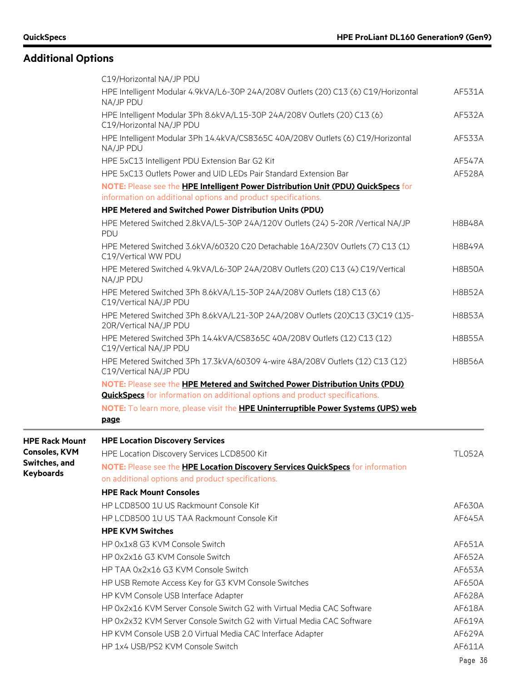|                       | C19/Horizontal NA/JP PDU                                                                                                                                            |               |
|-----------------------|---------------------------------------------------------------------------------------------------------------------------------------------------------------------|---------------|
|                       | HPE Intelligent Modular 4.9kVA/L6-30P 24A/208V Outlets (20) C13 (6) C19/Horizontal<br>NA/JP PDU                                                                     | AF531A        |
|                       | HPE Intelligent Modular 3Ph 8.6kVA/L15-30P 24A/208V Outlets (20) C13 (6)<br>C19/Horizontal NA/JP PDU                                                                | AF532A        |
|                       | HPE Intelligent Modular 3Ph 14.4kVA/CS8365C 40A/208V Outlets (6) C19/Horizontal<br>NA/JP PDU                                                                        | AF533A        |
|                       | HPE 5xC13 Intelligent PDU Extension Bar G2 Kit                                                                                                                      | <b>AF547A</b> |
|                       | HPE 5xC13 Outlets Power and UID LEDs Pair Standard Extension Bar                                                                                                    | AF528A        |
|                       | NOTE: Please see the HPE Intelligent Power Distribution Unit (PDU) QuickSpecs for<br>information on additional options and product specifications.                  |               |
|                       | HPE Metered and Switched Power Distribution Units (PDU)                                                                                                             |               |
|                       | HPE Metered Switched 2.8kVA/L5-30P 24A/120V Outlets (24) 5-20R /Vertical NA/JP<br>PDU                                                                               | <b>H8B48A</b> |
|                       | HPE Metered Switched 3.6kVA/60320 C20 Detachable 16A/230V Outlets (7) C13 (1)<br>C19/Vertical WW PDU                                                                | <b>H8B49A</b> |
|                       | HPE Metered Switched 4.9kVA/L6-30P 24A/208V Outlets (20) C13 (4) C19/Vertical<br>NA/JP PDU                                                                          | <b>H8B50A</b> |
|                       | HPE Metered Switched 3Ph 8.6kVA/L15-30P 24A/208V Outlets (18) C13 (6)<br>C19/Vertical NA/JP PDU                                                                     | <b>H8B52A</b> |
|                       | HPE Metered Switched 3Ph 8.6kVA/L21-30P 24A/208V Outlets (20)C13 (3)C19 (1)5-<br>20R/Vertical NA/JP PDU                                                             | <b>H8B53A</b> |
|                       | HPE Metered Switched 3Ph 14.4kVA/CS8365C 40A/208V Outlets (12) C13 (12)<br>C19/Vertical NA/JP PDU                                                                   | <b>H8B55A</b> |
|                       | HPE Metered Switched 3Ph 17.3kVA/60309 4-wire 48A/208V Outlets (12) C13 (12)<br>C19/Vertical NA/JP PDU                                                              | <b>H8B56A</b> |
|                       | NOTE: Please see the HPE Metered and Switched Power Distribution Units (PDU)<br><b>QuickSpecs</b> for information on additional options and product specifications. |               |
|                       | NOTE: To learn more, please visit the HPE Uninterruptible Power Systems (UPS) web<br>page.                                                                          |               |
| <b>HPE Rack Mount</b> | <b>HPE Location Discovery Services</b>                                                                                                                              |               |
| <b>Consoles, KVM</b>  | HPE Location Discovery Services LCD8500 Kit                                                                                                                         | <b>TL052A</b> |
| Switches, and         | NOTE: Please see the HPE Location Discovery Services QuickSpecs for information                                                                                     |               |
| <b>Keyboards</b>      | on additional options and product specifications.                                                                                                                   |               |
|                       | <b>HPE Rack Mount Consoles</b>                                                                                                                                      |               |
|                       | HP LCD8500 1U US Rackmount Console Kit                                                                                                                              | AF630A        |
|                       | HP LCD8500 1U US TAA Rackmount Console Kit                                                                                                                          | AF645A        |
|                       | <b>HPE KVM Switches</b>                                                                                                                                             |               |
|                       | HP 0x1x8 G3 KVM Console Switch                                                                                                                                      | AF651A        |
|                       | HP 0x2x16 G3 KVM Console Switch                                                                                                                                     | AF652A        |
|                       | HP TAA 0x2x16 G3 KVM Console Switch                                                                                                                                 | AF653A        |
|                       | HP USB Remote Access Key for G3 KVM Console Switches                                                                                                                | AF650A        |
|                       | HP KVM Console USB Interface Adapter                                                                                                                                | AF628A        |
|                       | HP 0x2x16 KVM Server Console Switch G2 with Virtual Media CAC Software                                                                                              | AF618A        |
|                       | HP 0x2x32 KVM Server Console Switch G2 with Virtual Media CAC Software                                                                                              | AF619A        |
|                       | HP KVM Console USB 2.0 Virtual Media CAC Interface Adapter                                                                                                          | AF629A        |
|                       | HP 1x4 USB/PS2 KVM Console Switch                                                                                                                                   | AF611A        |
|                       |                                                                                                                                                                     | Page 36       |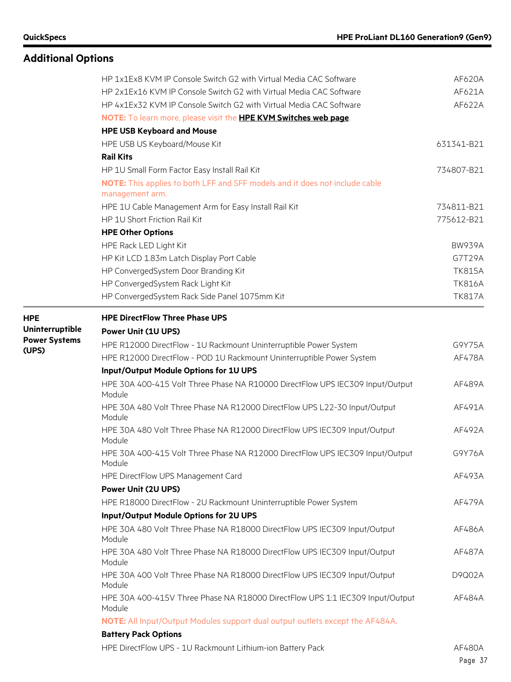### **Additional Options**

|                      | HP 1x1Ex8 KVM IP Console Switch G2 with Virtual Media CAC Software                      | AF620A        |
|----------------------|-----------------------------------------------------------------------------------------|---------------|
|                      | HP 2x1Ex16 KVM IP Console Switch G2 with Virtual Media CAC Software                     | AF621A        |
|                      | HP 4x1Ex32 KVM IP Console Switch G2 with Virtual Media CAC Software                     | AF622A        |
|                      | NOTE: To learn more, please visit the HPE KVM Switches web page.                        |               |
|                      | <b>HPE USB Keyboard and Mouse</b>                                                       |               |
|                      | HPE USB US Keyboard/Mouse Kit                                                           | 631341-B21    |
|                      | <b>Rail Kits</b>                                                                        |               |
|                      | HP 1U Small Form Factor Easy Install Rail Kit                                           | 734807-B21    |
|                      | NOTE: This applies to both LFF and SFF models and it does not include cable             |               |
|                      | management arm.                                                                         |               |
|                      | HPE 1U Cable Management Arm for Easy Install Rail Kit                                   | 734811-B21    |
|                      | HP 1U Short Friction Rail Kit                                                           | 775612-B21    |
|                      | <b>HPE Other Options</b>                                                                |               |
|                      | HPE Rack LED Light Kit                                                                  | <b>BW939A</b> |
|                      | HP Kit LCD 1.83m Latch Display Port Cable                                               | G7T29A        |
|                      | HP ConvergedSystem Door Branding Kit                                                    | <b>TK815A</b> |
|                      | HP ConvergedSystem Rack Light Kit                                                       | <b>TK816A</b> |
|                      | HP ConvergedSystem Rack Side Panel 1075mm Kit                                           | <b>TK817A</b> |
| <b>HPE</b>           | <b>HPE DirectFlow Three Phase UPS</b>                                                   |               |
| Uninterruptible      | <b>Power Unit (1U UPS)</b>                                                              |               |
| <b>Power Systems</b> | HPE R12000 DirectFlow - 1U Rackmount Uninterruptible Power System                       | G9Y75A        |
| (UPS)                | HPE R12000 DirectFlow - POD 1U Rackmount Uninterruptible Power System                   | AF478A        |
|                      | Input/Output Module Options for 1U UPS                                                  |               |
|                      | HPE 30A 400-415 Volt Three Phase NA R10000 DirectFlow UPS IEC309 Input/Output<br>Module | AF489A        |
|                      | HPE 30A 480 Volt Three Phase NA R12000 DirectFlow UPS L22-30 Input/Output<br>Module     | AF491A        |
|                      | HPE 30A 480 Volt Three Phase NA R12000 DirectFlow UPS IEC309 Input/Output<br>Module     | AF492A        |
|                      | HPE 30A 400-415 Volt Three Phase NA R12000 DirectFlow UPS IEC309 Input/Output<br>Module | G9Y76A        |
|                      | HPE DirectFlow UPS Management Card                                                      | AF493A        |
|                      | <b>Power Unit (2U UPS)</b>                                                              |               |
|                      | HPE R18000 DirectFlow - 2U Rackmount Uninterruptible Power System                       | AF479A        |
|                      | Input/Output Module Options for 2U UPS                                                  |               |
|                      | HPE 30A 480 Volt Three Phase NA R18000 DirectFlow UPS IEC309 Input/Output<br>Module     | AF486A        |
|                      | HPE 30A 480 Volt Three Phase NA R18000 DirectFlow UPS IEC309 Input/Output<br>Module     | AF487A        |
|                      | HPE 30A 400 Volt Three Phase NA R18000 DirectFlow UPS IEC309 Input/Output<br>Module     | D9Q02A        |
|                      | HPE 30A 400-415V Three Phase NA R18000 DirectFlow UPS 1:1 IEC309 Input/Output<br>Module | AF484A        |
|                      | NOTE: All Input/Output Modules support dual output outlets except the AF484A.           |               |
|                      | <b>Battery Pack Options</b>                                                             |               |

HPE DirectFlow UPS - 1U Rackmount Lithium-ion Battery Pack AF480A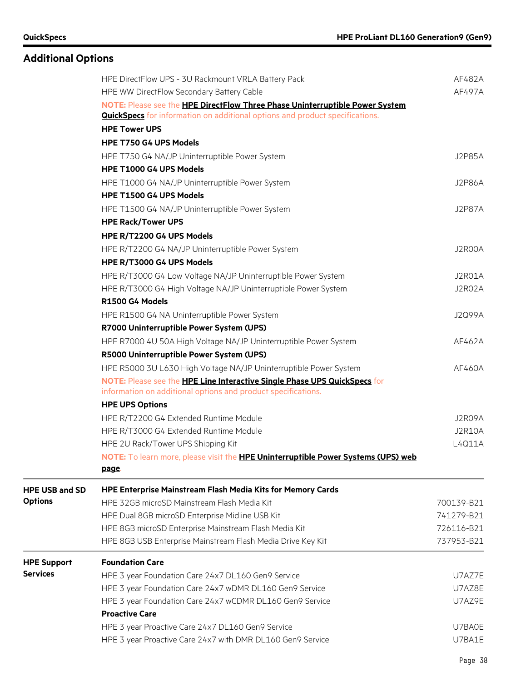### **Additional Options**

|                       | HPE DirectFlow UPS - 3U Rackmount VRLA Battery Pack<br>HPE WW DirectFlow Secondary Battery Cable                                                                    | AF482A<br>AF497A |
|-----------------------|---------------------------------------------------------------------------------------------------------------------------------------------------------------------|------------------|
|                       | NOTE: Please see the HPE DirectFlow Three Phase Uninterruptible Power System<br><b>QuickSpecs</b> for information on additional options and product specifications. |                  |
|                       | <b>HPE Tower UPS</b>                                                                                                                                                |                  |
|                       | HPE T750 G4 UPS Models                                                                                                                                              |                  |
|                       | HPE T750 G4 NA/JP Uninterruptible Power System<br>HPE T1000 G4 UPS Models                                                                                           | <b>J2P85A</b>    |
|                       | HPE T1000 G4 NA/JP Uninterruptible Power System                                                                                                                     | J2P86A           |
|                       | HPE T1500 G4 UPS Models                                                                                                                                             |                  |
|                       | HPE T1500 G4 NA/JP Uninterruptible Power System                                                                                                                     | J2P87A           |
|                       | <b>HPE Rack/Tower UPS</b>                                                                                                                                           |                  |
|                       | HPE R/T2200 G4 UPS Models                                                                                                                                           |                  |
|                       | HPE R/T2200 G4 NA/JP Uninterruptible Power System                                                                                                                   | J2R00A           |
|                       | HPE R/T3000 G4 UPS Models                                                                                                                                           |                  |
|                       | HPE R/T3000 G4 Low Voltage NA/JP Uninterruptible Power System                                                                                                       | J2R01A           |
|                       | HPE R/T3000 G4 High Voltage NA/JP Uninterruptible Power System                                                                                                      | J2R02A           |
|                       | R1500 G4 Models                                                                                                                                                     |                  |
|                       | HPE R1500 G4 NA Uninterruptible Power System                                                                                                                        | <b>J2Q99A</b>    |
|                       | R7000 Uninterruptible Power System (UPS)                                                                                                                            |                  |
|                       | HPE R7000 4U 50A High Voltage NA/JP Uninterruptible Power System                                                                                                    | AF462A           |
|                       | R5000 Uninterruptible Power System (UPS)                                                                                                                            |                  |
|                       | HPE R5000 3U L630 High Voltage NA/JP Uninterruptible Power System                                                                                                   | AF460A           |
|                       | NOTE: Please see the HPE Line Interactive Single Phase UPS QuickSpecs for                                                                                           |                  |
|                       | information on additional options and product specifications.                                                                                                       |                  |
|                       | <b>HPE UPS Options</b>                                                                                                                                              |                  |
|                       | HPE R/T2200 G4 Extended Runtime Module                                                                                                                              | J2R09A           |
|                       | HPE R/T3000 G4 Extended Runtime Module                                                                                                                              | <b>J2R10A</b>    |
|                       | HPE 2U Rack/Tower UPS Shipping Kit                                                                                                                                  | L4Q11A           |
|                       | NOTE: To learn more, please visit the <b>HPE Uninterruptible Power Systems (UPS) web</b><br><u>page.</u>                                                            |                  |
| <b>HPE USB and SD</b> | <b>HPE Enterprise Mainstream Flash Media Kits for Memory Cards</b>                                                                                                  |                  |
| <b>Options</b>        | HPE 32GB microSD Mainstream Flash Media Kit                                                                                                                         | 700139-B21       |
|                       | HPE Dual 8GB microSD Enterprise Midline USB Kit                                                                                                                     | 741279-B21       |
|                       | HPE 8GB microSD Enterprise Mainstream Flash Media Kit                                                                                                               | 726116-B21       |
|                       | HPE 8GB USB Enterprise Mainstream Flash Media Drive Key Kit                                                                                                         | 737953-B21       |
| <b>HPE Support</b>    | <b>Foundation Care</b>                                                                                                                                              |                  |
| <b>Services</b>       | HPE 3 year Foundation Care 24x7 DL160 Gen9 Service                                                                                                                  | U7AZ7E           |
|                       | HPE 3 year Foundation Care 24x7 wDMR DL160 Gen9 Service                                                                                                             | U7AZ8E           |
|                       | HPE 3 year Foundation Care 24x7 wCDMR DL160 Gen9 Service                                                                                                            | U7AZ9E           |
|                       | <b>Proactive Care</b>                                                                                                                                               |                  |
|                       | HPE 3 year Proactive Care 24x7 DL160 Gen9 Service                                                                                                                   | U7BA0E           |
|                       | HPE 3 year Proactive Care 24x7 with DMR DL160 Gen9 Service                                                                                                          | U7BA1E           |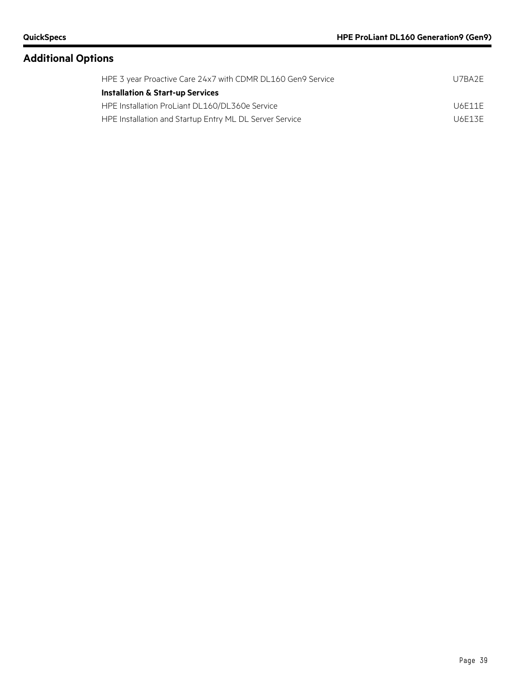| HPE 3 year Proactive Care 24x7 with CDMR DL160 Gen9 Service | U7BA2F |
|-------------------------------------------------------------|--------|
| <b>Installation &amp; Start-up Services</b>                 |        |
| HPE Installation ProLiant DL160/DL360e Service              | U6F11F |
| HPE Installation and Startup Entry ML DL Server Service     | U6F13F |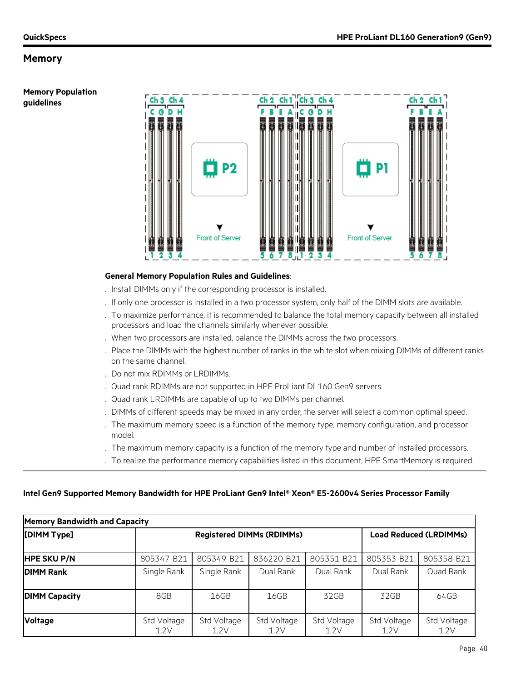**Memory Population guidelines**



#### **General Memory Population Rules and Guidelines**:

- . Install DIMMs only if the corresponding processor is installed.
- . If only one processor is installed in a two processor system, only half of the DIMM slots are available.
- . To maximize performance, it is recommended to balance the total memory capacity between all installed processors and load the channels similarly whenever possible.
- . When two processors are installed, balance the DIMMs across the two processors.
- . Place the DIMMs with the highest number of ranks in the white slot when mixing DIMMs of different ranks on the same channel.
- . Do not mix RDIMMs or LRDIMMs.
- . Quad rank RDIMMs are not supported in HPE ProLiant DL160 Gen9 servers.
- . Quad rank LRDIMMs are capable of up to two DIMMs per channel.
- . DIMMs of different speeds may be mixed in any order; the server will select a common optimal speed.
- . The maximum memory speed is a function of the memory type, memory configuration, and processor model.
- . The maximum memory capacity is a function of the memory type and number of installed processors.
- . To realize the performance memory capabilities listed in this document, HPE SmartMemory is required.

#### **Intel Gen9 Supported Memory Bandwidth for HPE ProLiant Gen9 Intel® Xeon® E5-2600v4 Series Processor Family**

| <b>Memory Bandwidth and Capacity</b> |                     |                                  |                     |                     |                               |                     |
|--------------------------------------|---------------------|----------------------------------|---------------------|---------------------|-------------------------------|---------------------|
| [DIMM Type]                          |                     | <b>Registered DIMMs (RDIMMs)</b> |                     |                     | <b>Load Reduced (LRDIMMs)</b> |                     |
| <b>HPE SKU P/N</b>                   | 805347-B21          | 805349-B21                       | 836220-B21          | 805351-B21          | 805353-B21                    | 805358-B21          |
| <b>DIMM Rank</b>                     | Single Rank         | Single Rank                      | Dual Rank           | Dual Rank           | Dual Rank                     | Quad Rank           |
| <b>DIMM Capacity</b>                 | 8GB                 | 16GB                             | 16GB                | 32GB                | 32GB                          | 64GB                |
| <b>Voltage</b>                       | Std Voltage<br>1.2V | Std Voltage<br>1.2V              | Std Voltage<br>1.2V | Std Voltage<br>1.2V | Std Voltage<br>1.2V           | Std Voltage<br>1.2V |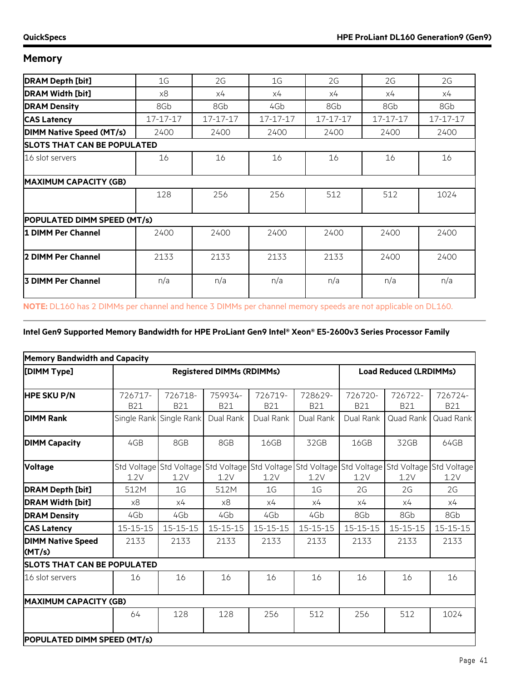| <b>DRAM Depth [bit]</b>            | 1G             | 2G             | 1G             | 2G       | 2G             | 2G             |  |
|------------------------------------|----------------|----------------|----------------|----------|----------------|----------------|--|
| <b>DRAM Width [bit]</b>            | x8             | x4             | x4             | x4       | х4             | х4             |  |
| <b>DRAM Density</b>                | 8Gb            | 8Gb            | 4Gb            | 8Gb      | 8Gb            | 8Gb            |  |
| <b>CAS Latency</b>                 | $17 - 17 - 17$ | $17 - 17 - 17$ | $17 - 17 - 17$ | 17-17-17 | $17 - 17 - 17$ | $17 - 17 - 17$ |  |
| <b>DIMM Native Speed (MT/s)</b>    | 2400           | 2400           | 2400           | 2400     | 2400           | 2400           |  |
| <b>SLOTS THAT CAN BE POPULATED</b> |                |                |                |          |                |                |  |
| 16 slot servers                    | 16             | 16             | 16             | 16       | 16             | 16             |  |
| <b>MAXIMUM CAPACITY (GB)</b>       |                |                |                |          |                |                |  |
|                                    | 128            | 256            | 256            | 512      | 512            | 1024           |  |
| POPULATED DIMM SPEED (MT/s)        |                |                |                |          |                |                |  |
| 1 DIMM Per Channel                 | 2400           | 2400           | 2400           | 2400     | 2400           | 2400           |  |
| 2 DIMM Per Channel                 | 2133           | 2133           | 2133           | 2133     | 2400           | 2400           |  |
| <b>3 DIMM Per Channel</b>          | n/a            | n/a            | n/a            | n/a      | n/a            | n/a            |  |

**NOTE:** DL160 has 2 DIMMs per channel and hence 3 DIMMs per channel memory speeds are not applicable on DL160.

#### **Intel Gen9 Supported Memory Bandwidth for HPE ProLiant Gen9 Intel® Xeon® E5-2600v3 Series Processor Family**

| <b>Memory Bandwidth and Capacity</b> |                       |                                  |                                                                                                         |                       |                       |                               |                       |                       |
|--------------------------------------|-----------------------|----------------------------------|---------------------------------------------------------------------------------------------------------|-----------------------|-----------------------|-------------------------------|-----------------------|-----------------------|
| [DIMM Type]                          |                       | <b>Registered DIMMs (RDIMMs)</b> |                                                                                                         |                       |                       | <b>Load Reduced (LRDIMMs)</b> |                       |                       |
| <b>HPE SKU P/N</b>                   | 726717-<br><b>B21</b> | 726718-<br><b>B21</b>            | 759934-<br><b>B21</b>                                                                                   | 726719-<br><b>B21</b> | 728629-<br><b>B21</b> | 726720-<br><b>B21</b>         | 726722-<br><b>B21</b> | 726724-<br><b>B21</b> |
| <b>DIMM Rank</b>                     |                       | Single Rank Single Rank          | Dual Rank                                                                                               | Dual Rank             | Dual Rank             | Dual Rank                     | Quad Rank             | Quad Rank             |
| <b>DIMM Capacity</b>                 | 4GB                   | 8GB                              | 8GB                                                                                                     | 16GB                  | 32GB                  | 16GB                          | 32GB                  | 64GB                  |
| <b>Voltage</b>                       | 1.2V                  | 1.2V                             | Std Voltage Std Voltage Std Voltage Std Voltage Std Voltage Std Voltage Std Voltage Std Voltage<br>1.2V | 1.2V                  | 1.2V                  | 1.2V                          | 1.2V                  | 1.2V                  |
| <b>DRAM Depth [bit]</b>              | 512M                  | 1G                               | 512M                                                                                                    | 1G                    | 1G                    | 2G                            | 2G                    | 2G                    |
| <b>DRAM Width [bit]</b>              | x8                    | х4                               | x8                                                                                                      | х4                    | х4                    | х4                            | х4                    | х4                    |
| <b>DRAM Density</b>                  | 4Gb                   | 4Gb                              | 4Gb                                                                                                     | 4Gb                   | 4Gb                   | 8Gb                           | 8Gb                   | 8Gb                   |
| <b>CAS Latency</b>                   | $15 - 15 - 15$        | $15 - 15 - 15$                   | $15 - 15 - 15$                                                                                          | $15 - 15 - 15$        | $15 - 15 - 15$        | $15 - 15 - 15$                | $15 - 15 - 15$        | $15 - 15 - 15$        |
| <b>DIMM Native Speed</b><br>(MT/s)   | 2133                  | 2133                             | 2133                                                                                                    | 2133                  | 2133                  | 2133                          | 2133                  | 2133                  |
| <b>SLOTS THAT CAN BE POPULATED</b>   |                       |                                  |                                                                                                         |                       |                       |                               |                       |                       |
| 16 slot servers                      | 16                    | 16                               | 16                                                                                                      | 16                    | 16                    | 16                            | 16                    | 16                    |
| <b>MAXIMUM CAPACITY (GB)</b>         |                       |                                  |                                                                                                         |                       |                       |                               |                       |                       |
|                                      | 64                    | 128                              | 128                                                                                                     | 256                   | 512                   | 256                           | 512                   | 1024                  |
| POPULATED DIMM SPEED (MT/s)          |                       |                                  |                                                                                                         |                       |                       |                               |                       |                       |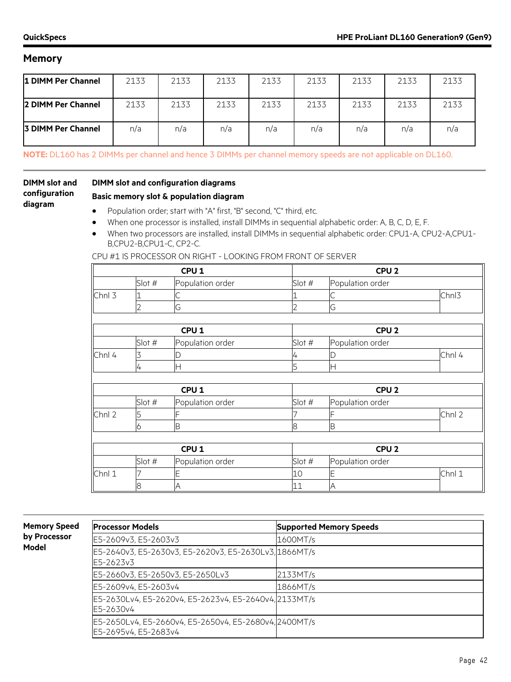| 1 DIMM Per Channel        | 2133 | 2133 | 2133 | 2133 | 2133 | 2133 | 2133 | 2133 |
|---------------------------|------|------|------|------|------|------|------|------|
| <b>2 DIMM Per Channel</b> | 2133 | 2133 | 2133 | 2133 | 2133 | 2133 | 2133 | 2133 |
| <b>3 DIMM Per Channel</b> | n/a  | n/a  | n/a  | n/a  | n/a  | n/a  | n/a  | n/a  |

**NOTE:** DL160 has 2 DIMMs per channel and hence 3 DIMMs per channel memory speeds are not applicable on DL160.

#### **DIMM slot and configuration diagram**

#### **DIMM slot and configuration diagrams**

#### **Basic memory slot & population diagram**

- Population order; start with "A" first, "B" second, "C" third, etc.
- When one processor is installed, install DIMMs in sequential alphabetic order: A, B, C, D, E, F.
- When two processors are installed, install DIMMs in sequential alphabetic order: CPU1-A, CPU2-A,CPU1- B,CPU2-B,CPU1-C, CP2-C.

CPU #1 IS PROCESSOR ON RIGHT - LOOKING FROM FRONT OF SERVER

|        |        | CPU <sub>1</sub> |        | CPU <sub>2</sub> |        |
|--------|--------|------------------|--------|------------------|--------|
|        | Slot # | Population order | Slot # | Population order |        |
| Chnl 3 |        | C                |        |                  | Chnl3  |
|        |        | G                | フ      | G                |        |
|        |        |                  |        |                  |        |
|        |        | CPU <sub>1</sub> |        | CPU <sub>2</sub> |        |
|        | Slot # | Population order | Slot # | Population order |        |
| Chnl 4 | 3      | D                | 4      | D                | Chnl 4 |
|        | 4      | Н                | 5      | Η                |        |
|        |        |                  |        |                  |        |
|        |        | CPU <sub>1</sub> |        | CPU <sub>2</sub> |        |
|        | Slot # | Population order | Slot # | Population order |        |
| Chnl 2 | 5      |                  |        |                  | Chnl 2 |
|        | O      | B                | 8      | B                |        |
|        |        |                  |        |                  |        |
|        |        | CPU <sub>1</sub> |        | CPU <sub>2</sub> |        |
|        | Slot # | Population order | Slot # | Population order |        |
| Chnl 1 |        | E                | 10     |                  | Chnl 1 |
|        | 8      | Α                | 11     | A                |        |

**Memory Speed by Processor Model**

| <b>Processor Models</b>                                                       | <b>Supported Memory Speeds</b> |
|-------------------------------------------------------------------------------|--------------------------------|
| E5-2609v3, E5-2603v3                                                          | 1600MT/s                       |
| E5-2640v3, E5-2630v3, E5-2620v3, E5-2630Lv3, 1866MT/s<br>E5-2623v3            |                                |
| E5-2660v3, E5-2650v3, E5-2650Lv3                                              | 2133MT/s                       |
| E5-2609v4, E5-2603v4                                                          | 1866MT/s                       |
| E5-2630Lv4, E5-2620v4, E5-2623v4, E5-2640v4, 2133MT/s<br>E5-2630v4            |                                |
| E5-2650Lv4, E5-2660v4, E5-2650v4, E5-2680v4, 2400MT/s<br>E5-2695v4, E5-2683v4 |                                |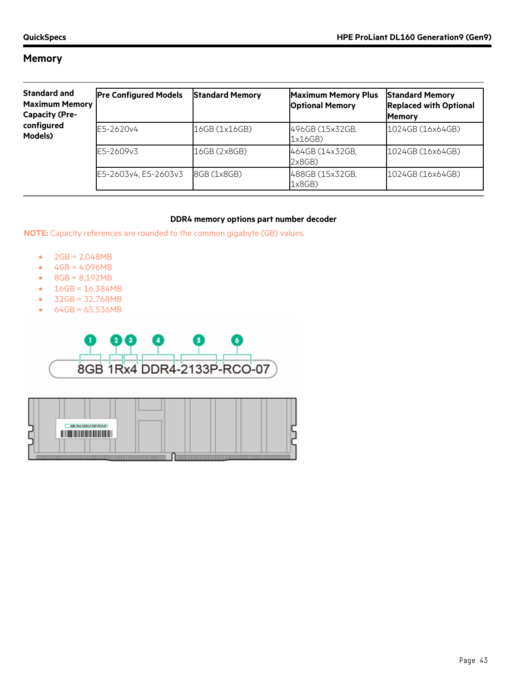| <b>Standard and</b><br><b>Maximum Memory</b><br><b>Capacity (Pre-</b> | <b>Pre Configured Models</b> | <b>Standard Memory</b> | <b>Maximum Memory Plus</b><br><b>Optional Memory</b> | <b>Standard Memory</b><br><b>Replaced with Optional</b><br><b>Memory</b> |
|-----------------------------------------------------------------------|------------------------------|------------------------|------------------------------------------------------|--------------------------------------------------------------------------|
| configured<br>Models)                                                 | E5-2620v4                    | 16GB (1x16GB)          | 496GB (15x32GB,<br>1x16GB)                           | 1024GB (16x64GB)                                                         |
|                                                                       | E5-2609v3                    | 16GB (2x8GB)           | 464GB (14x32GB,<br>2x8GB)                            | 1024GB (16x64GB)                                                         |
|                                                                       | E5-2603v4, E5-2603v3         | 8GB (1x8GB)            | 488GB (15x32GB,<br>1x8GB)                            | 1024GB (16x64GB)                                                         |

#### **DDR4 memory options part number decoder**

**NOTE:** Capacity references are rounded to the common gigabyte (GB) values.

- 2GB = 2,048MB
- $4GB = 4,096MB$
- 8GB = 8,192MB
- $16GB = 16,384MB$
- 32GB = 32,768MB
- 64GB = 65,536MB



| <b>BOB 1RH DORH 2130P-ROD-BT</b> |  |
|----------------------------------|--|
|                                  |  |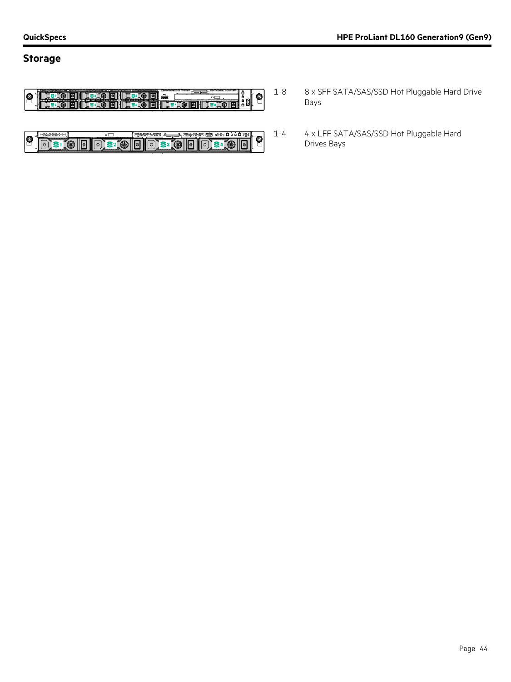### **Storage**



|    |   | $\Box$ |  | ~~ |  |
|----|---|--------|--|----|--|
| Ιo | Ч |        |  |    |  |

- 1-8 8 x SFF SATA/SAS/SSD Hot Pluggable Hard Drive Bays
- 1-4 4 x LFF SATA/SAS/SSD Hot Pluggable Hard Drives Bays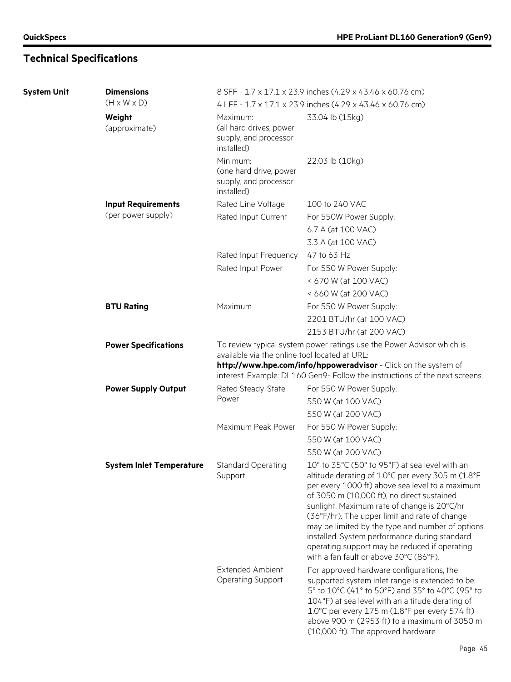| <b>System Unit</b> | <b>Dimensions</b>               |                                                                            | 8 SFF - 1.7 x 17.1 x 23.9 inches (4.29 x 43.46 x 60.76 cm)                                                                                                                                                                                                                                                                                   |
|--------------------|---------------------------------|----------------------------------------------------------------------------|----------------------------------------------------------------------------------------------------------------------------------------------------------------------------------------------------------------------------------------------------------------------------------------------------------------------------------------------|
|                    | $(H \times W \times D)$         |                                                                            | 4 LFF - 1.7 x 17.1 x 23.9 inches (4.29 x 43.46 x 60.76 cm)                                                                                                                                                                                                                                                                                   |
|                    | Weight<br>(approximate)         | Maximum:<br>(all hard drives, power<br>supply, and processor<br>installed) | 33.04 lb (15kg)                                                                                                                                                                                                                                                                                                                              |
|                    |                                 | Minimum:<br>(one hard drive, power<br>supply, and processor<br>installed)  | 22.03 lb (10kg)                                                                                                                                                                                                                                                                                                                              |
|                    | <b>Input Requirements</b>       | Rated Line Voltage                                                         | 100 to 240 VAC                                                                                                                                                                                                                                                                                                                               |
|                    | (per power supply)              | Rated Input Current                                                        | For 550W Power Supply:                                                                                                                                                                                                                                                                                                                       |
|                    |                                 |                                                                            | 6.7 A (at 100 VAC)                                                                                                                                                                                                                                                                                                                           |
|                    |                                 |                                                                            | 3.3 A (at 100 VAC)                                                                                                                                                                                                                                                                                                                           |
|                    |                                 | Rated Input Frequency                                                      | 47 to 63 Hz                                                                                                                                                                                                                                                                                                                                  |
|                    |                                 | Rated Input Power                                                          | For 550 W Power Supply:                                                                                                                                                                                                                                                                                                                      |
|                    |                                 |                                                                            | < 670 W (at 100 VAC)                                                                                                                                                                                                                                                                                                                         |
|                    |                                 |                                                                            | < 660 W (at 200 VAC)                                                                                                                                                                                                                                                                                                                         |
|                    | <b>BTU Rating</b>               | Maximum                                                                    | For 550 W Power Supply:                                                                                                                                                                                                                                                                                                                      |
|                    |                                 |                                                                            | 2201 BTU/hr (at 100 VAC)                                                                                                                                                                                                                                                                                                                     |
|                    |                                 |                                                                            | 2153 BTU/hr (at 200 VAC)                                                                                                                                                                                                                                                                                                                     |
|                    | <b>Power Specifications</b>     | available via the online tool located at URL:                              | To review typical system power ratings use the Power Advisor which is<br>http://www.hpe.com/info/hppoweradvisor - Click on the system of                                                                                                                                                                                                     |
|                    |                                 |                                                                            | interest. Example: DL160 Gen9- Follow the instructions of the next screens.                                                                                                                                                                                                                                                                  |
|                    | <b>Power Supply Output</b>      | Rated Steady-State                                                         | For 550 W Power Supply:                                                                                                                                                                                                                                                                                                                      |
|                    |                                 | Power                                                                      | 550 W (at 100 VAC)                                                                                                                                                                                                                                                                                                                           |
|                    |                                 |                                                                            | 550 W (at 200 VAC)                                                                                                                                                                                                                                                                                                                           |
|                    |                                 | Maximum Peak Power                                                         | For 550 W Power Supply:                                                                                                                                                                                                                                                                                                                      |
|                    |                                 |                                                                            | 550 W (at 100 VAC)                                                                                                                                                                                                                                                                                                                           |
|                    |                                 |                                                                            | 550 W (at 200 VAC)                                                                                                                                                                                                                                                                                                                           |
|                    | <b>System Inlet Temperature</b> | <b>Standard Operating</b><br>Support                                       | 10° to 35°C (50° to 95°F) at sea level with an<br>altitude derating of 1.0°C per every 305 m (1.8°F<br>per every 1000 ft) above sea level to a maximum                                                                                                                                                                                       |
|                    |                                 |                                                                            | of 3050 m (10,000 ft), no direct sustained<br>sunlight. Maximum rate of change is 20°C/hr<br>(36°F/hr). The upper limit and rate of change<br>may be limited by the type and number of options<br>installed. System performance during standard<br>operating support may be reduced if operating<br>with a fan fault or above 30°C (86°F).   |
|                    |                                 | <b>Extended Ambient</b><br><b>Operating Support</b>                        | For approved hardware configurations, the<br>supported system inlet range is extended to be:<br>5° to 10°C (41° to 50°F) and 35° to 40°C (95° to<br>104°F) at sea level with an altitude derating of<br>1.0°C per every 175 m (1.8°F per every 574 ft)<br>above 900 m (2953 ft) to a maximum of 3050 m<br>(10,000 ft). The approved hardware |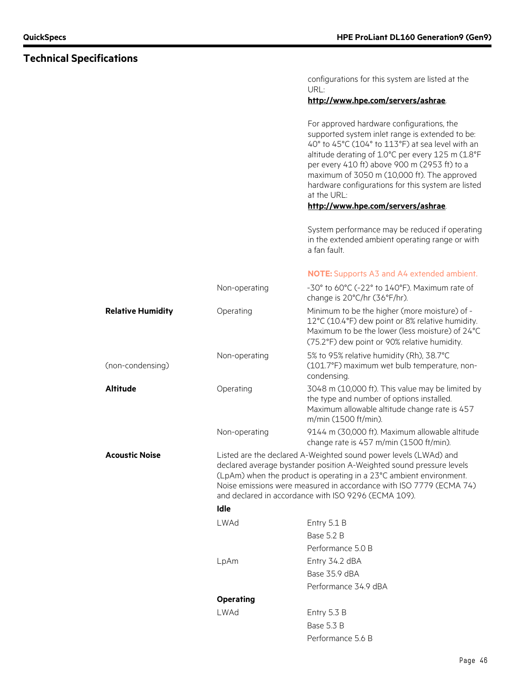configurations for this system are listed at the URL:

#### **<http://www.hpe.com/servers/ashrae>**.

For approved hardware configurations, the supported system inlet range is extended to be: 40° to 45°C (104° to 113°F) at sea level with an altitude derating of 1.0°C per every 125 m (1.8°F per every 410 ft) above 900 m (2953 ft) to a maximum of 3050 m (10,000 ft). The approved hardware configurations for this system are listed at the URL:

#### **<http://www.hpe.com/servers/ashrae>**.

System performance may be reduced if operating in the extended ambient operating range or with a fan fault.

#### **NOTE:** Supports A3 and A4 extended ambient.

| <b>Relative Humidity</b><br>Minimum to be the higher (more moisture) of -<br>Operating<br>12°C (10.4°F) dew point or 8% relative humidity.<br>Maximum to be the lower (less moisture) of 24°C<br>(75.2°F) dew point or 90% relative humidity.<br>Non-operating<br>5% to 95% relative humidity (Rh), 38.7°C<br>(non-condensing)<br>(101.7°F) maximum wet bulb temperature, non-<br>condensing.<br><b>Altitude</b><br>3048 m (10,000 ft). This value may be limited by<br>Operating<br>the type and number of options installed.<br>Maximum allowable altitude change rate is 457<br>m/min (1500 ft/min).<br>9144 m (30,000 ft). Maximum allowable altitude<br>Non-operating |  |
|----------------------------------------------------------------------------------------------------------------------------------------------------------------------------------------------------------------------------------------------------------------------------------------------------------------------------------------------------------------------------------------------------------------------------------------------------------------------------------------------------------------------------------------------------------------------------------------------------------------------------------------------------------------------------|--|
|                                                                                                                                                                                                                                                                                                                                                                                                                                                                                                                                                                                                                                                                            |  |
|                                                                                                                                                                                                                                                                                                                                                                                                                                                                                                                                                                                                                                                                            |  |
|                                                                                                                                                                                                                                                                                                                                                                                                                                                                                                                                                                                                                                                                            |  |
| change rate is 457 m/min (1500 ft/min).                                                                                                                                                                                                                                                                                                                                                                                                                                                                                                                                                                                                                                    |  |
| Listed are the declared A-Weighted sound power levels (LWAd) and<br><b>Acoustic Noise</b><br>declared average bystander position A-Weighted sound pressure levels<br>(LpAm) when the product is operating in a 23°C ambient environment.<br>Noise emissions were measured in accordance with ISO 7779 (ECMA 74)<br>and declared in accordance with ISO 9296 (ECMA 109).                                                                                                                                                                                                                                                                                                    |  |
| Idle                                                                                                                                                                                                                                                                                                                                                                                                                                                                                                                                                                                                                                                                       |  |
| LWAd<br>Entry 5.1 B                                                                                                                                                                                                                                                                                                                                                                                                                                                                                                                                                                                                                                                        |  |
| Base 5.2 B                                                                                                                                                                                                                                                                                                                                                                                                                                                                                                                                                                                                                                                                 |  |
| Performance 5.0 B                                                                                                                                                                                                                                                                                                                                                                                                                                                                                                                                                                                                                                                          |  |
| LpAm<br>Entry 34.2 dBA                                                                                                                                                                                                                                                                                                                                                                                                                                                                                                                                                                                                                                                     |  |
| Base 35.9 dBA                                                                                                                                                                                                                                                                                                                                                                                                                                                                                                                                                                                                                                                              |  |
|                                                                                                                                                                                                                                                                                                                                                                                                                                                                                                                                                                                                                                                                            |  |
| Performance 34.9 dBA                                                                                                                                                                                                                                                                                                                                                                                                                                                                                                                                                                                                                                                       |  |
| <b>Operating</b>                                                                                                                                                                                                                                                                                                                                                                                                                                                                                                                                                                                                                                                           |  |
| LWAd<br>Entry 5.3 B                                                                                                                                                                                                                                                                                                                                                                                                                                                                                                                                                                                                                                                        |  |
| Base 5.3 B<br>Performance 5.6 B                                                                                                                                                                                                                                                                                                                                                                                                                                                                                                                                                                                                                                            |  |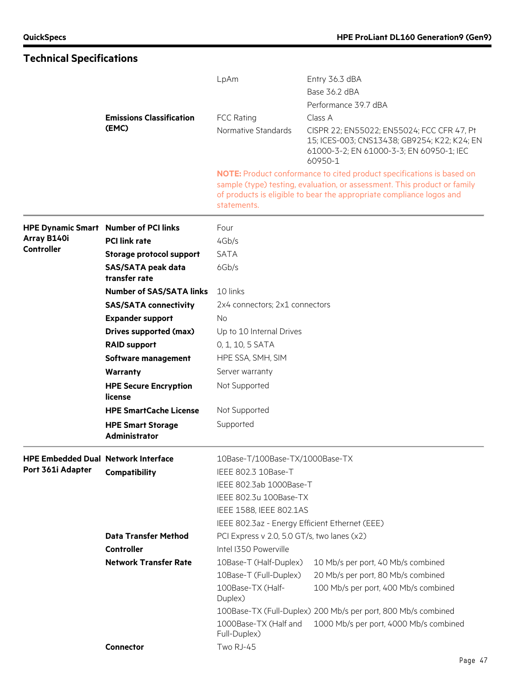|                                            |                                              | LpAm                                           | Entry 36.3 dBA<br>Base 36.2 dBA                                                                                                                                                                                                  |  |  |  |  |
|--------------------------------------------|----------------------------------------------|------------------------------------------------|----------------------------------------------------------------------------------------------------------------------------------------------------------------------------------------------------------------------------------|--|--|--|--|
|                                            |                                              |                                                | Performance 39.7 dBA                                                                                                                                                                                                             |  |  |  |  |
|                                            | <b>Emissions Classification</b>              | <b>FCC Rating</b>                              | Class A                                                                                                                                                                                                                          |  |  |  |  |
|                                            | (EMC)                                        | Normative Standards                            | CISPR 22; EN55022; EN55024; FCC CFR 47, Pt<br>15; ICES-003; CNS13438; GB9254; K22; K24; EN<br>61000-3-2; EN 61000-3-3; EN 60950-1; IEC<br>60950-1                                                                                |  |  |  |  |
|                                            |                                              | statements.                                    | <b>NOTE:</b> Product conformance to cited product specifications is based on<br>sample (type) testing, evaluation, or assessment. This product or family<br>of products is eligible to bear the appropriate compliance logos and |  |  |  |  |
|                                            | <b>HPE Dynamic Smart Number of PCI links</b> | Four                                           |                                                                                                                                                                                                                                  |  |  |  |  |
| Array B140i                                | <b>PCI link rate</b>                         | 4Gb/s                                          |                                                                                                                                                                                                                                  |  |  |  |  |
| <b>Controller</b>                          | <b>Storage protocol support</b>              | <b>SATA</b>                                    |                                                                                                                                                                                                                                  |  |  |  |  |
|                                            | <b>SAS/SATA peak data</b><br>transfer rate   | 6Gb/s                                          |                                                                                                                                                                                                                                  |  |  |  |  |
|                                            | <b>Number of SAS/SATA links</b>              | 10 links                                       |                                                                                                                                                                                                                                  |  |  |  |  |
|                                            | <b>SAS/SATA connectivity</b>                 | 2x4 connectors; 2x1 connectors                 |                                                                                                                                                                                                                                  |  |  |  |  |
|                                            | <b>Expander support</b>                      | No                                             |                                                                                                                                                                                                                                  |  |  |  |  |
|                                            | <b>Drives supported (max)</b>                | Up to 10 Internal Drives                       |                                                                                                                                                                                                                                  |  |  |  |  |
|                                            | <b>RAID support</b>                          | 0, 1, 10, 5 SATA                               |                                                                                                                                                                                                                                  |  |  |  |  |
|                                            | Software management                          | HPE SSA, SMH, SIM                              |                                                                                                                                                                                                                                  |  |  |  |  |
|                                            | Warranty                                     | Server warranty                                |                                                                                                                                                                                                                                  |  |  |  |  |
|                                            | <b>HPE Secure Encryption</b><br>license      | Not Supported                                  |                                                                                                                                                                                                                                  |  |  |  |  |
|                                            | <b>HPE SmartCache License</b>                | Not Supported                                  |                                                                                                                                                                                                                                  |  |  |  |  |
|                                            | <b>HPE Smart Storage</b><br>Administrator    | Supported                                      |                                                                                                                                                                                                                                  |  |  |  |  |
| <b>HPE Embedded Dual Network Interface</b> |                                              | 10Base-T/100Base-TX/1000Base-TX                |                                                                                                                                                                                                                                  |  |  |  |  |
| Port 361i Adapter                          | Compatibility                                | IEEE 802.3 10Base-T                            |                                                                                                                                                                                                                                  |  |  |  |  |
|                                            |                                              | IEEE 802.3ab 1000Base-T                        |                                                                                                                                                                                                                                  |  |  |  |  |
|                                            |                                              | IEEE 802.3u 100Base-TX                         |                                                                                                                                                                                                                                  |  |  |  |  |
|                                            |                                              | IEEE 1588, IEEE 802.1AS                        |                                                                                                                                                                                                                                  |  |  |  |  |
|                                            |                                              | IEEE 802.3az - Energy Efficient Ethernet (EEE) |                                                                                                                                                                                                                                  |  |  |  |  |
|                                            | <b>Data Transfer Method</b>                  | PCI Express v 2.0, 5.0 GT/s, two lanes (x2)    |                                                                                                                                                                                                                                  |  |  |  |  |
|                                            | <b>Controller</b>                            | Intel I350 Powerville                          |                                                                                                                                                                                                                                  |  |  |  |  |
|                                            | <b>Network Transfer Rate</b>                 | 10Base-T (Half-Duplex)                         | 10 Mb/s per port, 40 Mb/s combined                                                                                                                                                                                               |  |  |  |  |
|                                            |                                              | 10Base-T (Full-Duplex)                         | 20 Mb/s per port, 80 Mb/s combined                                                                                                                                                                                               |  |  |  |  |
|                                            |                                              | 100Base-TX (Half-<br>Duplex)                   | 100 Mb/s per port, 400 Mb/s combined                                                                                                                                                                                             |  |  |  |  |
|                                            |                                              |                                                | 100Base-TX (Full-Duplex) 200 Mb/s per port, 800 Mb/s combined                                                                                                                                                                    |  |  |  |  |
|                                            |                                              | 1000Base-TX (Half and<br>Full-Duplex)          | 1000 Mb/s per port, 4000 Mb/s combined                                                                                                                                                                                           |  |  |  |  |
|                                            | Connector                                    | Two RJ-45                                      |                                                                                                                                                                                                                                  |  |  |  |  |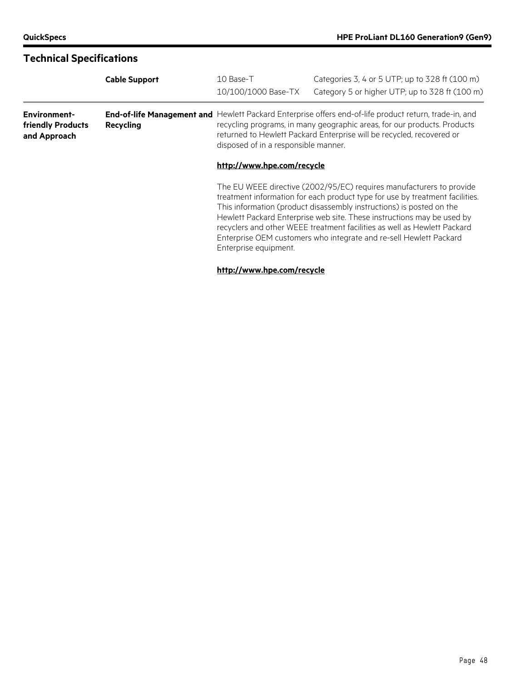|                                                          | <b>Cable Support</b> | 10 Base-T                                                                                                                                                                                                                                                                                           | Categories 3, 4 or 5 UTP; up to 328 ft (100 m)                                                                                                                                                                                                                                                                                                                                     |  |  |  |
|----------------------------------------------------------|----------------------|-----------------------------------------------------------------------------------------------------------------------------------------------------------------------------------------------------------------------------------------------------------------------------------------------------|------------------------------------------------------------------------------------------------------------------------------------------------------------------------------------------------------------------------------------------------------------------------------------------------------------------------------------------------------------------------------------|--|--|--|
|                                                          |                      | 10/100/1000 Base-TX                                                                                                                                                                                                                                                                                 | Category 5 or higher UTP; up to 328 ft (100 m)                                                                                                                                                                                                                                                                                                                                     |  |  |  |
| <b>Environment-</b><br>friendly Products<br>and Approach | Recycling            | End-of-life Management and Hewlett Packard Enterprise offers end-of-life product return, trade-in, and<br>recycling programs, in many geographic areas, for our products. Products<br>returned to Hewlett Packard Enterprise will be recycled, recovered or<br>disposed of in a responsible manner. |                                                                                                                                                                                                                                                                                                                                                                                    |  |  |  |
|                                                          |                      | http://www.hpe.com/recycle                                                                                                                                                                                                                                                                          |                                                                                                                                                                                                                                                                                                                                                                                    |  |  |  |
|                                                          |                      |                                                                                                                                                                                                                                                                                                     | The EU WEEE directive (2002/95/EC) requires manufacturers to provide<br>treatment information for each product type for use by treatment facilities.<br>This information (product disassembly instructions) is posted on the<br>Hewlett Packard Enterprise web site. These instructions may be used by<br>recyclers and other WEEE treatment facilities as well as Hewlett Packard |  |  |  |

#### **<http://www.hpe.com/recycle>**

Enterprise equipment.

Enterprise OEM customers who integrate and re-sell Hewlett Packard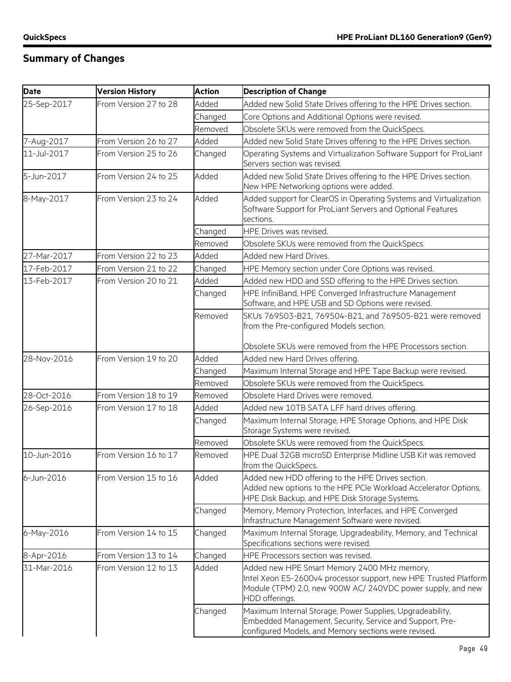### **Summary of Changes**

| <b>Date</b> | <b>Version History</b> | <b>Action</b> | <b>Description of Change</b>                                                                                                                                                                     |
|-------------|------------------------|---------------|--------------------------------------------------------------------------------------------------------------------------------------------------------------------------------------------------|
| 25-Sep-2017 | From Version 27 to 28  | Added         | Added new Solid State Drives offering to the HPE Drives section.                                                                                                                                 |
|             |                        | Changed       | Core Options and Additional Options were revised.                                                                                                                                                |
|             |                        | Removed       | Obsolete SKUs were removed from the QuickSpecs.                                                                                                                                                  |
| 7-Aug-2017  | From Version 26 to 27  | Added         | Added new Solid State Drives offering to the HPE Drives section.                                                                                                                                 |
| 11-Jul-2017 | From Version 25 to 26  | Changed       | Operating Systems and Virtualization Software Support for ProLiant<br>Servers section was revised.                                                                                               |
| 5-Jun-2017  | From Version 24 to 25  | Added         | Added new Solid State Drives offering to the HPE Drives section.<br>New HPE Networking options were added.                                                                                       |
| 8-May-2017  | From Version 23 to 24  | Added         | Added support for ClearOS in Operating Systems and Virtualization<br>Software Support for ProLiant Servers and Optional Features<br>sections.                                                    |
|             |                        | Changed       | HPE Drives was revised.                                                                                                                                                                          |
|             |                        | Removed       | Obsolete SKUs were removed from the QuickSpecs.                                                                                                                                                  |
| 27-Mar-2017 | From Version 22 to 23  | Added         | Added new Hard Drives.                                                                                                                                                                           |
| 17-Feb-2017 | From Version 21 to 22  | Changed       | HPE Memory section under Core Options was revised.                                                                                                                                               |
| 13-Feb-2017 | From Version 20 to 21  | Added         | Added new HDD and SSD offering to the HPE Drives section.                                                                                                                                        |
|             |                        | Changed       | HPE InfiniBand, HPE Converged Infrastructure Management<br>Software, and HPE USB and SD Options were revised.                                                                                    |
|             |                        | Removed       | SKUs 769503-B21, 769504-B21, and 769505-B21 were removed<br>from the Pre-configured Models section.                                                                                              |
|             |                        |               | Obsolete SKUs were removed from the HPE Processors section.                                                                                                                                      |
| 28-Nov-2016 | From Version 19 to 20  | Added         | Added new Hard Drives offering.                                                                                                                                                                  |
|             |                        | Changed       | Maximum Internal Storage and HPE Tape Backup were revised.                                                                                                                                       |
|             |                        | Removed       | Obsolete SKUs were removed from the QuickSpecs.                                                                                                                                                  |
| 28-Oct-2016 | From Version 18 to 19  | Removed       | Obsolete Hard Drives were removed.                                                                                                                                                               |
| 26-Sep-2016 | From Version 17 to 18  | Added         | Added new 10TB SATA LFF hard drives offering.                                                                                                                                                    |
|             |                        | Changed       | Maximum Internal Storage, HPE Storage Options, and HPE Disk<br>Storage Systems were revised.                                                                                                     |
|             |                        | Removed       | Obsolete SKUs were removed from the QuickSpecs.                                                                                                                                                  |
| 10-Jun-2016 | From Version 16 to 17  | Removed       | HPE Dual 32GB microSD Enterprise Midline USB Kit was removed<br>from the QuickSpecs.                                                                                                             |
| 6-Jun-2016  | From Version 15 to 16  | Added         | Added new HDD offering to the HPE Drives section.<br>Added new options to the HPE PCIe Workload Accelerator Options,<br>HPE Disk Backup, and HPE Disk Storage Systems.                           |
|             |                        | Changed       | Memory, Memory Protection, Interfaces, and HPE Converged<br>Infrastructure Management Software were revised.                                                                                     |
| 6-May-2016  | From Version 14 to 15  | Changed       | Maximum Internal Storage, Upgradeability, Memory, and Technical<br>Specifications sections were revised.                                                                                         |
| 8-Apr-2016  | From Version 13 to 14  | Changed       | HPE Processors section was revised.                                                                                                                                                              |
| 31-Mar-2016 | From Version 12 to 13  | Added         | Added new HPE Smart Memory 2400 MHz memory,<br>Intel Xeon E5-2600v4 processor support, new HPE Trusted Platform<br>Module (TPM) 2.0, new 900W AC/ 240VDC power supply, and new<br>HDD offerings. |
|             |                        | Changed       | Maximum Internal Storage, Power Supplies, Upgradeability,<br>Embedded Management, Security, Service and Support, Pre-<br>configured Models, and Memory sections were revised.                    |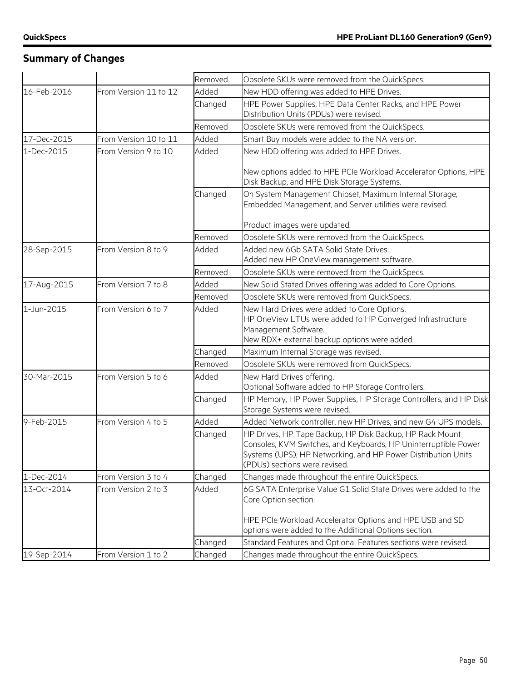### **Summary of Changes**

|             |                       | Removed | Obsolete SKUs were removed from the QuickSpecs.                                                                                                                                                                               |
|-------------|-----------------------|---------|-------------------------------------------------------------------------------------------------------------------------------------------------------------------------------------------------------------------------------|
| 16-Feb-2016 | From Version 11 to 12 | Added   | New HDD offering was added to HPE Drives.                                                                                                                                                                                     |
|             |                       | Changed | HPE Power Supplies, HPE Data Center Racks, and HPE Power<br>Distribution Units (PDUs) were revised.                                                                                                                           |
|             |                       | Removed | Obsolete SKUs were removed from the QuickSpecs.                                                                                                                                                                               |
| 17-Dec-2015 | From Version 10 to 11 | Added   | Smart Buy models were added to the NA version.                                                                                                                                                                                |
| 1-Dec-2015  | From Version 9 to 10  | Added   | New HDD offering was added to HPE Drives.                                                                                                                                                                                     |
|             |                       |         | New options added to HPE PCIe Workload Accelerator Options, HPE<br>Disk Backup, and HPE Disk Storage Systems.                                                                                                                 |
|             |                       | Changed | On System Management Chipset, Maximum Internal Storage,<br>Embedded Management, and Server utilities were revised.                                                                                                            |
|             |                       |         | Product images were updated.                                                                                                                                                                                                  |
|             |                       | Removed | Obsolete SKUs were removed from the QuickSpecs.                                                                                                                                                                               |
| 28-Sep-2015 | From Version 8 to 9   | Added   | Added new 6Gb SATA Solid State Drives.<br>Added new HP OneView management software.                                                                                                                                           |
|             |                       | Removed | Obsolete SKUs were removed from the QuickSpecs.                                                                                                                                                                               |
| 17-Aug-2015 | From Version 7 to 8   | Added   | New Solid Stated Drives offering was added to Core Options.                                                                                                                                                                   |
|             |                       | Removed | Obsolete SKUs were removed from QuickSpecs.                                                                                                                                                                                   |
| 1-Jun-2015  | From Version 6 to 7   | Added   | New Hard Drives were added to Core Options.<br>HP OneView LTUs were added to HP Converged Infrastructure<br>Management Software.<br>New RDX+ external backup options were added.                                              |
|             |                       | Changed | Maximum Internal Storage was revised.                                                                                                                                                                                         |
|             |                       | Removed | Obsolete SKUs were removed from QuickSpecs.                                                                                                                                                                                   |
| 30-Mar-2015 | From Version 5 to 6   | Added   | New Hard Drives offering.<br>Optional Software added to HP Storage Controllers.                                                                                                                                               |
|             |                       | Changed | HP Memory, HP Power Supplies, HP Storage Controllers, and HP Disk<br>Storage Systems were revised.                                                                                                                            |
| 9-Feb-2015  | From Version 4 to 5   | Added   | Added Network controller, new HP Drives, and new G4 UPS models.                                                                                                                                                               |
|             |                       | Changed | HP Drives, HP Tape Backup, HP Disk Backup, HP Rack Mount<br>Consoles, KVM Switches, and Keyboards, HP Uninterruptible Power<br>Systems (UPS), HP Networking, and HP Power Distribution Units<br>(PDUs) sections were revised. |
| 1-Dec-2014  | From Version 3 to 4   | Changed | Changes made throughout the entire QuickSpecs.                                                                                                                                                                                |
| 13-Oct-2014 | From Version 2 to 3   | Added   | 6G SATA Enterprise Value G1 Solid State Drives were added to the<br>Core Option section.                                                                                                                                      |
|             |                       |         | HPE PCIe Workload Accelerator Options and HPE USB and SD<br>options were added to the Additional Options section.                                                                                                             |
|             |                       | Changed | Standard Features and Optional Features sections were revised.                                                                                                                                                                |
| 19-Sep-2014 | From Version 1 to 2   | Changed | Changes made throughout the entire QuickSpecs.                                                                                                                                                                                |